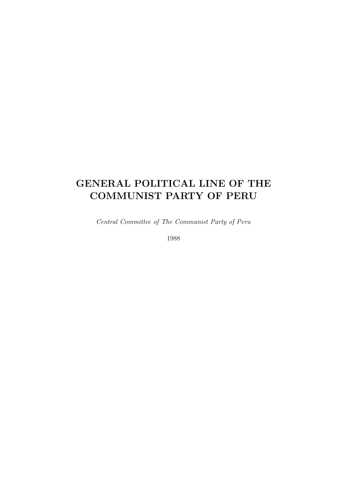# GENERAL POLITICAL LINE OF THE COMMUNIST PARTY OF PERU

Central Committee of The Communist Party of Peru

1988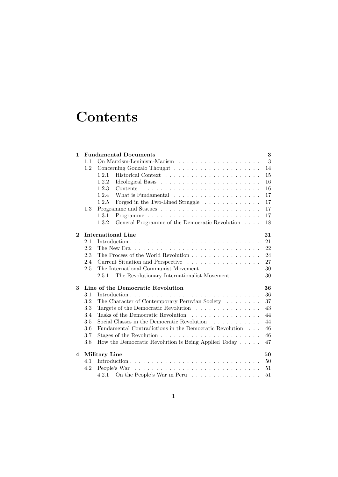# **Contents**

| 1            |                                         | <b>Fundamental Documents</b>                                                                                                                                                                                                                                                                                                                                                                                                                                                | 3  |  |  |
|--------------|-----------------------------------------|-----------------------------------------------------------------------------------------------------------------------------------------------------------------------------------------------------------------------------------------------------------------------------------------------------------------------------------------------------------------------------------------------------------------------------------------------------------------------------|----|--|--|
|              | 1.1                                     |                                                                                                                                                                                                                                                                                                                                                                                                                                                                             | 3  |  |  |
|              | 1.2                                     |                                                                                                                                                                                                                                                                                                                                                                                                                                                                             | 14 |  |  |
|              |                                         | 1.2.1                                                                                                                                                                                                                                                                                                                                                                                                                                                                       | 15 |  |  |
|              |                                         | 1.2.2                                                                                                                                                                                                                                                                                                                                                                                                                                                                       | 16 |  |  |
|              |                                         | 1.2.3<br>Contents                                                                                                                                                                                                                                                                                                                                                                                                                                                           | 16 |  |  |
|              |                                         | 1.2.4                                                                                                                                                                                                                                                                                                                                                                                                                                                                       | 17 |  |  |
|              |                                         | Forged in the Two-Lined Struggle $\ldots \ldots \ldots \ldots$<br>1.2.5                                                                                                                                                                                                                                                                                                                                                                                                     | 17 |  |  |
|              | 1.3                                     |                                                                                                                                                                                                                                                                                                                                                                                                                                                                             | 17 |  |  |
|              |                                         | 1.3.1                                                                                                                                                                                                                                                                                                                                                                                                                                                                       | 17 |  |  |
|              |                                         | General Programme of the Democratic Revolution<br>1.3.2                                                                                                                                                                                                                                                                                                                                                                                                                     | 18 |  |  |
| $\mathbf{2}$ |                                         | <b>International Line</b>                                                                                                                                                                                                                                                                                                                                                                                                                                                   | 21 |  |  |
|              | 2.1                                     |                                                                                                                                                                                                                                                                                                                                                                                                                                                                             | 21 |  |  |
|              | 2.2                                     |                                                                                                                                                                                                                                                                                                                                                                                                                                                                             | 22 |  |  |
|              | 2.3                                     |                                                                                                                                                                                                                                                                                                                                                                                                                                                                             | 24 |  |  |
|              | 2.4                                     | Current Situation and Perspective                                                                                                                                                                                                                                                                                                                                                                                                                                           | 27 |  |  |
|              | 2.5                                     |                                                                                                                                                                                                                                                                                                                                                                                                                                                                             | 30 |  |  |
|              |                                         | The Revolutionary Internationalist Movement $\ldots \ldots$<br>2.5.1                                                                                                                                                                                                                                                                                                                                                                                                        | 30 |  |  |
| 3            | Line of the Democratic Revolution<br>36 |                                                                                                                                                                                                                                                                                                                                                                                                                                                                             |    |  |  |
|              | 3.1                                     |                                                                                                                                                                                                                                                                                                                                                                                                                                                                             | 36 |  |  |
|              | 3.2                                     | The Character of Contemporary Peruvian Society                                                                                                                                                                                                                                                                                                                                                                                                                              | 37 |  |  |
|              | 3.3                                     | Targets of the Democratic Revolution                                                                                                                                                                                                                                                                                                                                                                                                                                        | 43 |  |  |
|              | 3.4                                     | Tasks of the Democratic Revolution                                                                                                                                                                                                                                                                                                                                                                                                                                          | 44 |  |  |
|              | 3.5                                     | Social Classes in the Democratic Revolution                                                                                                                                                                                                                                                                                                                                                                                                                                 | 44 |  |  |
|              | 3.6                                     | Fundamental Contradictions in the Democratic Revolution                                                                                                                                                                                                                                                                                                                                                                                                                     | 46 |  |  |
|              | 3.7                                     |                                                                                                                                                                                                                                                                                                                                                                                                                                                                             | 46 |  |  |
|              | 3.8                                     | How the Democratic Revolution is Being Applied Today $\ldots$ .                                                                                                                                                                                                                                                                                                                                                                                                             | 47 |  |  |
| 4            |                                         | <b>Military Line</b>                                                                                                                                                                                                                                                                                                                                                                                                                                                        | 50 |  |  |
|              | 4.1                                     |                                                                                                                                                                                                                                                                                                                                                                                                                                                                             | 50 |  |  |
|              | 4.2                                     | People's War<br>$\mathcal{L}(\mathcal{L}(\mathcal{L},\mathcal{L},\mathcal{L},\mathcal{L},\mathcal{L},\mathcal{L},\mathcal{L},\mathcal{L},\mathcal{L},\mathcal{L},\mathcal{L},\mathcal{L},\mathcal{L},\mathcal{L},\mathcal{L},\mathcal{L},\mathcal{L},\mathcal{L},\mathcal{L},\mathcal{L},\mathcal{L},\mathcal{L},\mathcal{L},\mathcal{L},\mathcal{L},\mathcal{L},\mathcal{L},\mathcal{L},\mathcal{L},\mathcal{L},\mathcal{L},\mathcal{L},\mathcal{L},\mathcal{L},\mathcal{$ | 51 |  |  |
|              |                                         | 4.2.1 On the People's War in Peru                                                                                                                                                                                                                                                                                                                                                                                                                                           | 51 |  |  |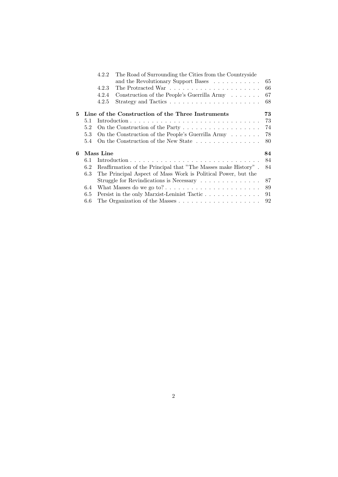|    |               | The Road of Surrounding the Cities from the Countryside<br>4.2.2       |    |
|----|---------------|------------------------------------------------------------------------|----|
|    |               | and the Revolutionary Support Bases                                    | 65 |
|    |               | 4.2.3                                                                  | 66 |
|    |               | Construction of the People's Guerrilla Army<br>4.2.4                   | 67 |
|    |               | 4.2.5                                                                  | 68 |
| 5. |               | Line of the Construction of the Three Instruments                      | 73 |
|    | 5.1           |                                                                        | 73 |
|    | $5.2^{\circ}$ | On the Construction of the Party $\dots \dots \dots \dots \dots \dots$ | 74 |
|    | 5.3           | On the Construction of the People's Guerrilla Army $\dots \dots$       | 78 |
|    | 5.4           | On the Construction of the New State                                   | 80 |
| 6. |               | Mass Line                                                              | 84 |
|    | 6.1           |                                                                        | 84 |
|    | 6.2           | Reaffirmation of the Principal that "The Masses make History".         | 84 |
|    | 6.3           | The Principal Aspect of Mass Work is Political Power, but the          |    |
|    |               | Struggle for Revindications is Necessary                               | 87 |
|    | 6.4           |                                                                        | 89 |
|    | 6.5           | Persist in the only Marxist-Leninist Tactic                            | 91 |
|    | 6.6           |                                                                        | 92 |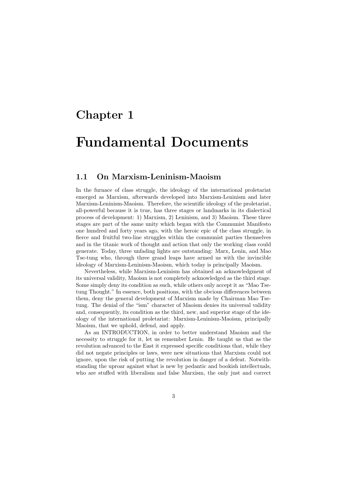# Chapter 1

# Fundamental Documents

# 1.1 On Marxism-Leninism-Maoism

In the furnace of class struggle, the ideology of the international proletariat emerged as Marxism, afterwards developed into Marxism-Leninism and later Marxism-Leninism-Maoism. Therefore, the scientific ideology of the proletariat, all-powerful because it is true, has three stages or landmarks in its dialectical process of development: 1) Marxism, 2) Leninism, and 3) Maoism. These three stages are part of the same unity which began with the Communist Manifesto one hundred and forty years ago, with the heroic epic of the class struggle, in fierce and fruitful two-line struggles within the communist parties themselves and in the titanic work of thought and action that only the working class could generate. Today, three unfading lights are outstanding: Marx, Lenin, and Mao Tse-tung who, through three grand leaps have armed us with the invincible ideology of Marxism-Leninism-Maoism, which today is principally Maoism.

Nevertheless, while Marxism-Leninism has obtained an acknowledgment of its universal validity, Maoism is not completely acknowledged as the third stage. Some simply deny its condition as such, while others only accept it as "Mao Tsetung Thought." In essence, both positions, with the obvious differences between them, deny the general development of Marxism made by Chairman Mao Tsetung. The denial of the "ism" character of Maoism denies its universal validity and, consequently, its condition as the third, new, and superior stage of the ideology of the international proletariat: Marxism-Leninism-Maoism, principally Maoism, that we uphold, defend, and apply.

As an INTRODUCTION, in order to better understand Maoism and the necessity to struggle for it, let us remember Lenin. He taught us that as the revolution advanced to the East it expressed specific conditions that, while they did not negate principles or laws, were new situations that Marxism could not ignore, upon the risk of putting the revolution in danger of a defeat. Notwithstanding the uproar against what is new by pedantic and bookish intellectuals, who are stuffed with liberalism and false Marxism, the only just and correct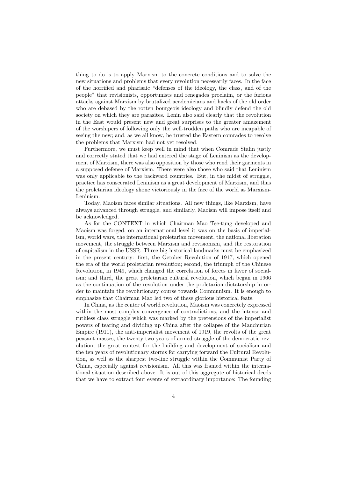thing to do is to apply Marxism to the concrete conditions and to solve the new situations and problems that every revolution necessarily faces. In the face of the horrified and pharisaic "defenses of the ideology, the class, and of the people" that revisionists, opportunists and renegades proclaim, or the furious attacks against Marxism by brutalized academicians and hacks of the old order who are debased by the rotten bourgeois ideology and blindly defend the old society on which they are parasites. Lenin also said clearly that the revolution in the East would present new and great surprises to the greater amazement of the worshipers of following only the well-trodden paths who are incapable of seeing the new; and, as we all know, he trusted the Eastern comrades to resolve the problems that Marxism had not yet resolved.

Furthermore, we must keep well in mind that when Comrade Stalin justly and correctly stated that we had entered the stage of Leninism as the development of Marxism, there was also opposition by those who rend their garments in a supposed defense of Marxism. There were also those who said that Leninism was only applicable to the backward countries. But, in the midst of struggle. practice has consecrated Leninism as a great development of Marxism, and thus the proletarian ideology shone victoriously in the face of the world as Marxism-Leninism.

Today, Maoism faces similar situations. All new things, like Marxism, have always advanced through struggle, and similarly, Maoism will impose itself and be acknowledged.

As for the CONTEXT in which Chairman Mao Tse-tung developed and Maoism was forged, on an international level it was on the basis of imperialism, world wars, the international proletarian movement, the national liberation movement, the struggle between Marxism and revisionism, and the restoration of capitalism in the USSR. Three big historical landmarks must be emphasized in the present century: first, the October Revolution of 1917, which opened the era of the world proletarian revolution; second, the triumph of the Chinese Revolution, in 1949, which changed the correlation of forces in favor of socialism; and third, the great proletarian cultural revolution, which began in 1966 as the continuation of the revolution under the proletarian dictatorship in order to maintain the revolutionary course towards Communism. It is enough to emphasize that Chairman Mao led two of these glorious historical feats.

In China, as the center of world revolution, Maoism was concretely expressed within the most complex convergence of contradictions, and the intense and ruthless class struggle which was marked by the pretensions of the imperialist powers of tearing and dividing up China after the collapse of the Manchurian Empire (1911), the anti-imperialist movement of 1919, the revolts of the great peasant masses, the twenty-two years of armed struggle of the democratic revolution, the great contest for the building and development of socialism and the ten years of revolutionary storms for carrying forward the Cultural Revolution, as well as the sharpest two-line struggle within the Communist Party of China, especially against revisionism. All this was framed within the international situation described above. It is out of this aggregate of historical deeds that we have to extract four events of extraordinary importance: The founding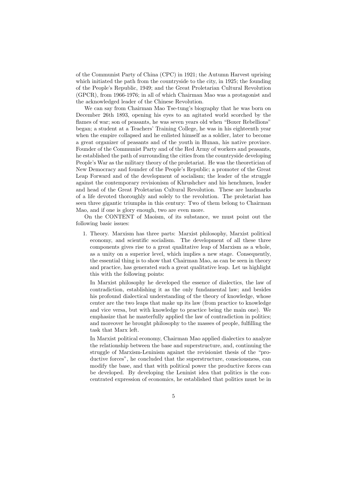of the Communist Party of China (CPC) in 1921; the Autumn Harvest uprising which initiated the path from the countryside to the city, in 1925; the founding of the People's Republic, 1949; and the Great Proletarian Cultural Revolution (GPCR), from 1966-1976; in all of which Chairman Mao was a protagonist and the acknowledged leader of the Chinese Revolution.

We can say from Chairman Mao Tse-tung's biography that he was born on December 26th 1893, opening his eyes to an agitated world scorched by the flames of war; son of peasants, he was seven years old when "Boxer Rebellions" began; a student at a Teachers' Training College, he was in his eighteenth year when the empire collapsed and he enlisted himself as a soldier, later to become a great organizer of peasants and of the youth in Hunan, his native province. Founder of the Communist Party and of the Red Army of workers and peasants, he established the path of surrounding the cities from the countryside developing People's War as the military theory of the proletariat. He was the theoretician of New Democracy and founder of the People's Republic; a promoter of the Great Leap Forward and of the development of socialism; the leader of the struggle against the contemporary revisionism of Khrushchev and his henchmen, leader and head of the Great Proletarian Cultural Revolution. These are landmarks of a life devoted thoroughly and solely to the revolution. The proletariat has seen three gigantic triumphs in this century: Two of them belong to Chairman Mao, and if one is glory enough, two are even more.

On the CONTENT of Maoism, of its substance, we must point out the following basic issues:

1. Theory. Marxism has three parts: Marxist philosophy, Marxist political economy, and scientific socialism. The development of all these three components gives rise to a great qualitative leap of Marxism as a whole, as a unity on a superior level, which implies a new stage. Consequently, the essential thing is to show that Chairman Mao, as can be seen in theory and practice, has generated such a great qualitative leap. Let us highlight this with the following points:

In Marxist philosophy he developed the essence of dialectics, the law of contradiction, establishing it as the only fundamental law; and besides his profound dialectical understanding of the theory of knowledge, whose center are the two leaps that make up its law (from practice to knowledge and vice versa, but with knowledge to practice being the main one). We emphasize that he masterfully applied the law of contradiction in politics; and moreover he brought philosophy to the masses of people, fulfilling the task that Marx left.

In Marxist political economy, Chairman Mao applied dialectics to analyze the relationship between the base and superstructure, and, continuing the struggle of Marxism-Leninism against the revisionist thesis of the "productive forces", he concluded that the superstructure, consciousness, can modify the base, and that with political power the productive forces can be developed. By developing the Leninist idea that politics is the concentrated expression of economics, he established that politics must be in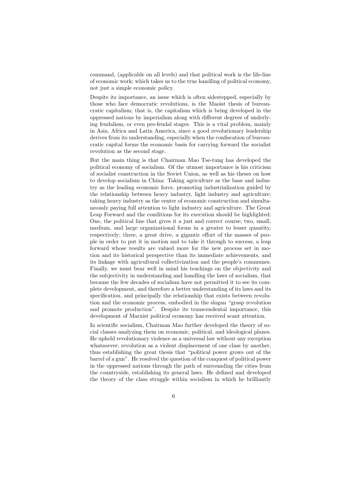command, (applicable on all levels) and that political work is the life-line of economic work; which takes us to the true handling of political economy, not just a simple economic policy.

Despite its importance, an issue which is often sidestepped, especially by those who face democratic revolutions, is the Maoist thesis of bureaucratic capitalism; that is, the capitalism which is being developed in the oppressed nations by imperialism along with different degrees of underlying feudalism, or even pre-feudal stages. This is a vital problem, mainly in Asia, Africa and Latin America, since a good revolutionary leadership derives from its understanding, especially when the confiscation of bureaucratic capital forms the economic basis for carrying forward the socialist revolution as the second stage.

But the main thing is that Chairman Mao Tse-tung has developed the political economy of socialism. Of the utmost importance is his criticism of socialist construction in the Soviet Union, as well as his theses on how to develop socialism in China: Taking agriculture as the base and industry as the leading economic force, promoting industrialization guided by the relationship between heavy industry, light industry and agriculture; taking heavy industry as the center of economic construction and simultaneously paying full attention to light industry and agriculture. The Great Leap Forward and the conditions for its execution should be highlighted: One, the political line that gives it a just and correct course; two, small, medium, and large organizational forms in a greater to lesser quantity, respectively; three, a great drive, a gigantic effort of the masses of people in order to put it in motion and to take it through to success, a leap forward whose results are valued more for the new process set in motion and its historical perspective than its immediate achievements, and its linkage with agricultural collectivization and the people's communes. Finally, we must bear well in mind his teachings on the objectivity and the subjectivity in understanding and handling the laws of socialism, that because the few decades of socialism have not permitted it to see its complete development, and therefore a better understanding of its laws and its specification, and principally the relationship that exists between revolution and the economic process, embodied in the slogan "grasp revolution and promote production". Despite its transcendental importance, this development of Marxist political economy has received scant attention.

In scientific socialism, Chairman Mao further developed the theory of social classes analyzing them on economic, political, and ideological planes. He upheld revolutionary violence as a universal law without any exception whatsoever; revolution as a violent displacement of one class by another, thus establishing the great thesis that "political power grows out of the barrel of a gun". He resolved the question of the conquest of political power in the oppressed nations through the path of surrounding the cities from the countryside, establishing its general laws. He defined and developed the theory of the class struggle within socialism in which he brilliantly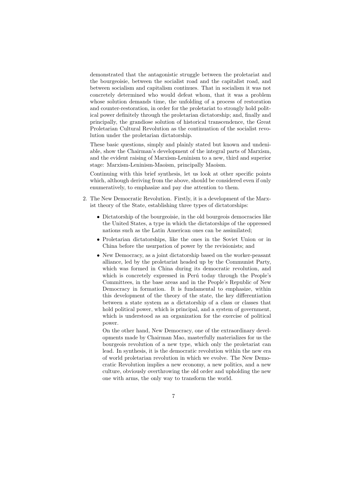demonstrated that the antagonistic struggle between the proletariat and the bourgeoisie, between the socialist road and the capitalist road, and between socialism and capitalism continues. That in socialism it was not concretely determined who would defeat whom, that it was a problem whose solution demands time, the unfolding of a process of restoration and counter-restoration, in order for the proletariat to strongly hold political power definitely through the proletarian dictatorship; and, finally and principally, the grandiose solution of historical transcendence, the Great Proletarian Cultural Revolution as the continuation of the socialist revolution under the proletarian dictatorship.

These basic questions, simply and plainly stated but known and undeniable, show the Chairman's development of the integral parts of Marxism, and the evident raising of Marxism-Leninism to a new, third and superior stage: Marxism-Leninism-Maoism, principally Maoism.

Continuing with this brief synthesis, let us look at other specific points which, although deriving from the above, should be considered even if only enumeratively, to emphasize and pay due attention to them.

- 2. The New Democratic Revolution. Firstly, it is a development of the Marxist theory of the State, establishing three types of dictatorships:
	- Dictatorship of the bourgeoisie, in the old bourgeois democracies like the United States, a type in which the dictatorships of the oppressed nations such as the Latin American ones can be assimilated;
	- Proletarian dictatorships, like the ones in the Soviet Union or in China before the usurpation of power by the revisionists; and
	- New Democracy, as a joint dictatorship based on the worker-peasant alliance, led by the proletariat headed up by the Communist Party, which was formed in China during its democratic revolution, and which is concretely expressed in Perú today through the People's Committees, in the base areas and in the People's Republic of New Democracy in formation. It is fundamental to emphasize, within this development of the theory of the state, the key differentiation between a state system as a dictatorship of a class or classes that hold political power, which is principal, and a system of government, which is understood as an organization for the exercise of political power.

On the other hand, New Democracy, one of the extraordinary developments made by Chairman Mao, masterfully materializes for us the bourgeois revolution of a new type, which only the proletariat can lead. In synthesis, it is the democratic revolution within the new era of world proletarian revolution in which we evolve. The New Democratic Revolution implies a new economy, a new politics, and a new culture, obviously overthrowing the old order and upholding the new one with arms, the only way to transform the world.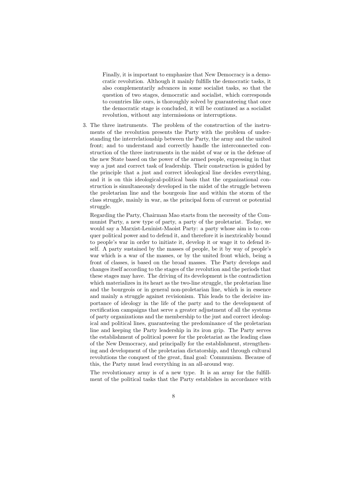Finally, it is important to emphasize that New Democracy is a democratic revolution. Although it mainly fulfills the democratic tasks, it also complementarily advances in some socialist tasks, so that the question of two stages, democratic and socialist, which corresponds to countries like ours, is thoroughly solved by guaranteeing that once the democratic stage is concluded, it will be continued as a socialist revolution, without any intermissions or interruptions.

3. The three instruments. The problem of the construction of the instruments of the revolution presents the Party with the problem of understanding the interrelationship between the Party, the army and the united front; and to understand and correctly handle the interconnected construction of the three instruments in the midst of war or in the defense of the new State based on the power of the armed people, expressing in that way a just and correct task of leadership. Their construction is guided by the principle that a just and correct ideological line decides everything, and it is on this ideological-political basis that the organizational construction is simultaneously developed in the midst of the struggle between the proletarian line and the bourgeois line and within the storm of the class struggle, mainly in war, as the principal form of current or potential struggle.

Regarding the Party, Chairman Mao starts from the necessity of the Communist Party, a new type of party, a party of the proletariat. Today, we would say a Marxist-Leninist-Maoist Party: a party whose aim is to conquer political power and to defend it, and therefore it is inextricably bound to people's war in order to initiate it, develop it or wage it to defend itself. A party sustained by the masses of people, be it by way of people's war which is a war of the masses, or by the united front which, being a front of classes, is based on the broad masses. The Party develops and changes itself according to the stages of the revolution and the periods that these stages may have. The driving of its development is the contradiction which materializes in its heart as the two-line struggle, the proletarian line and the bourgeois or in general non-proletarian line, which is in essence and mainly a struggle against revisionism. This leads to the decisive importance of ideology in the life of the party and to the development of rectification campaigns that serve a greater adjustment of all the systems of party organizations and the membership to the just and correct ideological and political lines, guaranteeing the predominance of the proletarian line and keeping the Party leadership in its iron grip. The Party serves the establishment of political power for the proletariat as the leading class of the New Democracy, and principally for the establishment, strengthening and development of the proletarian dictatorship, and through cultural revolutions the conquest of the great, final goal: Communism. Because of this, the Party must lead everything in an all-around way.

The revolutionary army is of a new type. It is an army for the fulfillment of the political tasks that the Party establishes in accordance with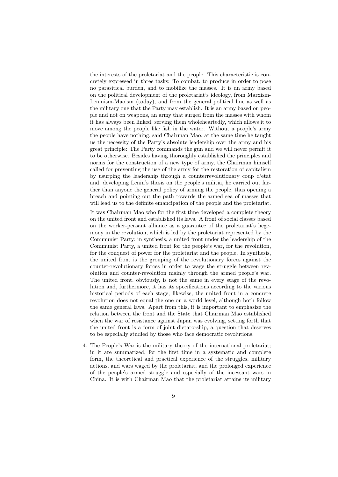the interests of the proletariat and the people. This characteristic is concretely expressed in three tasks: To combat, to produce in order to pose no parasitical burden, and to mobilize the masses. It is an army based on the political development of the proletariat's ideology, from Marxism-Leninism-Maoism (today), and from the general political line as well as the military one that the Party may establish. It is an army based on people and not on weapons, an army that surged from the masses with whom it has always been linked, serving them wholeheartedly, which allows it to move among the people like fish in the water. Without a people's army the people have nothing, said Chairman Mao, at the same time he taught us the necessity of the Party's absolute leadership over the army and his great principle: The Party commands the gun and we will never permit it to be otherwise. Besides having thoroughly established the principles and norms for the construction of a new type of army, the Chairman himself called for preventing the use of the army for the restoration of capitalism by usurping the leadership through a counterrevolutionary coup d'etat and, developing Lenin's thesis on the people's militia, he carried out farther than anyone the general policy of arming the people, thus opening a breach and pointing out the path towards the armed sea of masses that will lead us to the definite emancipation of the people and the proletariat.

It was Chairman Mao who for the first time developed a complete theory on the united front and established its laws. A front of social classes based on the worker-peasant alliance as a guarantee of the proletariat's hegemony in the revolution, which is led by the proletariat represented by the Communist Party; in synthesis, a united front under the leadership of the Communist Party, a united front for the people's war, for the revolution, for the conquest of power for the proletariat and the people. In synthesis, the united front is the grouping of the revolutionary forces against the counter-revolutionary forces in order to wage the struggle between revolution and counter-revolution mainly through the armed people's war. The united front, obviously, is not the same in every stage of the revolution and, furthermore, it has its specifications according to the various historical periods of each stage; likewise, the united front in a concrete revolution does not equal the one on a world level, although both follow the same general laws. Apart from this, it is important to emphasize the relation between the front and the State that Chairman Mao established when the war of resistance against Japan was evolving, setting forth that the united front is a form of joint dictatorship, a question that deserves to be especially studied by those who face democratic revolutions.

4. The People's War is the military theory of the international proletariat; in it are summarized, for the first time in a systematic and complete form, the theoretical and practical experience of the struggles, military actions, and wars waged by the proletariat, and the prolonged experience of the people's armed struggle and especially of the incessant wars in China. It is with Chairman Mao that the proletariat attains its military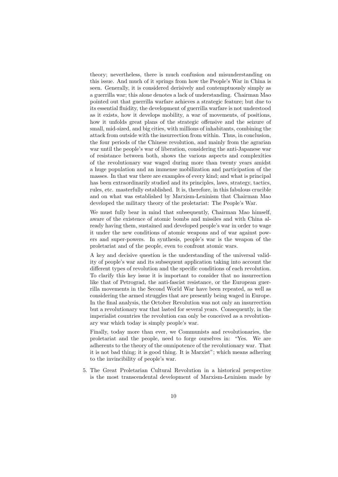theory; nevertheless, there is much confusion and misunderstanding on this issue. And much of it springs from how the People's War in China is seen. Generally, it is considered derisively and contemptuously simply as a guerrilla war; this alone denotes a lack of understanding. Chairman Mao pointed out that guerrilla warfare achieves a strategic feature; but due to its essential fluidity, the development of guerrilla warfare is not understood as it exists, how it develops mobility, a war of movements, of positions, how it unfolds great plans of the strategic offensive and the seizure of small, mid-sized, and big cities, with millions of inhabitants, combining the attack from outside with the insurrection from within. Thus, in conclusion, the four periods of the Chinese revolution, and mainly from the agrarian war until the people's war of liberation, considering the anti-Japanese war of resistance between both, shows the various aspects and complexities of the revolutionary war waged during more than twenty years amidst a huge population and an immense mobilization and participation of the masses. In that war there are examples of every kind; and what is principal has been extraordinarily studied and its principles, laws, strategy, tactics, rules, etc. masterfully established. It is, therefore, in this fabulous crucible and on what was established by Marxism-Leninism that Chairman Mao developed the military theory of the proletariat: The People's War.

We must fully bear in mind that subsequently, Chairman Mao himself, aware of the existence of atomic bombs and missiles and with China already having them, sustained and developed people's war in order to wage it under the new conditions of atomic weapons and of war against powers and super-powers. In synthesis, people's war is the weapon of the proletariat and of the people, even to confront atomic wars.

A key and decisive question is the understanding of the universal validity of people's war and its subsequent application taking into account the different types of revolution and the specific conditions of each revolution. To clarify this key issue it is important to consider that no insurrection like that of Petrograd, the anti-fascist resistance, or the European guerrilla movements in the Second World War have been repeated, as well as considering the armed struggles that are presently being waged in Europe. In the final analysis, the October Revolution was not only an insurrection but a revolutionary war that lasted for several years. Consequently, in the imperialist countries the revolution can only be conceived as a revolutionary war which today is simply people's war.

Finally, today more than ever, we Communists and revolutionaries, the proletariat and the people, need to forge ourselves in: "Yes. We are adherents to the theory of the omnipotence of the revolutionary war. That it is not bad thing; it is good thing. It is Marxist"; which means adhering to the invincibility of people's war.

5. The Great Proletarian Cultural Revolution in a historical perspective is the most transcendental development of Marxism-Leninism made by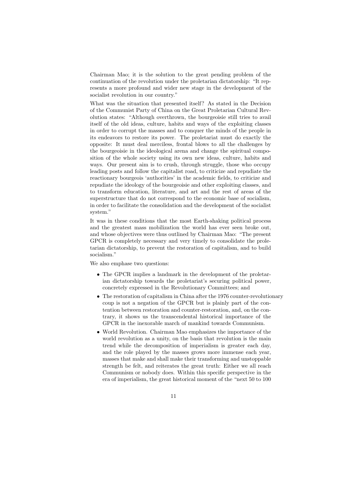Chairman Mao; it is the solution to the great pending problem of the continuation of the revolution under the proletarian dictatorship: "It represents a more profound and wider new stage in the development of the socialist revolution in our country."

What was the situation that presented itself? As stated in the Decision of the Communist Party of China on the Great Proletarian Cultural Revolution states: "Although overthrown, the bourgeoisie still tries to avail itself of the old ideas, culture, habits and ways of the exploiting classes in order to corrupt the masses and to conquer the minds of the people in its endeavors to restore its power. The proletariat must do exactly the opposite: It must deal merciless, frontal blows to all the challenges by the bourgeoisie in the ideological arena and change the spiritual composition of the whole society using its own new ideas, culture, habits and ways. Our present aim is to crush, through struggle, those who occupy leading posts and follow the capitalist road, to criticize and repudiate the reactionary bourgeois 'authorities' in the academic fields, to criticize and repudiate the ideology of the bourgeoisie and other exploiting classes, and to transform education, literature, and art and the rest of areas of the superstructure that do not correspond to the economic base of socialism, in order to facilitate the consolidation and the development of the socialist system."

It was in these conditions that the most Earth-shaking political process and the greatest mass mobilization the world has ever seen broke out, and whose objectives were thus outlined by Chairman Mao: "The present GPCR is completely necessary and very timely to consolidate the proletarian dictatorship, to prevent the restoration of capitalism, and to build socialism."

We also emphase two questions:

- The GPCR implies a landmark in the development of the proletarian dictatorship towards the proletariat's securing political power, concretely expressed in the Revolutionary Committees; and
- The restoration of capitalism in China after the 1976 counter-revolutionary coup is not a negation of the GPCR but is plainly part of the contention between restoration and counter-restoration, and, on the contrary, it shows us the transcendental historical importance of the GPCR in the inexorable march of mankind towards Communism.
- World Revolution. Chairman Mao emphasizes the importance of the world revolution as a unity, on the basis that revolution is the main trend while the decomposition of imperialism is greater each day, and the role played by the masses grows more immense each year, masses that make and shall make their transforming and unstoppable strength be felt, and reiterates the great truth: Either we all reach Communism or nobody does. Within this specific perspective in the era of imperialism, the great historical moment of the "next 50 to 100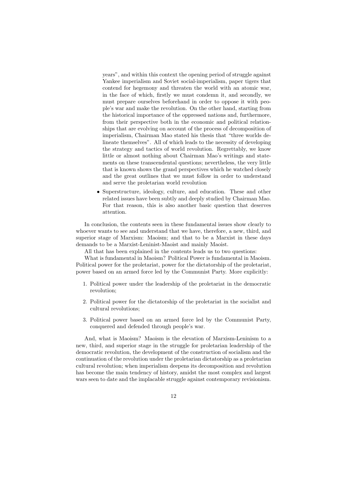years", and within this context the opening period of struggle against Yankee imperialism and Soviet social-imperialism, paper tigers that contend for hegemony and threaten the world with an atomic war, in the face of which, firstly we must condemn it, and secondly, we must prepare ourselves beforehand in order to oppose it with people's war and make the revolution. On the other hand, starting from the historical importance of the oppressed nations and, furthermore, from their perspective both in the economic and political relationships that are evolving on account of the process of decomposition of imperialism, Chairman Mao stated his thesis that "three worlds delineate themselves". All of which leads to the necessity of developing the strategy and tactics of world revolution. Regrettably, we know little or almost nothing about Chairman Mao's writings and statements on these transcendental questions; nevertheless, the very little that is known shows the grand perspectives which he watched closely and the great outlines that we must follow in order to understand and serve the proletarian world revolution

• Superstructure, ideology, culture, and education. These and other related issues have been subtly and deeply studied by Chairman Mao. For that reason, this is also another basic question that deserves attention.

In conclusion, the contents seen in these fundamental issues show clearly to whoever wants to see and understand that we have, therefore, a new, third, and superior stage of Marxism: Maoism; and that to be a Marxist in these days demands to be a Marxist-Leninist-Maoist and mainly Maoist.

All that has been explained in the contents leads us to two questions:

What is fundamental in Maoism? Political Power is fundamental in Maoism. Political power for the proletariat, power for the dictatorship of the proletariat, power based on an armed force led by the Communist Party. More explicitly:

- 1. Political power under the leadership of the proletariat in the democratic revolution;
- 2. Political power for the dictatorship of the proletariat in the socialist and cultural revolutions;
- 3. Political power based on an armed force led by the Communist Party, conquered and defended through people's war.

And, what is Maoism? Maoism is the elevation of Marxism-Leninism to a new, third, and superior stage in the struggle for proletarian leadership of the democratic revolution, the development of the construction of socialism and the continuation of the revolution under the proletarian dictatorship as a proletarian cultural revolution; when imperialism deepens its decomposition and revolution has become the main tendency of history, amidst the most complex and largest wars seen to date and the implacable struggle against contemporary revisionism.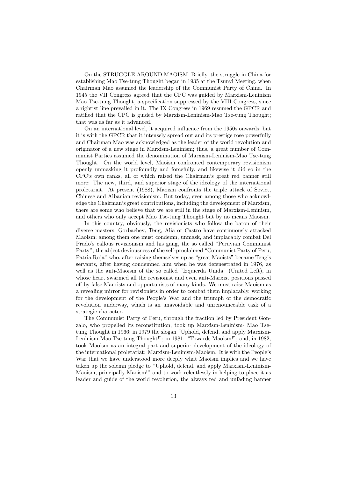On the STRUGGLE AROUND MAOISM. Briefly, the struggle in China for establishing Mao Tse-tung Thought began in 1935 at the Tsunyi Meeting, when Chairman Mao assumed the leadership of the Communist Party of China. In 1945 the VII Congress agreed that the CPC was guided by Marxism-Leninism Mao Tse-tung Thought, a specification suppressed by the VIII Congress, since a rightist line prevailed in it. The IX Congress in 1969 resumed the GPCR and ratified that the CPC is guided by Marxism-Leninism-Mao Tse-tung Thought; that was as far as it advanced.

On an international level, it acquired influence from the 1950s onwards; but it is with the GPCR that it intensely spread out and its prestige rose powerfully and Chairman Mao was acknowledged as the leader of the world revolution and originator of a new stage in Marxism-Leninism; thus, a great number of Communist Parties assumed the denomination of Marxism-Leninism-Mao Tse-tung Thought. On the world level, Maoism confronted contemporary revisionism openly unmasking it profoundly and forcefully, and likewise it did so in the CPC's own ranks, all of which raised the Chairman's great red banner still more: The new, third, and superior stage of the ideology of the international proletariat. At present (1988), Maoism confronts the triple attack of Soviet, Chinese and Albanian revisionism. But today, even among those who acknowledge the Chairman's great contributions, including the development of Marxism, there are some who believe that we are still in the stage of Marxism-Leninism, and others who only accept Mao Tse-tung Thought but by no means Maoism.

In this country, obviously, the revisionists who follow the baton of their diverse masters, Gorbachev, Teng, Alia or Castro have continuously attacked Maoism; among them one must condemn, unmask, and implacably combat Del Prado's callous revisionism and his gang, the so called "Peruvian Communist Party"; the abject deviousness of the self-proclaimed "Communist Party of Peru, Patria Roja" who, after raising themselves up as "great Maoists" became Teng's servants, after having condemned him when he was defenestrated in 1976, as well as the anti-Maoism of the so called "Izquierda Unida" (United Left), in whose heart swarmed all the revisionist and even anti-Marxist positions passed off by false Marxists and opportunists of many kinds. We must raise Maoism as a revealing mirror for revisionists in order to combat them implacably, working for the development of the People's War and the triumph of the democratic revolution underway, which is an unavoidable and unrenounceable task of a strategic character.

The Communist Party of Peru, through the fraction led by President Gonzalo, who propelled its reconstitution, took up Marxism-Leninism- Mao Tsetung Thought in 1966; in 1979 the slogan "Uphold, defend, and apply Marxism-Leninism-Mao Tse-tung Thought!"; in 1981: "Towards Maoism!"; and, in 1982, took Maoism as an integral part and superior development of the ideology of the international proletariat: Marxism-Leninism-Maoism. It is with the People's War that we have understood more deeply what Maoism implies and we have taken up the solemn pledge to "Uphold, defend, and apply Marxism-Leninism-Maoism, principally Maoism!" and to work relentlessly in helping to place it as leader and guide of the world revolution, the always red and unfading banner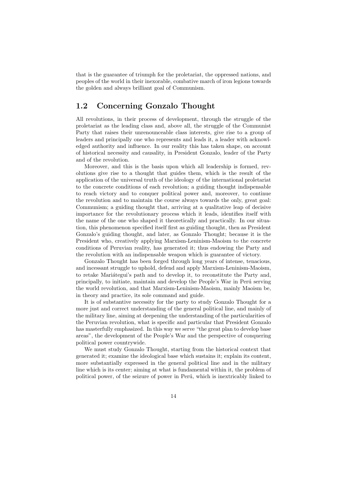that is the guarantee of triumph for the proletariat, the oppressed nations, and peoples of the world in their inexorable, combative march of iron legions towards the golden and always brilliant goal of Communism.

# 1.2 Concerning Gonzalo Thought

All revolutions, in their process of development, through the struggle of the proletariat as the leading class and, above all, the struggle of the Communist Party that raises their unrenounceable class interests, give rise to a group of leaders and principally one who represents and leads it, a leader with acknowledged authority and influence. In our reality this has taken shape, on account of historical necessity and causality, in President Gonzalo, leader of the Party and of the revolution.

Moreover, and this is the basis upon which all leadership is formed, revolutions give rise to a thought that guides them, which is the result of the application of the universal truth of the ideology of the international proletariat to the concrete conditions of each revolution; a guiding thought indispensable to reach victory and to conquer political power and, moreover, to continue the revolution and to maintain the course always towards the only, great goal: Communism; a guiding thought that, arriving at a qualitative leap of decisive importance for the revolutionary process which it leads, identifies itself with the name of the one who shaped it theoretically and practically. In our situation, this phenomenon specified itself first as guiding thought, then as President Gonzalo's guiding thought, and later, as Gonzalo Thought; because it is the President who, creatively applying Marxism-Leninism-Maoism to the concrete conditions of Peruvian reality, has generated it; thus endowing the Party and the revolution with an indispensable weapon which is guarantee of victory.

Gonzalo Thought has been forged through long years of intense, tenacious, and incessant struggle to uphold, defend and apply Marxism-Leninism-Maoism, to retake Mariátegui's path and to develop it, to reconstitute the Party and, principally, to initiate, maintain and develop the People's War in Perú serving the world revolution, and that Marxism-Leninism-Maoism, mainly Maoism be, in theory and practice, its sole command and guide.

It is of substantive necessity for the party to study Gonzalo Thought for a more just and correct understanding of the general political line, and mainly of the military line, aiming at deepening the understanding of the particularities of the Peruvian revolution, what is specific and particular that President Gonzalo has masterfully emphasized. In this way we serve "the great plan to develop base areas", the development of the People's War and the perspective of conquering political power countrywide.

We must study Gonzalo Thought, starting from the historical context that generated it; examine the ideological base which sustains it; explain its content, more substantially expressed in the general political line and in the military line which is its center; aiming at what is fundamental within it, the problem of political power, of the seizure of power in Perú, which is inextricably linked to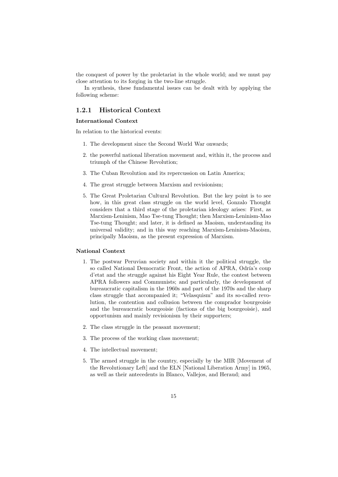the conquest of power by the proletariat in the whole world; and we must pay close attention to its forging in the two-line struggle.

In synthesis, these fundamental issues can be dealt with by applying the following scheme:

### 1.2.1 Historical Context

#### International Context

In relation to the historical events:

- 1. The development since the Second World War onwards;
- 2. the powerful national liberation movement and, within it, the process and triumph of the Chinese Revolution;
- 3. The Cuban Revolution and its repercussion on Latin America;
- 4. The great struggle between Marxism and revisionism;
- 5. The Great Proletarian Cultural Revolution. But the key point is to see how, in this great class struggle on the world level, Gonzalo Thought considers that a third stage of the proletarian ideology arises: First, as Marxism-Leninism, Mao Tse-tung Thought; then Marxism-Leninism-Mao Tse-tung Thought; and later, it is defined as Maoism, understanding its universal validity; and in this way reaching Marxism-Leninism-Maoism, principally Maoism, as the present expression of Marxism.

#### National Context

- 1. The postwar Peruvian society and within it the political struggle, the so called National Democratic Front, the action of APRA, Odría's coup d'etat and the struggle against his Eight Year Rule, the contest between APRA followers and Communists; and particularly, the development of bureaucratic capitalism in the 1960s and part of the 1970s and the sharp class struggle that accompanied it; "Velasquism" and its so-called revolution, the contention and collusion between the comprador bourgeoisie and the bureaucratic bourgeoisie (factions of the big bourgeoisie), and opportunism and mainly revisionism by their supporters;
- 2. The class struggle in the peasant movement;
- 3. The process of the working class movement;
- 4. The intellectual movement;
- 5. The armed struggle in the country, especially by the MIR [Movement of the Revolutionary Left] and the ELN [National Liberation Army] in 1965, as well as their antecedents in Blanco, Vallejos, and Heraud; and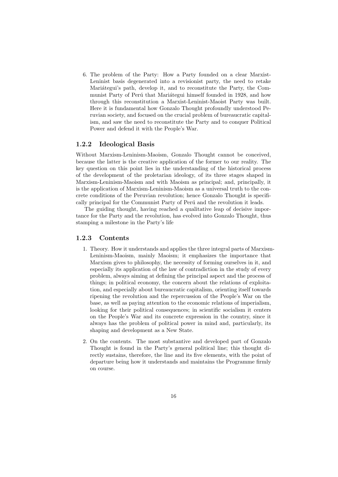6. The problem of the Party: How a Party founded on a clear Marxist-Leninist basis degenerated into a revisionist party, the need to retake Mariátegui's path, develop it, and to reconstitute the Party, the Communist Party of Perú that Mariátegui himself founded in 1928, and how through this reconstitution a Marxist-Leninist-Maoist Party was built. Here it is fundamental how Gonzalo Thought profoundly understood Peruvian society, and focused on the crucial problem of bureaucratic capitalism, and saw the need to reconstitute the Party and to conquer Political Power and defend it with the People's War.

#### 1.2.2 Ideological Basis

Without Marxism-Leninism-Maoism, Gonzalo Thought cannot be conceived, because the latter is the creative application of the former to our reality. The key question on this point lies in the understanding of the historical process of the development of the proletarian ideology, of its three stages shaped in Marxism-Leninism-Maoism and with Maoism as principal; and, principally, it is the application of Marxism-Leninism-Maoism as a universal truth to the concrete conditions of the Peruvian revolution; hence Gonzalo Thought is specifically principal for the Communist Party of Perú and the revolution it leads.

The guiding thought, having reached a qualitative leap of decisive importance for the Party and the revolution, has evolved into Gonzalo Thought, thus stamping a milestone in the Party's life

#### 1.2.3 Contents

- 1. Theory. How it understands and applies the three integral parts of Marxism-Leninism-Maoism, mainly Maoism; it emphasizes the importance that Marxism gives to philosophy, the necessity of forming ourselves in it, and especially its application of the law of contradiction in the study of every problem, always aiming at defining the principal aspect and the process of things; in political economy, the concern about the relations of exploitation, and especially about bureaucratic capitalism, orienting itself towards ripening the revolution and the repercussion of the People's War on the base, as well as paying attention to the economic relations of imperialism, looking for their political consequences; in scientific socialism it centers on the People's War and its concrete expression in the country, since it always has the problem of political power in mind and, particularly, its shaping and development as a New State.
- 2. On the contents. The most substantive and developed part of Gonzalo Thought is found in the Party's general political line; this thought directly sustains, therefore, the line and its five elements, with the point of departure being how it understands and maintains the Programme firmly on course.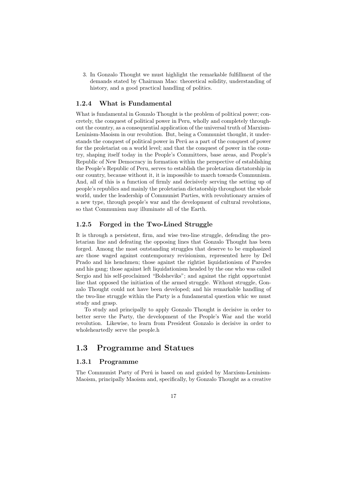3. In Gonzalo Thought we must highlight the remarkable fulfillment of the demands stated by Chairman Mao: theoretical solidity, understanding of history, and a good practical handling of politics.

#### 1.2.4 What is Fundamental

What is fundamental in Gonzalo Thought is the problem of political power; concretely, the conquest of political power in Peru, wholly and completely throughout the country, as a consequential application of the universal truth of Marxism-Leninism-Maoism in our revolution. But, being a Communist thought, it understands the conquest of political power in Perú as a part of the conquest of power for the proletariat on a world level; and that the conquest of power in the country, shaping itself today in the People's Committees, base areas, and People's Republic of New Democracy in formation within the perspective of establishing the People's Republic of Peru, serves to establish the proletarian dictatorship in our country, because without it, it is impossible to march towards Communism. And, all of this is a function of firmly and decisively serving the setting up of people's republics and mainly the proletarian dictatorship throughout the whole world, under the leadership of Communist Parties, with revolutionary armies of a new type, through people's war and the development of cultural revolutions, so that Communism may illuminate all of the Earth.

#### 1.2.5 Forged in the Two-Lined Struggle

It is through a persistent, firm, and wise two-line struggle, defending the proletarian line and defeating the opposing lines that Gonzalo Thought has been forged. Among the most outstanding struggles that deserve to be emphasized are those waged against contemporary revisionism, represented here by Del Prado and his henchmen; those against the rightist liquidationism of Paredes and his gang; those against left liquidationism headed by the one who was called Sergio and his self-proclaimed "Bolsheviks"; and against the right opportunist line that opposed the initiation of the armed struggle. Without struggle, Gonzalo Thought could not have been developed; and his remarkable handling of the two-line struggle within the Party is a fundamental question whic we must study and grasp.

To study and principally to apply Gonzalo Thought is decisive in order to better serve the Party, the development of the People's War and the world revolution. Likewise, to learn from President Gonzalo is decisive in order to wholeheartedly serve the people.h

### 1.3 Programme and Statues

#### 1.3.1 Programme

The Communist Party of Perú is based on and guided by Marxism-Leninism-Maoism, principally Maoism and, specifically, by Gonzalo Thought as a creative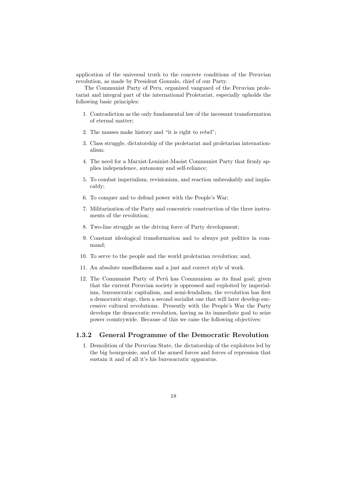application of the universal truth to the concrete conditions of the Peruvian revolution, as made by President Gonzalo, chief of our Party.

The Communist Party of Peru, organized vanguard of the Peruvian proletariat and integral part of the international Proletariat, especially upholds the following basic principles:

- 1. Contradiction as the only fundamental law of the incessant transformation of eternal matter;
- 2. The masses make history and "it is right to rebel";
- 3. Class struggle, dictatorship of the proletariat and proletarian internationalism;
- 4. The need for a Marxist-Leninist-Maoist Communist Party that firmly applies independence, autonomy and self-reliance;
- 5. To combat imperialism, revisionism, and reaction unbreakably and implacably;
- 6. To conquer and to defend power with the People's War;
- 7. Militarization of the Party and concentric construction of the three instruments of the revolution;
- 8. Two-line struggle as the driving force of Party development;
- 9. Constant ideological transformation and to always put politics in command;
- 10. To serve to the people and the world proletarian revolution; and,
- 11. An absolute unselfishness and a just and correct style of work.
- 12. The Communist Party of Perú has Communism as its final goal; given that the current Peruvian society is oppressed and exploited by imperialism, bureaucratic capitalism, and semi-feudalism, the revolution has first a democratic stage, then a second socialist one that will later develop successive cultural revolutions. Presently with the People's War the Party develops the democratic revolution, having as its immediate goal to seize power countrywide. Because of this we raise the following objectives:

#### 1.3.2 General Programme of the Democratic Revolution

1. Demolition of the Peruvian State, the dictatorship of the exploiters led by the big bourgeoisie, and of the armed forces and forces of repression that sustain it and of all it's his bureaucratic apparatus.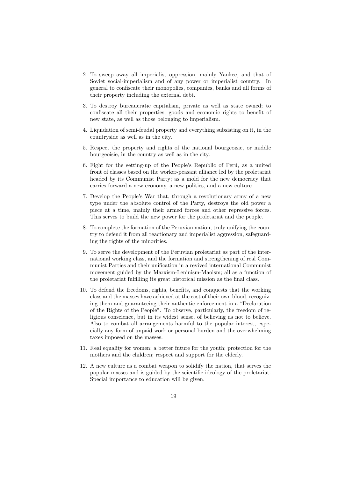- 2. To sweep away all imperialist oppression, mainly Yankee, and that of Soviet social-imperialism and of any power or imperialist country. In general to confiscate their monopolies, companies, banks and all forms of their property including the external debt.
- 3. To destroy bureaucratic capitalism, private as well as state owned; to confiscate all their properties, goods and economic rights to benefit of new state, as well as those belonging to imperialism.
- 4. Liquidation of semi-feudal property and everything subsisting on it, in the countryside as well as in the city.
- 5. Respect the property and rights of the national bourgeoisie, or middle bourgeoisie, in the country as well as in the city.
- 6. Fight for the setting-up of the People's Republic of Per $\acute{u}$ , as a united front of classes based on the worker-peasant alliance led by the proletariat headed by its Communist Party; as a mold for the new democracy that carries forward a new economy, a new politics, and a new culture.
- 7. Develop the People's War that, through a revolutionary army of a new type under the absolute control of the Party, destroys the old power a piece at a time, mainly their armed forces and other repressive forces. This serves to build the new power for the proletariat and the people.
- 8. To complete the formation of the Peruvian nation, truly unifying the country to defend it from all reactionary and imperialist aggression, safeguarding the rights of the minorities.
- 9. To serve the development of the Peruvian proletariat as part of the international working class, and the formation and strengthening of real Communist Parties and their unification in a revived international Communist movement guided by the Marxism-Leninism-Maoism; all as a function of the proletariat fulfilling its great historical mission as the final class.
- 10. To defend the freedoms, rights, benefits, and conquests that the working class and the masses have achieved at the cost of their own blood, recognizing them and guaranteeing their authentic enforcement in a "Declaration of the Rights of the People". To observe, particularly, the freedom of religious conscience, but in its widest sense, of believing as not to believe. Also to combat all arrangements harmful to the popular interest, especially any form of unpaid work or personal burden and the overwhelming taxes imposed on the masses.
- 11. Real equality for women; a better future for the youth; protection for the mothers and the children; respect and support for the elderly.
- 12. A new culture as a combat weapon to solidify the nation, that serves the popular masses and is guided by the scientific ideology of the proletariat. Special importance to education will be given.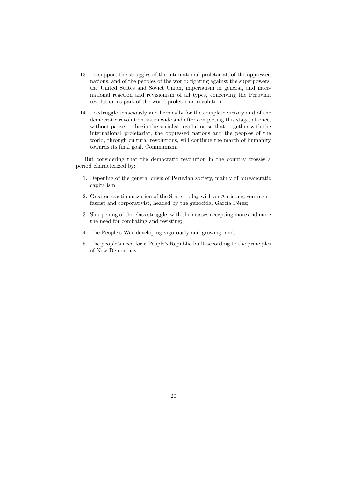- 13. To support the struggles of the international proletariat, of the oppressed nations, and of the peoples of the world; fighting against the superpowers, the United States and Soviet Union, imperialism in general, and international reaction and revisionism of all types, conceiving the Peruvian revolution as part of the world proletarian revolution.
- 14. To struggle tenaciously and heroically for the complete victory and of the democratic revolution nationwide and after completing this stage, at once, without pause, to begin the socialist revolution so that, together with the international proletariat, the oppressed nations and the peoples of the world, through cultural revolutions, will continue the march of humanity towards its final goal, Communism.

But considering that the democratic revolution in the country crosses a period characterized by:

- 1. Depening of the general crisis of Peruvian society, mainly of bureaucratic capitalism;
- 2. Greater reactionarization of the State, today with an Aprista government, fascist and corporativist, headed by the genocidal García Pérez;
- 3. Sharpening of the class struggle, with the masses accepting more and more the need for combating and resisting;
- 4. The People's War developing vigorously and growing; and,
- 5. The people's need for a People's Republic built according to the principles of New Democracy.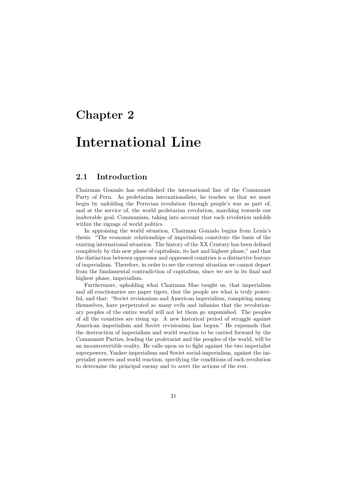# Chapter 2

# International Line

# 2.1 Introduction

Chairman Gonzalo has established the international line of the Communist Party of Peru. As proletarian internationalists, he teaches us that we must begin by unfolding the Peruvian revolution through people's war as part of, and at the service of, the world proletarian revolution, marching towards our inalterable goal, Communism, taking into account that each revolution unfolds within the zigzags of world politics.

In appraising the world situation, Chairman Gonzalo begins from Lenin's thesis: "The economic relationships of imperialism constitute the basis of the existing international situation. The history of the XX Century has been defined completely by this new phase of capitalism, its last and highest phase," and that the distinction between oppressor and oppressed countries is a distinctive feature of imperialism. Therefore, in order to see the current situation we cannot depart from the fundamental contradiction of capitalism, since we are in its final and highest phase, imperialism.

Furthermore, upholding what Chairman Mao taught us, that imperialism and all reactionaries are paper tigers, that the people are what is truly powerful, and that: "Soviet revisionism and American imperialism, conspiring among themselves, have perpetrated so many evils and infamies that the revolutionary peoples of the entire world will not let them go unpunished. The peoples of all the countries are rising up. A new historical period of struggle against American imperialism and Soviet revisionism has begun." He expounds that the destruction of imperialism and world reaction to be carried forward by the Communist Parties, leading the proletariat and the peoples of the world, will be an incontrovertible reality. He calls upon us to fight against the two imperialist superpowers, Yankee imperialism and Soviet social-imperialism, against the imperialist powers and world reaction, specifying the conditions of each revolution to determine the principal enemy and to avert the actions of the rest.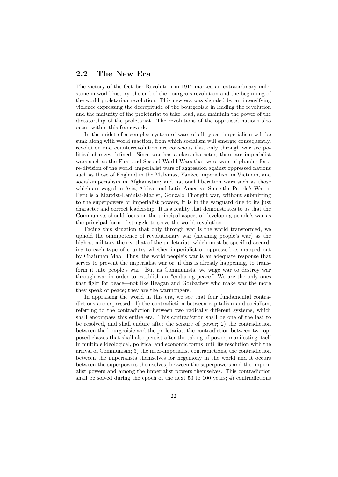# 2.2 The New Era

The victory of the October Revolution in 1917 marked an extraordinary milestone in world history, the end of the bourgeois revolution and the beginning of the world proletarian revolution. This new era was signaled by an intensifying violence expressing the decrepitude of the bourgeoisie in leading the revolution and the maturity of the proletariat to take, lead, and maintain the power of the dictatorship of the proletariat. The revolutions of the oppressed nations also occur within this framework.

In the midst of a complex system of wars of all types, imperialism will be sunk along with world reaction, from which socialism will emerge; consequently, revolution and counterrevolution are conscious that only through war are political changes defined. Since war has a class character, there are imperialist wars such as the First and Second World Wars that were wars of plunder for a re-division of the world; imperialist wars of aggression against oppressed nations such as those of England in the Malvinas, Yankee imperialism in Vietnam, and social-imperialism in Afghanistan; and national liberation wars such as those which are waged in Asia, Africa, and Latin America. Since the People's War in Peru is a Marxist-Leninist-Maoist, Gonzalo Thought war, without submitting to the superpowers or imperialist powers, it is in the vanguard due to its just character and correct leadership. It is a reality that demonstrates to us that the Communists should focus on the principal aspect of developing people's war as the principal form of struggle to serve the world revolution.

Facing this situation that only through war is the world transformed, we uphold the omnipotence of revolutionary war (meaning people's war) as the highest military theory, that of the proletariat, which must be specified according to each type of country whether imperialist or oppressed as mapped out by Chairman Mao. Thus, the world people's war is an adequate response that serves to prevent the imperialist war or, if this is already happening, to transform it into people's war. But as Communists, we wage war to destroy war through war in order to establish an "enduring peace." We are the only ones that fight for peace—not like Reagan and Gorbachev who make war the more they speak of peace; they are the warmongers.

In appraising the world in this era, we see that four fundamental contradictions are expressed: 1) the contradiction between capitalism and socialism, referring to the contradiction between two radically different systems, which shall encompass this entire era. This contradiction shall be one of the last to be resolved, and shall endure after the seizure of power; 2) the contradiction between the bourgeoisie and the proletariat, the contradiction between two opposed classes that shall also persist after the taking of power, manifesting itself in multiple ideological, political and economic forms until its resolution with the arrival of Communism; 3) the inter-imperialist contradictions, the contradiction between the imperialists themselves for hegemony in the world and it occurs between the superpowers themselves, between the superpowers and the imperialist powers and among the imperialist powers themselves. This contradiction shall be solved during the epoch of the next 50 to 100 years; 4) contradictions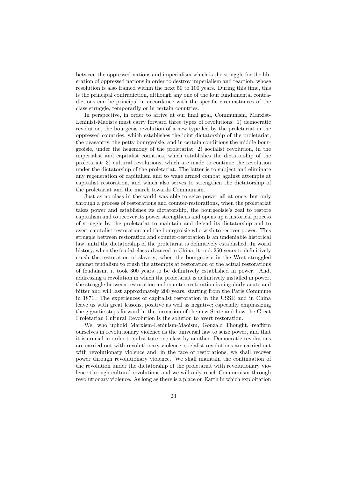between the oppressed nations and imperialism which is the struggle for the liberation of oppressed nations in order to destroy imperialism and reaction, whose resolution is also framed within the next 50 to 100 years. During this time, this is the principal contradiction, although any one of the four fundamental contradictions can be principal in accordance with the specific circumstances of the class struggle, temporarily or in certain countries.

In perspective, in order to arrive at our final goal, Communism, Marxist-Leninist-Maoists must carry forward three types of revolutions: 1) democratic revolution, the bourgeois revolution of a new type led by the proletariat in the oppressed countries, which establishes the joint dictatorship of the proletariat, the peasantry, the petty bourgeoisie, and in certain conditions the middle bourgeoisie, under the hegemony of the proletariat; 2) socialist revolution, in the imperialist and capitalist countries, which establishes the dictatorship of the proletariat; 3) cultural revolutions, which are made to continue the revolution under the dictatorship of the proletariat. The latter is to subject and eliminate any regeneration of capitalism and to wage armed combat against attempts at capitalist restoration, and which also serves to strengthen the dictatorship of the proletariat and the march towards Communism.

Just as no class in the world was able to seize power all at once, but only through a process of restorations and counter-restorations, when the proletariat takes power and establishes its dictatorship, the bourgeoisie's zeal to restore capitalism and to recover its power strengthens and opens up a historical process of struggle by the proletariat to maintain and defend its dictatorship and to avert capitalist restoration and the bourgeoisie who wish to recover power. This struggle between restoration and counter-restoration is an undeniable historical law, until the dictatorship of the proletariat is definitively established. In world history, when the feudal class advanced in China, it took 250 years to definitively crush the restoration of slavery; when the bourgeoisie in the West struggled against feudalism to crush the attempts at restoration or the actual restorations of feudalism, it took 300 years to be definitively established in power. And, addressing a revolution in which the proletariat is definitively installed in power, the struggle between restoration and counter-restoration is singularly acute and bitter and will last approximately 200 years, starting from the Paris Commune in 1871. The experiences of capitalist restoration in the USSR and in China leave us with great lessons, positive as well as negative; especially emphasizing the gigantic steps forward in the formation of the new State and how the Great Proletarian Cultural Revolution is the solution to avert restoration.

We, who uphold Marxism-Leninism-Maoism, Gonzalo Thought, reaffirm ourselves in revolutionary violence as the universal law to seize power, and that it is crucial in order to substitute one class by another. Democratic revolutions are carried out with revolutionary violence, socialist revolutions are carried out with revolutionary violence and, in the face of restorations, we shall recover power through revolutionary violence. We shall maintain the continuation of the revolution under the dictatorship of the proletariat with revolutionary violence through cultural revolutions and we will only reach Communism through revolutionary violence. As long as there is a place on Earth in which exploitation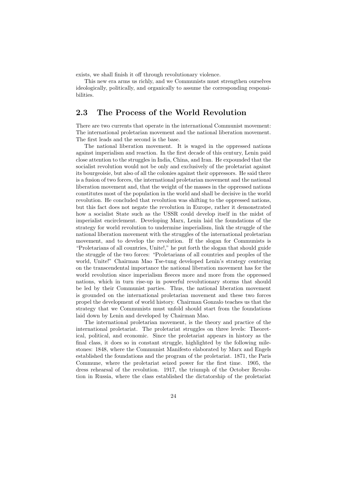exists, we shall finish it off through revolutionary violence.

This new era arms us richly, and we Communists must strengthen ourselves ideologically, politically, and organically to assume the corresponding responsibilities.

## 2.3 The Process of the World Revolution

There are two currents that operate in the international Communist movement: The international proletarian movement and the national liberation movement. The first leads and the second is the base.

The national liberation movement. It is waged in the oppressed nations against imperialism and reaction. In the first decade of this century, Lenin paid close attention to the struggles in India, China, and Iran. He expounded that the socialist revolution would not be only and exclusively of the proletariat against its bourgeoisie, but also of all the colonies against their oppressors. He said there is a fusion of two forces, the international proletarian movement and the national liberation movement and, that the weight of the masses in the oppressed nations constitutes most of the population in the world and shall be decisive in the world revolution. He concluded that revolution was shifting to the oppressed nations, but this fact does not negate the revolution in Europe, rather it demonstrated how a socialist State such as the USSR could develop itself in the midst of imperialist encirclement. Developing Marx, Lenin laid the foundations of the strategy for world revolution to undermine imperialism, link the struggle of the national liberation movement with the struggles of the international proletarian movement, and to develop the revolution. If the slogan for Communists is "Proletarians of all countries, Unite!," he put forth the slogan that should guide the struggle of the two forces: "Proletarians of all countries and peoples of the world, Unite!" Chairman Mao Tse-tung developed Lenin's strategy centering on the transcendental importance the national liberation movement has for the world revolution since imperialism fleeces more and more from the oppressed nations, which in turn rise-up in powerful revolutionary storms that should be led by their Communist parties. Thus, the national liberation movement is grounded on the international proletarian movement and these two forces propel the development of world history. Chairman Gonzalo teaches us that the strategy that we Communists must unfold should start from the foundations laid down by Lenin and developed by Chairman Mao.

The international proletarian movement, is the theory and practice of the international proletariat. The proletariat struggles on three levels: Theoretical, political, and economic. Since the proletariat appears in history as the final class, it does so in constant struggle, highlighted by the following milestones: 1848, where the Communist Manifesto elaborated by Marx and Engels established the foundations and the program of the proletariat. 1871, the Paris Commune, where the proletariat seized power for the first time. 1905, the dress rehearsal of the revolution. 1917, the triumph of the October Revolution in Russia, where the class established the dictatorship of the proletariat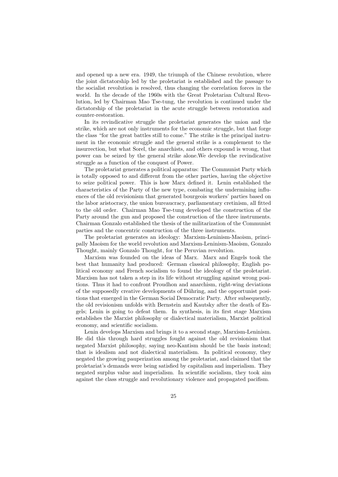and opened up a new era. 1949, the triumph of the Chinese revolution, where the joint dictatorship led by the proletariat is established and the passage to the socialist revolution is resolved, thus changing the correlation forces in the world. In the decade of the 1960s with the Great Proletarian Cultural Revolution, led by Chairman Mao Tse-tung, the revolution is continued under the dictatorship of the proletariat in the acute struggle between restoration and counter-restoration.

In its revindicative struggle the proletariat generates the union and the strike, which are not only instruments for the economic struggle, but that forge the class "for the great battles still to come." The strike is the principal instrument in the economic struggle and the general strike is a complement to the insurrection, but what Sorel, the anarchists, and others expound is wrong, that power can be seized by the general strike alone.We develop the revindicative struggle as a function of the conquest of Power.

The proletariat generates a political apparatus: The Communist Party which is totally opposed to and different from the other parties, having the objective to seize political power. This is how Marx defined it. Lenin established the characteristics of the Party of the new type, combating the undermining influences of the old revisionism that generated bourgeois workers' parties based on the labor aristocracy, the union bureaucracy, parliamentary cretinism, all fitted to the old order. Chairman Mao Tse-tung developed the construction of the Party around the gun and proposed the construction of the three instruments. Chairman Gonzalo established the thesis of the militarization of the Communist parties and the concentric construction of the three instruments.

The proletariat generates an ideology: Marxism-Leninism-Maoism, principally Maoism for the world revolution and Marxism-Leninism-Maoism, Gonzalo Thought, mainly Gonzalo Thought, for the Peruvian revolution.

Marxism was founded on the ideas of Marx. Marx and Engels took the best that humanity had produced: German classical philosophy, English political economy and French socialism to found the ideology of the proletariat. Marxism has not taken a step in its life without struggling against wrong positions. Thus it had to confront Proudhon and anarchism, right-wing deviations of the supposedly creative developments of Dühring, and the opportunist positions that emerged in the German Social Democratic Party. After subsequently, the old revisionism unfolds with Bernstein and Kautsky after the death of Engels; Lenin is going to defeat them. In synthesis, in its first stage Marxism establishes the Marxist philosophy or dialectical materialism, Marxist political economy, and scientific socialism.

Lenin develops Marxism and brings it to a second stage, Marxism-Leninism. He did this through hard struggles fought against the old revisionism that negated Marxist philosophy, saying neo-Kantism should be the basis instead; that is idealism and not dialectical materialism. In political economy, they negated the growing pauperization among the proletariat, and claimed that the proletariat's demands were being satisfied by capitalism and imperialism. They negated surplus value and imperialism. In scientific socialism, they took aim against the class struggle and revolutionary violence and propagated pacifism.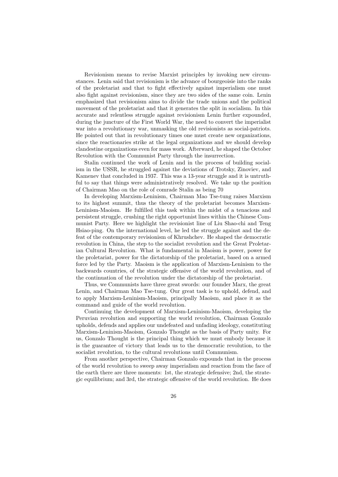Revisionism means to revise Marxist principles by invoking new circumstances. Lenin said that revisionism is the advance of bourgeoisie into the ranks of the proletariat and that to fight effectively against imperialism one must also fight against revisionism, since they are two sides of the same coin. Lenin emphasized that revisionism aims to divide the trade unions and the political movement of the proletariat and that it generates the split in socialism. In this accurate and relentless struggle against revisionism Lenin further expounded, during the juncture of the First World War, the need to convert the imperialist war into a revolutionary war, unmasking the old revisionists as social-patriots. He pointed out that in revolutionary times one must create new organizations, since the reactionaries strike at the legal organizations and we should develop clandestine organizations even for mass work. Afterward, he shaped the October Revolution with the Communist Party through the insurrection.

Stalin continued the work of Lenin and in the process of building socialism in the USSR, he struggled against the deviations of Trotsky, Zinoviev, and Kamenev that concluded in 1937. This was a 13-year struggle and it is untruthful to say that things were administratively resolved. We take up the position of Chairman Mao on the role of comrade Stalin as being 70

In developing Marxism-Leninism, Chairman Mao Tse-tung raises Marxism to its highest summit, thus the theory of the proletariat becomes Marxism-Leninism-Maoism. He fulfilled this task within the midst of a tenacious and persistent struggle, crushing the right opportunist lines within the Chinese Communist Party. Here we highlight the revisionist line of Liu Shao-chi and Teng Hsiao-ping. On the international level, he led the struggle against and the defeat of the contemporary revisionism of Khrushchev. He shaped the democratic revolution in China, the step to the socialist revolution and the Great Proletarian Cultural Revolution. What is fundamental in Maoism is power, power for the proletariat, power for the dictatorship of the proletariat, based on a armed force led by the Party. Maoism is the application of Marxism-Leninism to the backwards countries, of the strategic offensive of the world revolution, and of the continuation of the revolution under the dictatorship of the proletariat.

Thus, we Communists have three great swords: our founder Marx, the great Lenin, and Chairman Mao Tse-tung. Our great task is to uphold, defend, and to apply Marxism-Leninism-Maoism, principally Maoism, and place it as the command and guide of the world revolution.

Continuing the development of Marxism-Leninism-Maoism, developing the Peruvian revolution and supporting the world revolution, Chairman Gonzalo upholds, defends and applies our undefeated and unfading ideology, constituting Marxism-Leninism-Maoism, Gonzalo Thought as the basis of Party unity. For us, Gonzalo Thought is the principal thing which we must embody because it is the guarantee of victory that leads us to the democratic revolution, to the socialist revolution, to the cultural revolutions until Communism.

From another perspective, Chairman Gonzalo expounds that in the process of the world revolution to sweep away imperialism and reaction from the face of the earth there are three moments: 1st, the strategic defensive; 2nd, the strategic equilibrium; and 3rd, the strategic offensive of the world revolution. He does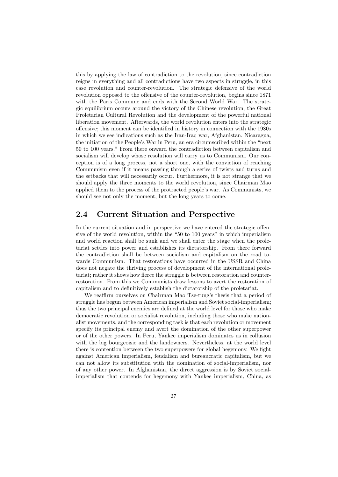this by applying the law of contradiction to the revolution, since contradiction reigns in everything and all contradictions have two aspects in struggle, in this case revolution and counter-revolution. The strategic defensive of the world revolution opposed to the offensive of the counter-revolution, begins since 1871 with the Paris Commune and ends with the Second World War. The strategic equilibrium occurs around the victory of the Chinese revolution, the Great Proletarian Cultural Revolution and the development of the powerful national liberation movement. Afterwards, the world revolution enters into the strategic offensive; this moment can be identified in history in connection with the 1980s in which we see indications such as the Iran-Iraq war, Afghanistan, Nicaragua, the initiation of the People's War in Peru, an era circumscribed within the "next 50 to 100 years." From there onward the contradiction between capitalism and socialism will develop whose resolution will carry us to Communism. Our conception is of a long process, not a short one, with the conviction of reaching Communism even if it means passing through a series of twists and turns and the setbacks that will necessarily occur. Furthermore, it is not strange that we should apply the three moments to the world revolution, since Chairman Mao applied them to the process of the protracted people's war. As Communists, we should see not only the moment, but the long years to come.

## 2.4 Current Situation and Perspective

In the current situation and in perspective we have entered the strategic offensive of the world revolution, within the "50 to 100 years" in which imperialism and world reaction shall be sunk and we shall enter the stage when the proletariat settles into power and establishes its dictatorship. From there forward the contradiction shall be between socialism and capitalism on the road towards Communism. That restorations have occurred in the USSR and China does not negate the thriving process of development of the international proletariat; rather it shows how fierce the struggle is between restoration and counterrestoration. From this we Communists draw lessons to avert the restoration of capitalism and to definitively establish the dictatorship of the proletariat.

We reaffirm ourselves on Chairman Mao Tse-tung's thesis that a period of struggle has begun between American imperialism and Soviet social-imperialism; thus the two principal enemies are defined at the world level for those who make democratic revolution or socialist revolution, including those who make nationalist movements, and the corresponding task is that each revolution or movement specify its principal enemy and avert the domination of the other superpower or of the other powers. In Peru, Yankee imperialism dominates us in collusion with the big bourgeoisie and the landowners. Nevertheless, at the world level there is contention between the two superpowers for global hegemony. We fight against American imperialism, feudalism and bureaucratic capitalism, but we can not allow its substitution with the domination of social-imperialism, nor of any other power. In Afghanistan, the direct aggression is by Soviet socialimperialism that contends for hegemony with Yankee imperialism, China, as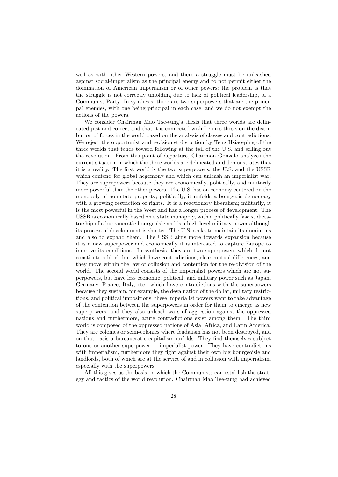well as with other Western powers, and there a struggle must be unleashed against social-imperialism as the principal enemy and to not permit either the domination of American imperialism or of other powers; the problem is that the struggle is not correctly unfolding due to lack of political leadership, of a Communist Party. In synthesis, there are two superpowers that are the principal enemies, with one being principal in each case, and we do not exempt the actions of the powers.

We consider Chairman Mao Tse-tung's thesis that three worlds are delineated just and correct and that it is connected with Lenin's thesis on the distribution of forces in the world based on the analysis of classes and contradictions. We reject the opportunist and revisionist distortion by Teng Hsiao-ping of the three worlds that tends toward following at the tail of the U.S. and selling out the revolution. From this point of departure, Chairman Gonzalo analyzes the current situation in which the three worlds are delineated and demonstrates that it is a reality. The first world is the two superpowers, the U.S. and the USSR which contend for global hegemony and which can unleash an imperialist war. They are superpowers because they are economically, politically, and militarily more powerful than the other powers. The U.S. has an economy centered on the monopoly of non-state property; politically, it unfolds a bourgeois democracy with a growing restriction of rights. It is a reactionary liberalism; militarily, it is the most powerful in the West and has a longer process of development. The USSR is economically based on a state monopoly, with a politically fascist dictatorship of a bureaucratic bourgeoisie and is a high-level military power although its process of development is shorter. The U.S. seeks to maintain its dominions and also to expand them. The USSR aims more towards expansion because it is a new superpower and economically it is interested to capture Europe to improve its conditions. In synthesis, they are two superpowers which do not constitute a block but which have contradictions, clear mutual differences, and they move within the law of collusion and contention for the re-division of the world. The second world consists of the imperialist powers which are not superpowers, but have less economic, political, and military power such as Japan, Germany, France, Italy, etc. which have contradictions with the superpowers because they sustain, for example, the devaluation of the dollar, military restrictions, and political impositions; these imperialist powers want to take advantage of the contention between the superpowers in order for them to emerge as new superpowers, and they also unleash wars of aggression against the oppressed nations and furthermore, acute contradictions exist among them. The third world is composed of the oppressed nations of Asia, Africa, and Latin America. They are colonies or semi-colonies where feudalism has not been destroyed, and on that basis a bureaucratic capitalism unfolds. They find themselves subject to one or another superpower or imperialist power. They have contradictions with imperialism, furthermore they fight against their own big bourgeoisie and landlords, both of which are at the service of and in collusion with imperialism, especially with the superpowers.

All this gives us the basis on which the Communists can establish the strategy and tactics of the world revolution. Chairman Mao Tse-tung had achieved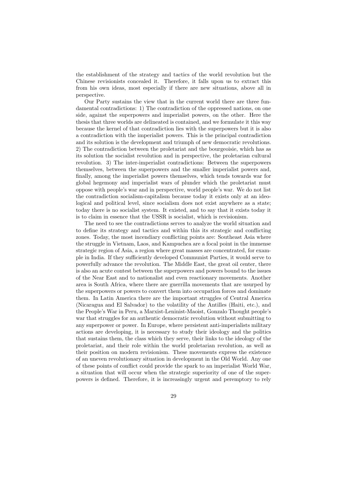the establishment of the strategy and tactics of the world revolution but the Chinese revisionists concealed it. Therefore, it falls upon us to extract this from his own ideas, most especially if there are new situations, above all in perspective.

Our Party sustains the view that in the current world there are three fundamental contradictions: 1) The contradiction of the oppressed nations, on one side, against the superpowers and imperialist powers, on the other. Here the thesis that three worlds are delineated is contained, and we formulate it this way because the kernel of that contradiction lies with the superpowers but it is also a contradiction with the imperialist powers. This is the principal contradiction and its solution is the development and triumph of new democratic revolutions. 2) The contradiction between the proletariat and the bourgeoisie, which has as its solution the socialist revolution and in perspective, the proletarian cultural revolution. 3) The inter-imperialist contradictions: Between the superpowers themselves, between the superpowers and the smaller imperialist powers and, finally, among the imperialist powers themselves, which tends towards war for global hegemony and imperialist wars of plunder which the proletariat must oppose with people's war and in perspective, world people's war. We do not list the contradiction socialism-capitalism because today it exists only at an ideological and political level, since socialism does not exist anywhere as a state; today there is no socialist system. It existed, and to say that it exists today it is to claim in essence that the USSR is socialist, which is revisionism.

The need to see the contradictions serves to analyze the world situation and to define its strategy and tactics and within this its strategic and conflicting zones. Today, the most incendiary conflicting points are: Southeast Asia where the struggle in Vietnam, Laos, and Kampuchea are a focal point in the immense strategic region of Asia, a region where great masses are concentrated, for example in India. If they sufficiently developed Communist Parties, it would serve to powerfully advance the revolution. The Middle East, the great oil center, there is also an acute contest between the superpowers and powers bound to the issues of the Near East and to nationalist and even reactionary movements. Another area is South Africa, where there are guerrilla movements that are usurped by the superpowers or powers to convert them into occupation forces and dominate them. In Latin America there are the important struggles of Central America (Nicaragua and El Salvador) to the volatility of the Antilles (Haiti, etc.), and the People's War in Peru, a Marxist-Leninist-Maoist, Gonzalo Thought people's war that struggles for an authentic democratic revolution without submitting to any superpower or power. In Europe, where persistent anti-imperialists military actions are developing, it is necessary to study their ideology and the politics that sustains them, the class which they serve, their links to the ideology of the proletariat, and their role within the world proletarian revolution, as well as their position on modern revisionism. These movements express the existence of an uneven revolutionary situation in development in the Old World. Any one of these points of conflict could provide the spark to an imperialist World War, a situation that will occur when the strategic superiority of one of the superpowers is defined. Therefore, it is increasingly urgent and peremptory to rely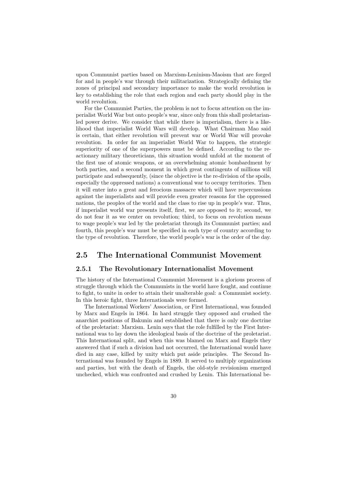upon Communist parties based on Marxism-Leninism-Maoism that are forged for and in people's war through their militarization. Strategically defining the zones of principal and secondary importance to make the world revolution is key to establishing the role that each region and each party should play in the world revolution.

For the Communist Parties, the problem is not to focus attention on the imperialist World War but onto people's war, since only from this shall proletarianled power derive. We consider that while there is imperialism, there is a likelihood that imperialist World Wars will develop. What Chairman Mao said is certain, that either revolution will prevent war or World War will provoke revolution. In order for an imperialist World War to happen, the strategic superiority of one of the superpowers must be defined. According to the reactionary military theoreticians, this situation would unfold at the moment of the first use of atomic weapons, or an overwhelming atomic bombardment by both parties, and a second moment in which great contingents of millions will participate and subsequently, (since the objective is the re-division of the spoils, especially the oppressed nations) a conventional war to occupy territories. Then it will enter into a great and ferocious massacre which will have repercussions against the imperialists and will provide even greater reasons for the oppressed nations, the peoples of the world and the class to rise up in people's war. Thus, if imperialist world war presents itself, first, we are opposed to it; second, we do not fear it as we center on revolution; third, to focus on revolution means to wage people's war led by the proletariat through its Communist parties; and fourth, this people's war must be specified in each type of country according to the type of revolution. Therefore, the world people's war is the order of the day.

## 2.5 The International Communist Movement

#### 2.5.1 The Revolutionary Internationalist Movement

The history of the International Communist Movement is a glorious process of struggle through which the Communists in the world have fought, and continue to fight, to unite in order to attain their unalterable goal: a Communist society. In this heroic fight, three Internationals were formed.

The International Workers' Association, or First International, was founded by Marx and Engels in 1864. In hard struggle they opposed and crushed the anarchist positions of Bakunin and established that there is only one doctrine of the proletariat: Marxism. Lenin says that the role fulfilled by the First International was to lay down the ideological basis of the doctrine of the proletariat. This International split, and when this was blamed on Marx and Engels they answered that if such a division had not occurred, the International would have died in any case, killed by unity which put aside principles. The Second International was founded by Engels in 1889. It served to multiply organizations and parties, but with the death of Engels, the old-style revisionism emerged unchecked, which was confronted and crushed by Lenin. This International be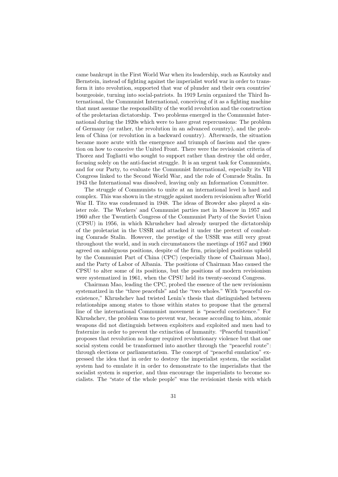came bankrupt in the First World War when its leadership, such as Kautsky and Bernstein, instead of fighting against the imperialist world war in order to transform it into revolution, supported that war of plunder and their own countries' bourgeoisie, turning into social-patriots. In 1919 Lenin organized the Third International, the Communist International, conceiving of it as a fighting machine that must assume the responsibility of the world revolution and the construction of the proletarian dictatorship. Two problems emerged in the Communist International during the 1920s which were to have great repercussions: The problem of Germany (or rather, the revolution in an advanced country), and the problem of China (or revolution in a backward country). Afterwards, the situation became more acute with the emergence and triumph of fascism and the question on how to conceive the United Front. There were the revisionist criteria of Thorez and Togliatti who sought to support rather than destroy the old order, focusing solely on the anti-fascist struggle. It is an urgent task for Communists, and for our Party, to evaluate the Communist International, especially its VII Congress linked to the Second World War, and the role of Comrade Stalin. In 1943 the International was dissolved, leaving only an Information Committee.

The struggle of Communists to unite at an international level is hard and complex. This was shown in the struggle against modern revisionism after World War II. Tito was condemned in 1948. The ideas of Browder also played a sinister role. The Workers' and Communist parties met in Moscow in 1957 and 1960 after the Twentieth Congress of the Communist Party of the Soviet Union (CPSU) in 1956, in which Khrushchev had already usurped the dictatorship of the proletariat in the USSR and attacked it under the pretext of combating Comrade Stalin. However, the prestige of the USSR was still very great throughout the world, and in such circumstances the meetings of 1957 and 1960 agreed on ambiguous positions, despite of the firm, principled positions upheld by the Communist Part of China (CPC) (especially those of Chairman Mao), and the Party of Labor of Albania. The positions of Chairman Mao caused the CPSU to alter some of its positions, but the positions of modern revisionism were systematized in 1961, when the CPSU held its twenty-second Congress.

Chairman Mao, leading the CPC, probed the essence of the new revisionism systematized in the "three peacefuls" and the "two wholes." With "peaceful coexistence," Khrushchev had twisted Lenin's thesis that distinguished between relationships among states to those within states to propose that the general line of the international Communist movement is "peaceful coexistence." For Khrushchev, the problem was to prevent war, because according to him, atomic weapons did not distinguish between exploiters and exploited and men had to fraternize in order to prevent the extinction of humanity. "Peaceful transition" proposes that revolution no longer required revolutionary violence but that one social system could be transformed into another through the "peaceful route": through elections or parliamentarism. The concept of "peaceful emulation" expressed the idea that in order to destroy the imperialist system, the socialist system had to emulate it in order to demonstrate to the imperialists that the socialist system is superior, and thus encourage the imperialists to become socialists. The "state of the whole people" was the revisionist thesis with which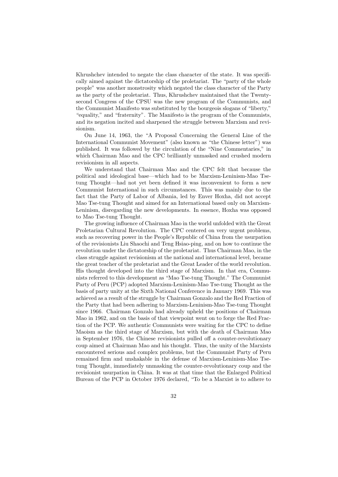Khrushchev intended to negate the class character of the state. It was specifically aimed against the dictatorship of the proletariat. The "party of the whole people" was another monstrosity which negated the class character of the Party as the party of the proletariat. Thus, Khrushchev maintained that the Twentysecond Congress of the CPSU was the new program of the Communists, and the Communist Manifesto was substituted by the bourgeois slogans of "liberty," "equality," and "fraternity". The Manifesto is the program of the Communists, and its negation incited and sharpened the struggle between Marxism and revisionism.

On June 14, 1963, the "A Proposal Concerning the General Line of the International Communist Movement" (also known as "the Chinese letter") was published. It was followed by the circulation of the "Nine Commentaries," in which Chairman Mao and the CPC brilliantly unmasked and crushed modern revisionism in all aspects.

We understand that Chairman Mao and the CPC felt that because the political and ideological base—which had to be Marxism-Leninism-Mao Tsetung Thought—had not yet been defined it was inconvenient to form a new Communist International in such circumstances. This was mainly due to the fact that the Party of Labor of Albania, led by Enver Hoxha, did not accept Mao Tse-tung Thought and aimed for an International based only on Marxism-Leninism, disregarding the new developments. In essence, Hoxha was opposed to Mao Tse-tung Thought.

The growing influence of Chairman Mao in the world unfolded with the Great Proletarian Cultural Revolution. The CPC centered on very urgent problems, such as recovering power in the People's Republic of China from the usurpation of the revisionists Liu Shaochi and Teng Hsiao-ping, and on how to continue the revolution under the dictatorship of the proletariat. Thus Chairman Mao, in the class struggle against revisionism at the national and international level, became the great teacher of the proletariat and the Great Leader of the world revolution. His thought developed into the third stage of Marxism. In that era, Communists referred to this development as "Mao Tse-tung Thought." The Communist Party of Peru (PCP) adopted Marxism-Leninism-Mao Tse-tung Thought as the basis of party unity at the Sixth National Conference in January 1969. This was achieved as a result of the struggle by Chairman Gonzalo and the Red Fraction of the Party that had been adhering to Marxism-Leninism-Mao Tse-tung Thought since 1966. Chairman Gonzalo had already upheld the positions of Chairman Mao in 1962, and on the basis of that viewpoint went on to forge the Red Fraction of the PCP. We authentic Communists were waiting for the CPC to define Maoism as the third stage of Marxism, but with the death of Chairman Mao in September 1976, the Chinese revisionists pulled off a counter-revolutionary coup aimed at Chairman Mao and his thought. Thus, the unity of the Marxists encountered serious and complex problems, but the Communist Party of Peru remained firm and unshakable in the defense of Marxism-Leninism-Mao Tsetung Thought, immediately unmasking the counter-revolutionary coup and the revisionist usurpation in China. It was at that time that the Enlarged Political Bureau of the PCP in October 1976 declared, "To be a Marxist is to adhere to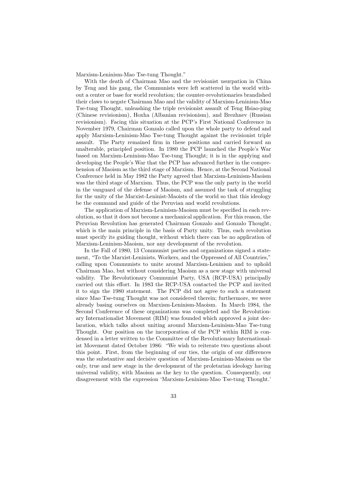Marxism-Leninism-Mao Tse-tung Thought."

With the death of Chairman Mao and the revisionist usurpation in China by Teng and his gang, the Communists were left scattered in the world without a center or base for world revolution; the counter-revolutionaries brandished their claws to negate Chairman Mao and the validity of Marxism-Leninism-Mao Tse-tung Thought, unleashing the triple revisionist assault of Teng Hsiao-ping (Chinese revisionism), Hoxha (Albanian revisionism), and Brezhnev (Russian revisionism). Facing this situation at the PCP's First National Conference in November 1979, Chairman Gonzalo called upon the whole party to defend and apply Marxism-Leninism-Mao Tse-tung Thought against the revisionist triple assault. The Party remained firm in these positions and carried forward an unalterable, principled position. In 1980 the PCP launched the People's War based on Marxism-Leninism-Mao Tse-tung Thought; it is in the applying and developing the People's War that the PCP has advanced further in the comprehension of Maoism as the third stage of Marxism. Hence, at the Second National Conference held in May 1982 the Party agreed that Marxism-Leninism-Maoism was the third stage of Marxism. Thus, the PCP was the only party in the world in the vanguard of the defense of Maoism, and assumed the task of struggling for the unity of the Marxist-Leninist-Maoists of the world so that this ideology be the command and guide of the Peruvian and world revolutions.

The application of Marxism-Leninism-Maoism must be specified in each revolution, so that it does not become a mechanical application. For this reason, the Peruvian Revolution has generated Chairman Gonzalo and Gonzalo Thought, which is the main principle in the basis of Party unity. Thus, each revolution must specify its guiding thought, without which there can be no application of Marxism-Leninism-Maoism, nor any development of the revolution.

In the Fall of 1980, 13 Communist parties and organizations signed a statement, "To the Marxist-Leninists, Workers, and the Oppressed of All Countries," calling upon Communists to unite around Marxism-Leninism and to uphold Chairman Mao, but without considering Maoism as a new stage with universal validity. The Revolutionary Communist Party, USA (RCP-USA) principally carried out this effort. In 1983 the RCP-USA contacted the PCP and invited it to sign the 1980 statement. The PCP did not agree to such a statement since Mao Tse-tung Thought was not considered therein; furthermore, we were already basing ourselves on Marxism-Leninism-Maoism. In March 1984, the Second Conference of these organizations was completed and the Revolutionary Internationalist Movement (RIM) was founded which approved a joint declaration, which talks about uniting around Marxism-Leninism-Mao Tse-tung Thought. Our position on the incorporation of the PCP within RIM is condensed in a letter written to the Committee of the Revolutionary Internationalist Movement dated October 1986: "We wish to reiterate two questions about this point. First, from the beginning of our ties, the origin of our differences was the substantive and decisive question of Marxism-Leninism-Maoism as the only, true and new stage in the development of the proletarian ideology having universal validity, with Maoism as the key to the question. Consequently, our disagreement with the expression 'Marxism-Leninism-Mao Tse-tung Thought.'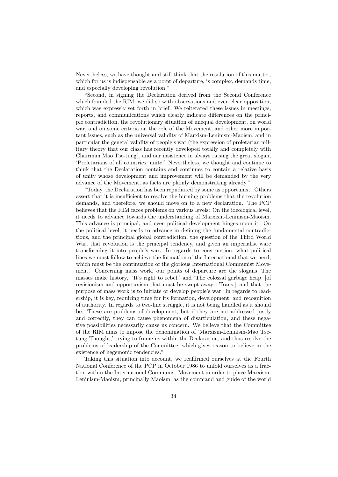Nevertheless, we have thought and still think that the resolution of this matter, which for us is indispensable as a point of departure, is complex, demands time, and especially developing revolution."

"Second, in signing the Declaration derived from the Second Conference which founded the RIM, we did so with observations and even clear opposition, which was expressly set forth in brief. We reiterated these issues in meetings, reports, and communications which clearly indicate differences on the principle contradiction, the revolutionary situation of unequal development, on world war, and on some criteria on the role of the Movement, and other more important issues, such as the universal validity of Marxism-Leninism-Maoism, and in particular the general validity of people's war (the expression of proletarian military theory that our class has recently developed totally and completely with Chairman Mao Tse-tung), and our insistence in always raising the great slogan, 'Proletarians of all countries, unite!' Nevertheless, we thought and continue to think that the Declaration contains and continues to contain a relative basis of unity whose development and improvement will be demanded by the very advance of the Movement, as facts are plainly demonstrating already."

"Today, the Declaration has been repudiated by some as opportunist. Others assert that it is insufficient to resolve the burning problems that the revolution demands, and therefore, we should move on to a new declaration. The PCP believes that the RIM faces problems on various levels: On the ideological level, it needs to advance towards the understanding of Marxism-Leninism-Maoism. This advance is principal, and even political development hinges upon it. On the political level, it needs to advance in defining the fundamental contradictions, and the principal global contradiction, the question of the Third World War, that revolution is the principal tendency, and given an imperialist ware transforming it into people's war. In regards to construction, what political lines we must follow to achieve the formation of the International that we need, which must be the continuation of the glorious International Communist Movement. Concerning mass work, our points of departure are the slogans 'The masses make history,' 'It's right to rebel,' and 'The colossal garbage heap' [of revisionism and opportunism that must be swept away—Trans.] and that the purpose of mass work is to initiate or develop people's war. In regards to leadership, it is key, requiring time for its formation, development, and recognition of authority. In regards to two-line struggle, it is not being handled as it should be. These are problems of development, but if they are not addressed justly and correctly, they can cause phenomena of disarticulation, and these negative possibilities necessarily cause us concern. We believe that the Committee of the RIM aims to impose the denomination of 'Marxism-Leninism-Mao Tsetung Thought,' trying to frame us within the Declaration, and thus resolve the problems of leadership of the Committee, which gives reason to believe in the existence of hegemonic tendencies."

Taking this situation into account, we reaffirmed ourselves at the Fourth National Conference of the PCP in October 1986 to unfold ourselves as a fraction within the International Communist Movement in order to place Marxism-Leninism-Maoism, principally Maoism, as the command and guide of the world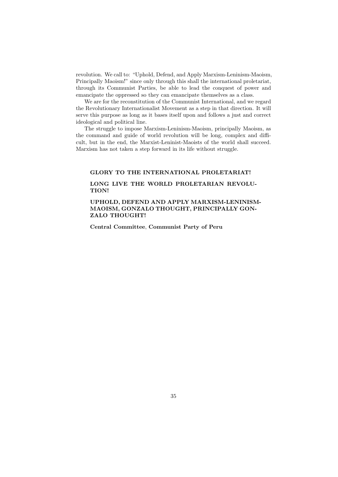revolution. We call to: "Uphold, Defend, and Apply Marxism-Leninism-Maoism, Principally Maoism!" since only through this shall the international proletariat, through its Communist Parties, be able to lead the conquest of power and emancipate the oppressed so they can emancipate themselves as a class.

We are for the reconstitution of the Communist International, and we regard the Revolutionary Internationalist Movement as a step in that direction. It will serve this purpose as long as it bases itself upon and follows a just and correct ideological and political line.

The struggle to impose Marxism-Leninism-Maoism, principally Maoism, as the command and guide of world revolution will be long, complex and difficult, but in the end, the Marxist-Leninist-Maoists of the world shall succeed. Marxism has not taken a step forward in its life without struggle.

#### GLORY TO THE INTERNATIONAL PROLETARIAT!

#### LONG LIVE THE WORLD PROLETARIAN REVOLU-TION!

#### UPHOLD, DEFEND AND APPLY MARXISM-LENINISM-MAOISM, GONZALO THOUGHT, PRINCIPALLY GON-ZALO THOUGHT!

Central Committee, Communist Party of Peru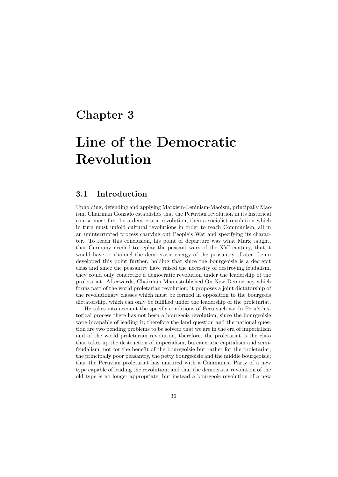# Chapter 3

# Line of the Democratic Revolution

### 3.1 Introduction

Upholding, defending and applying Marxism-Leninism-Maoism, principally Maoism, Chairman Gonzalo establishes that the Peruvian revolution in its historical course must first be a democratic revolution, then a socialist revolution which in turn must unfold cultural revolutions in order to reach Communism, all in an uninterrupted process carrying out People's War and specifying its character. To reach this conclusion, his point of departure was what Marx taught, that Germany needed to replay the peasant wars of the XVI century, that it would have to channel the democratic energy of the peasantry. Later, Lenin developed this point further, holding that since the bourgeoisie is a decrepit class and since the peasantry have raised the necessity of destroying feudalism, they could only concretize a democratic revolution under the leadership of the proletariat. Afterwards, Chairman Mao established On New Democracy which forms part of the world proletarian revolution; it proposes a joint dictatorship of the revolutionary classes which must be formed in opposition to the bourgeois dictatorship, which can only be fulfilled under the leadership of the proletariat.

He takes into account the specific conditions of Peru such as: In Peru's historical process there has not been a bourgeois revolution, since the bourgeoisie were incapable of leading it; therefore the land question and the national question are two pending problems to be solved; that we are in the era of imperialism and of the world proletarian revolution, therefore, the proletariat is the class that takes up the destruction of imperialism, bureaucratic capitalism and semifeudalism, not for the benefit of the bourgeoisie but rather for the proletariat, the principally poor peasantry, the petty bourgeoisie and the middle bourgeoisie; that the Peruvian proletariat has matured with a Communist Party of a new type capable of leading the revolution; and that the democratic revolution of the old type is no longer appropriate, but instead a bourgeois revolution of a new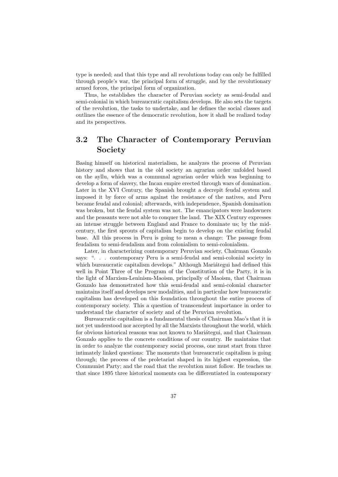type is needed; and that this type and all revolutions today can only be fulfilled through people's war, the principal form of struggle, and by the revolutionary armed forces, the principal form of organization.

Thus, he establishes the character of Peruvian society as semi-feudal and semi-colonial in which bureaucratic capitalism develops. He also sets the targets of the revolution, the tasks to undertake, and he defines the social classes and outlines the essence of the democratic revolution, how it shall be realized today and its perspectives.

### 3.2 The Character of Contemporary Peruvian Society

Basing himself on historical materialism, he analyzes the process of Peruvian history and shows that in the old society an agrarian order unfolded based on the ayllu, which was a communal agrarian order which was beginning to develop a form of slavery, the Incan empire erected through wars of domination. Later in the XVI Century, the Spanish brought a decrepit feudal system and imposed it by force of arms against the resistance of the natives, and Peru became feudal and colonial; afterwards, with independence, Spanish domination was broken, but the feudal system was not. The emancipators were landowners and the peasants were not able to conquer the land. The XIX Century expresses an intense struggle between England and France to dominate us; by the midcentury, the first sprouts of capitalism begin to develop on the existing feudal base. All this process in Peru is going to mean a change: The passage from feudalism to semi-feudalism and from colonialism to semi-colonialism.

Later, in characterizing contemporary Peruvian society, Chairman Gonzalo says: ". . . contemporary Peru is a semi-feudal and semi-colonial society in which bureaucratic capitalism develops." Although Mariategui had defined this well in Point Three of the Program of the Constitution of the Party, it is in the light of Marxism-Leninism-Maoism, principally of Maoism, that Chairman Gonzalo has demonstrated how this semi-feudal and semi-colonial character maintains itself and develops new modalities, and in particular how bureaucratic capitalism has developed on this foundation throughout the entire process of contemporary society. This a question of transcendent importance in order to understand the character of society and of the Peruvian revolution.

Bureaucratic capitalism is a fundamental thesis of Chairman Mao's that it is not yet understood nor accepted by all the Marxists throughout the world, which for obvious historical reasons was not known to Mari $\alpha$ tegui, and that Chairman Gonzalo applies to the concrete conditions of our country. He maintains that in order to analyze the contemporary social process, one must start from three intimately linked questions: The moments that bureaucratic capitalism is going through; the process of the proletariat shaped in its highest expression, the Communist Party; and the road that the revolution must follow. He teaches us that since 1895 three historical moments can be differentiated in contemporary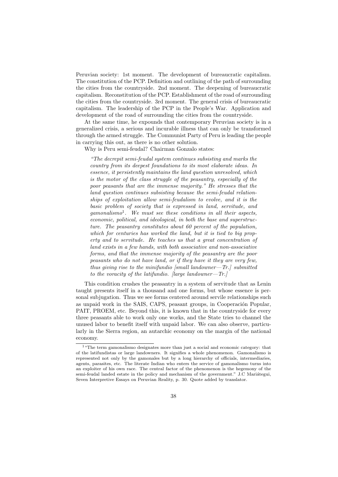Peruvian society: 1st moment. The development of bureaucratic capitalism. The constitution of the PCP. Definition and outlining of the path of surrounding the cities from the countryside. 2nd moment. The deepening of bureaucratic capitalism. Reconstitution of the PCP. Establishment of the road of surrounding the cities from the countryside. 3rd moment. The general crisis of bureaucratic capitalism. The leadership of the PCP in the People's War. Application and development of the road of surrounding the cities from the countryside.

At the same time, he expounds that contemporary Peruvian society is in a generalized crisis, a serious and incurable illness that can only be transformed through the armed struggle. The Communist Party of Peru is leading the people in carrying this out, as there is no other solution.

Why is Peru semi-feudal? Chairman Gonzalo states:

"The decrepit semi-feudal system continues subsisting and marks the country from its deepest foundations to its most elaborate ideas. In essence, it persistently maintains the land question unresolved, which is the motor of the class struggle of the peasantry, especially of the poor peasants that are the immense majority." He stresses that the land question continues subsisting because the semi-feudal relationships of exploitation allow semi-feudalism to evolve, and it is the basic problem of society that is expressed in land, servitude, and  $gamma<sup>1</sup>$ . We must see these conditions in all their aspects, economic, political, and ideological, in both the base and superstructure. The peasantry constitutes about 60 percent of the population, which for centuries has worked the land, but it is tied to big property and to servitude. He teaches us that a great concentration of land exists in a few hands, with both associative and non-associative forms, and that the immense majority of the peasantry are the poor peasants who do not have land, or if they have it they are very few, thus giving rise to the minifundio [small landowner—Tr.] submitted to the voracity of the latifundio. [large landowner—Tr.]

This condition crushes the peasantry in a system of servitude that as Lenin taught presents itself in a thousand and one forms, but whose essence is personal subjugation. Thus we see forms centered around servile relationships such as unpaid work in the SAIS, CAPS, peasant groups, in Cooperación Popular, PAIT, PROEM, etc. Beyond this, it is known that in the countryside for every three peasants able to work only one works, and the State tries to channel the unused labor to benefit itself with unpaid labor. We can also observe, particularly in the Sierra region, an autarchic economy on the margin of the national economy.

<sup>&</sup>lt;sup>1</sup> "The term gamonalismo designates more than just a social and economic category: that of the latifundistas or large landowners. It signifies a whole phenomenon. Gamonalismo is represented not only by the gamonales but by a long hierarchy of officials, intermediaries, agents, parasites, etc. The literate Indian who enters the service of gamonalismo turns into an exploiter of his own race. The central factor of the phenomenon is the hegemony of the semi-feudal landed estate in the policy and mechanism of the government." J.C Mariátegui, Seven Interpretive Essays on Peruvian Reality, p. 30. Quote added by translator.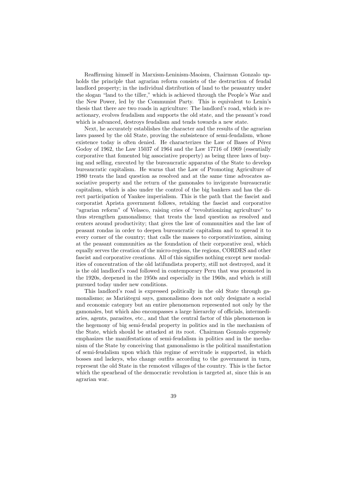Reaffirming himself in Marxism-Leninism-Maoism, Chairman Gonzalo upholds the principle that agrarian reform consists of the destruction of feudal landlord property; in the individual distribution of land to the peasantry under the slogan "land to the tiller," which is achieved through the People's War and the New Power, led by the Communist Party. This is equivalent to Lenin's thesis that there are two roads in agriculture: The landlord's road, which is reactionary, evolves feudalism and supports the old state, and the peasant's road which is advanced, destroys feudalism and tends towards a new state.

Next, he accurately establishes the character and the results of the agrarian laws passed by the old State, proving the subsistence of semi-feudalism, whose existence today is often denied. He characterizes the Law of Bases of Pérez Godoy of 1962, the Law 15037 of 1964 and the Law 17716 of 1969 (essentially corporative that fomented big associative property) as being three laws of buying and selling, executed by the bureaucratic apparatus of the State to develop bureaucratic capitalism. He warns that the Law of Promoting Agriculture of 1980 treats the land question as resolved and at the same time advocates associative property and the return of the gamonales to invigorate bureaucratic capitalism, which is also under the control of the big bankers and has the direct participation of Yankee imperialism. This is the path that the fascist and corporatist Aprista government follows, retaking the fascist and corporative "agrarian reform" of Velasco, raising cries of "revolutionizing agriculture" to thus strengthen gamonalismo; that treats the land question as resolved and centers around productivity; that gives the law of communities and the law of peasant rondas in order to deepen bureaucratic capitalism and to spread it to every corner of the country; that calls the masses to corporativization, aiming at the peasant communities as the foundation of their corporative zeal, which equally serves the creation of the micro-regions, the regions, CORDES and other fascist and corporative creations. All of this signifies nothing except new modalities of concentration of the old latifundista property, still not destroyed, and it is the old landlord's road followed in contemporary Peru that was promoted in the 1920s, deepened in the 1950s and especially in the 1960s, and which is still pursued today under new conditions.

This landlord's road is expressed politically in the old State through gamonalismo; as Mariátegui says, gamonalismo does not only designate a social and economic category but an entire phenomenon represented not only by the gamonales, but which also encompasses a large hierarchy of officials, intermediaries, agents, parasites, etc., and that the central factor of this phenomenon is the hegemony of big semi-feudal property in politics and in the mechanism of the State, which should be attacked at its root. Chairman Gonzalo expressly emphasizes the manifestations of semi-feudalism in politics and in the mechanism of the State by conceiving that gamonalismo is the political manifestation of semi-feudalism upon which this regime of servitude is supported, in which bosses and lackeys, who change outfits according to the government in turn, represent the old State in the remotest villages of the country. This is the factor which the spearhead of the democratic revolution is targeted at, since this is an agrarian war.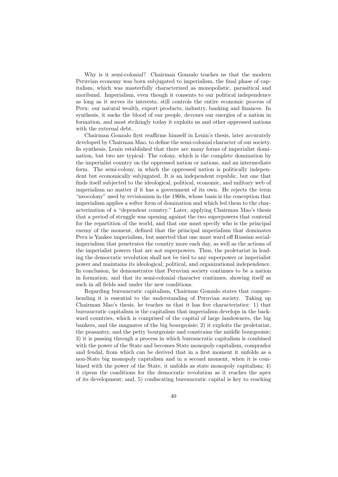Why is it semi-colonial? Chairman Gonzalo teaches us that the modern Peruvian economy was born subjugated to imperialism, the final phase of capitalism, which was masterfully characterized as monopolistic, parasitical and moribund. Imperialism, even though it consents to our political independence as long as it serves its interests, still controls the entire economic process of Peru: our natural wealth, export products, industry, banking and finances. In synthesis, it sucks the blood of our people, devours our energies of a nation in formation, and most strikingly today it exploits us and other oppressed nations with the external debt.

Chairman Gonzalo first reaffirms himself in Lenin's thesis, later accurately developed by Chairman Mao, to define the semi-colonial character of our society. In synthesis, Lenin established that there are many forms of imperialist domination, but two are typical: The colony, which is the complete domination by the imperialist country on the oppressed nation or nations, and an intermediate form. The semi-colony, in which the oppressed nation is politically independent but economically subjugated. It is an independent republic, but one that finds itself subjected to the ideological, political, economic, and military web of imperialism no matter if it has a government of its own. He rejects the term "neocolony" used by revisionism in the 1960s, whose basis is the conception that imperialism applies a softer form of domination and which led them to the characterization of a "dependent country." Later, applying Chairman Mao's thesis that a period of struggle was opening against the two superpowers that contend for the repartition of the world, and that one must specify who is the principal enemy of the moment, defined that the principal imperialism that dominates Peru is Yankee imperialism, but asserted that one must ward off Russian socialimperialism that penetrates the country more each day, as well as the actions of the imperialist powers that are not superpowers. Thus, the proletariat in leading the democratic revolution shall not be tied to any superpower or imperialist power and maintains its ideological, political, and organizational independence. In conclusion, he demonstrates that Peruvian society continues to be a nation in formation, and that its semi-colonial character continues, showing itself as such in all fields and under the new conditions.

Regarding bureaucratic capitalism, Chairman Gonzalo states that comprehending it is essential to the understanding of Peruvian society. Taking up Chairman Mao's thesis, he teaches us that it has five characteristics: 1) that bureaucratic capitalism is the capitalism that imperialism develops in the backward countries, which is comprised of the capital of large landowners, the big bankers, and the magnates of the big bourgeoisie; 2) it exploits the proletariat, the peasantry, and the petty bourgeoisie and constrains the middle bourgeoisie; 3) it is passing through a process in which bureaucratic capitalism is combined with the power of the State and becomes State monopoly capitalism, comprador and feudal, from which can be derived that in a first moment it unfolds as a non-State big monopoly capitalism and in a second moment, when it is combined with the power of the State, it unfolds as state monopoly capitalism; 4) it ripens the conditions for the democratic revolution as it reaches the apex of its development; and, 5) confiscating bureaucratic capital is key to reaching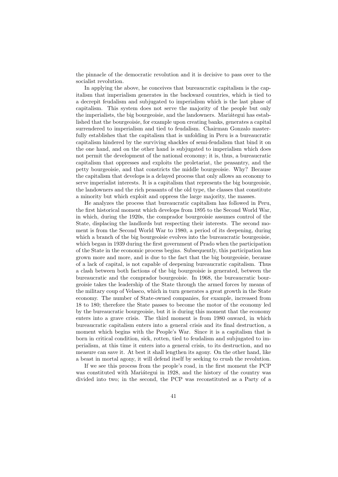the pinnacle of the democratic revolution and it is decisive to pass over to the socialist revolution.

In applying the above, he conceives that bureaucratic capitalism is the capitalism that imperialism generates in the backward countries, which is tied to a decrepit feudalism and subjugated to imperialism which is the last phase of capitalism. This system does not serve the majority of the people but only the imperialists, the big bourgeoisie, and the landowners. Mari $\alpha$ tegui has established that the bourgeoisie, for example upon creating banks, generates a capital surrendered to imperialism and tied to feudalism. Chairman Gonzalo masterfully establishes that the capitalism that is unfolding in Peru is a bureaucratic capitalism hindered by the surviving shackles of semi-feudalism that bind it on the one hand, and on the other hand is subjugated to imperialism which does not permit the development of the national economy; it is, thus, a bureaucratic capitalism that oppresses and exploits the proletariat, the peasantry, and the petty bourgeoisie, and that constricts the middle bourgeoisie. Why? Because the capitalism that develops is a delayed process that only allows an economy to serve imperialist interests. It is a capitalism that represents the big bourgeoisie, the landowners and the rich peasants of the old type, the classes that constitute a minority but which exploit and oppress the large majority, the masses.

He analyzes the process that bureaucratic capitalism has followed in Peru, the first historical moment which develops from 1895 to the Second World War, in which, during the 1920s, the comprador bourgeoisie assumes control of the State, displacing the landlords but respecting their interests. The second moment is from the Second World War to 1980, a period of its deepening, during which a branch of the big bourgeoisie evolves into the bureaucratic bourgeoisie, which began in 1939 during the first government of Prado when the participation of the State in the economic process begins. Subsequently, this participation has grown more and more, and is due to the fact that the big bourgeoisie, because of a lack of capital, is not capable of deepening bureaucratic capitalism. Thus a clash between both factions of the big bourgeoisie is generated, between the bureaucratic and the comprador bourgeoisie. In 1968, the bureaucratic bourgeoisie takes the leadership of the State through the armed forces by means of the military coup of Velasco, which in turn generates a great growth in the State economy. The number of State-owned companies, for example, increased from 18 to 180; therefore the State passes to become the motor of the economy led by the bureaucratic bourgeoisie, but it is during this moment that the economy enters into a grave crisis. The third moment is from 1980 onward, in which bureaucratic capitalism enters into a general crisis and its final destruction, a moment which begins with the People's War. Since it is a capitalism that is born in critical condition, sick, rotten, tied to feudalism and subjugated to imperialism, at this time it enters into a general crisis, to its destruction, and no measure can save it. At best it shall lengthen its agony. On the other hand, like a beast in mortal agony, it will defend itself by seeking to crush the revolution.

If we see this process from the people's road, in the first moment the PCP was constituted with Mariátegui in 1928, and the history of the country was divided into two; in the second, the PCP was reconstituted as a Party of a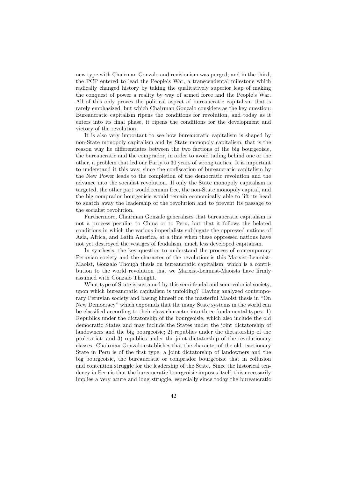new type with Chairman Gonzalo and revisionism was purged; and in the third, the PCP entered to lead the People's War, a transcendental milestone which radically changed history by taking the qualitatively superior leap of making the conquest of power a reality by way of armed force and the People's War. All of this only proves the political aspect of bureaucratic capitalism that is rarely emphasized, but which Chairman Gonzalo considers as the key question: Bureaucratic capitalism ripens the conditions for revolution, and today as it enters into its final phase, it ripens the conditions for the development and victory of the revolution.

It is also very important to see how bureaucratic capitalism is shaped by non-State monopoly capitalism and by State monopoly capitalism, that is the reason why he differentiates between the two factions of the big bourgeoisie, the bureaucratic and the comprador, in order to avoid tailing behind one or the other, a problem that led our Party to 30 years of wrong tactics. It is important to understand it this way, since the confiscation of bureaucratic capitalism by the New Power leads to the completion of the democratic revolution and the advance into the socialist revolution. If only the State monopoly capitalism is targeted, the other part would remain free, the non-State monopoly capital, and the big comprador bourgeoisie would remain economically able to lift its head to snatch away the leadership of the revolution and to prevent its passage to the socialist revolution.

Furthermore, Chairman Gonzalo generalizes that bureaucratic capitalism is not a process peculiar to China or to Peru, but that it follows the belated conditions in which the various imperialists subjugate the oppressed nations of Asia, Africa, and Latin America, at a time when these oppressed nations have not yet destroyed the vestiges of feudalism, much less developed capitalism.

In synthesis, the key question to understand the process of contemporary Peruvian society and the character of the revolution is this Marxist-Leninist-Maoist, Gonzalo Though thesis on bureaucratic capitalism, which is a contribution to the world revolution that we Marxist-Leninist-Maoists have firmly assumed with Gonzalo Thought.

What type of State is sustained by this semi-feudal and semi-colonial society, upon which bureaucratic capitalism is unfolding? Having analyzed contemporary Peruvian society and basing himself on the masterful Maoist thesis in "On New Democracy" which expounds that the many State systems in the world can be classified according to their class character into three fundamental types: 1) Republics under the dictatorship of the bourgeoisie, which also include the old democratic States and may include the States under the joint dictatorship of landowners and the big bourgeoisie; 2) republics under the dictatorship of the proletariat; and 3) republics under the joint dictatorship of the revolutionary classes. Chairman Gonzalo establishes that the character of the old reactionary State in Peru is of the first type, a joint dictatorship of landowners and the big bourgeoisie, the bureaucratic or comprador bourgeoisie that in collusion and contention struggle for the leadership of the State. Since the historical tendency in Peru is that the bureaucratic bourgeoisie imposes itself, this necessarily implies a very acute and long struggle, especially since today the bureaucratic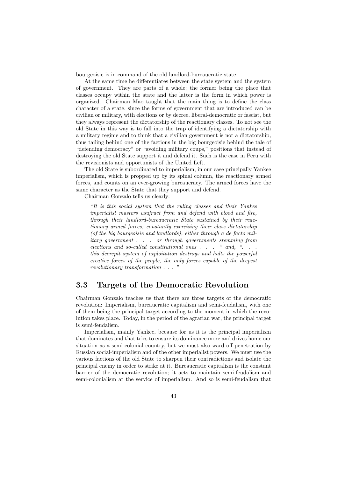bourgeoisie is in command of the old landlord-bureaucratic state.

At the same time he differentiates between the state system and the system of government. They are parts of a whole; the former being the place that classes occupy within the state and the latter is the form in which power is organized. Chairman Mao taught that the main thing is to define the class character of a state, since the forms of government that are introduced can be civilian or military, with elections or by decree, liberal-democratic or fascist, but they always represent the dictatorship of the reactionary classes. To not see the old State in this way is to fall into the trap of identifying a dictatorship with a military regime and to think that a civilian government is not a dictatorship, thus tailing behind one of the factions in the big bourgeoisie behind the tale of "defending democracy" or "avoiding military coups," positions that instead of destroying the old State support it and defend it. Such is the case in Peru with the revisionists and opportunists of the United Left.

The old State is subordinated to imperialism, in our case principally Yankee imperialism, which is propped up by its spinal column, the reactionary armed forces, and counts on an ever-growing bureaucracy. The armed forces have the same character as the State that they support and defend.

Chairman Gonzalo tells us clearly:

"It is this social system that the ruling classes and their Yankee imperialist masters usufruct from and defend with blood and fire, through their landlord-bureaucratic State sustained by their reactionary armed forces; constantly exercising their class dictatorship (of the big bourgeoisie and landlords), either through a de facto military government . . . or through governments stemming from elections and so-called constitutional ones  $\ldots$  " and, "... this decrepit system of exploitation destroys and halts the powerful creative forces of the people, the only forces capable of the deepest revolutionary transformation . . . "

### 3.3 Targets of the Democratic Revolution

Chairman Gonzalo teaches us that there are three targets of the democratic revolution: Imperialism, bureaucratic capitalism and semi-feudalism, with one of them being the principal target according to the moment in which the revolution takes place. Today, in the period of the agrarian war, the principal target is semi-feudalism.

Imperialism, mainly Yankee, because for us it is the principal imperialism that dominates and that tries to ensure its dominance more and drives home our situation as a semi-colonial country, but we must also ward off penetration by Russian social-imperialism and of the other imperialist powers. We must use the various factions of the old State to sharpen their contradictions and isolate the principal enemy in order to strike at it. Bureaucratic capitalism is the constant barrier of the democratic revolution; it acts to maintain semi-feudalism and semi-colonialism at the service of imperialism. And so is semi-feudalism that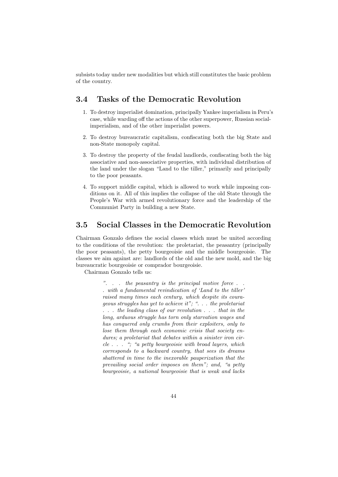subsists today under new modalities but which still constitutes the basic problem of the country.

### 3.4 Tasks of the Democratic Revolution

- 1. To destroy imperialist domination, principally Yankee imperialism in Peru's case, while warding off the actions of the other superpower, Russian socialimperialism, and of the other imperialist powers.
- 2. To destroy bureaucratic capitalism, confiscating both the big State and non-State monopoly capital.
- 3. To destroy the property of the feudal landlords, confiscating both the big associative and non-associative properties, with individual distribution of the land under the slogan "Land to the tiller," primarily and principally to the poor peasants.
- 4. To support middle capital, which is allowed to work while imposing conditions on it. All of this implies the collapse of the old State through the People's War with armed revolutionary force and the leadership of the Communist Party in building a new State.

### 3.5 Social Classes in the Democratic Revolution

Chairman Gonzalo defines the social classes which must be united according to the conditions of the revolution: the proletariat, the peasantry (principally the poor peasants), the petty bourgeoisie and the middle bourgeoisie. The classes we aim against are: landlords of the old and the new mold, and the big bureaucratic bourgeoisie or comprador bourgeoisie.

Chairman Gonzalo tells us:

".  $\therefore$  the peasantry is the principal motive force  $\therefore$ . with a fundamental revindication of 'Land to the tiller' raised many times each century, which despite its courageous struggles has yet to achieve it"; "... the proletariat . . . the leading class of our revolution . . . that in the long, arduous struggle has torn only starvation wages and has conquered only crumbs from their exploiters, only to lose them through each economic crisis that society endures; a proletariat that debates within a sinister iron cir $cle \ldots$  "; "a petty bourgeoisie with broad layers, which corresponds to a backward country, that sees its dreams shattered in time to the inexorable pauperization that the prevailing social order imposes on them"; and, "a petty bourgeoisie, a national bourgeoisie that is weak and lacks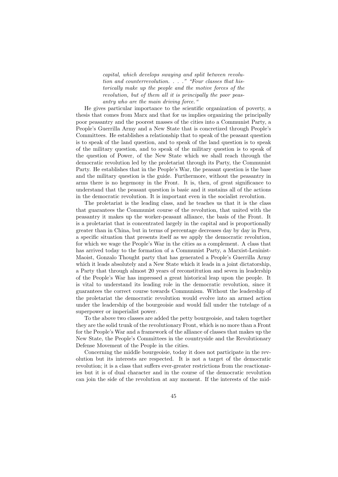capital, which develops swaying and split between revolution and counterrevolution. . . ." "Four classes that historically make up the people and the motive forces of the revolution, but of them all it is principally the poor peasantry who are the main driving force."

He gives particular importance to the scientific organization of poverty, a thesis that comes from Marx and that for us implies organizing the principally poor peasantry and the poorest masses of the cities into a Communist Party, a People's Guerrilla Army and a New State that is concretized through People's Committees. He establishes a relationship that to speak of the peasant question is to speak of the land question, and to speak of the land question is to speak of the military question, and to speak of the military question is to speak of the question of Power, of the New State which we shall reach through the democratic revolution led by the proletariat through its Party, the Communist Party. He establishes that in the People's War, the peasant question is the base and the military question is the guide. Furthermore, without the peasantry in arms there is no hegemony in the Front. It is, then, of great significance to understand that the peasant question is basic and it sustains all of the actions in the democratic revolution. It is important even in the socialist revolution.

The proletariat is the leading class, and he teaches us that it is the class that guarantees the Communist course of the revolution, that united with the peasantry it makes up the worker-peasant alliance, the basis of the Front. It is a proletariat that is concentrated largely in the capital and is proportionally greater than in China, but in terms of percentage decreases day by day in Peru, a specific situation that presents itself as we apply the democratic revolution, for which we wage the People's War in the cities as a complement. A class that has arrived today to the formation of a Communist Party, a Marxist-Leninist-Maoist, Gonzalo Thought party that has generated a People's Guerrilla Army which it leads absolutely and a New State which it leads in a joint dictatorship. a Party that through almost 20 years of reconstitution and seven in leadership of the People's War has impressed a great historical leap upon the people. It is vital to understand its leading role in the democratic revolution, since it guarantees the correct course towards Communism. Without the leadership of the proletariat the democratic revolution would evolve into an armed action under the leadership of the bourgeoisie and would fall under the tutelage of a superpower or imperialist power.

To the above two classes are added the petty bourgeoisie, and taken together they are the solid trunk of the revolutionary Front, which is no more than a Front for the People's War and a framework of the alliance of classes that makes up the New State, the People's Committees in the countryside and the Revolutionary Defense Movement of the People in the cities.

Concerning the middle bourgeoisie, today it does not participate in the revolution but its interests are respected. It is not a target of the democratic revolution; it is a class that suffers ever-greater restrictions from the reactionaries but it is of dual character and in the course of the democratic revolution can join the side of the revolution at any moment. If the interests of the mid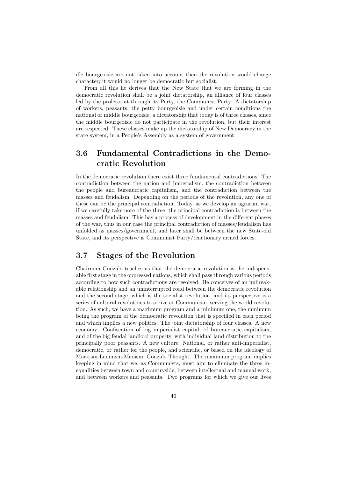dle bourgeoisie are not taken into account then the revolution would change character; it would no longer be democratic but socialist.

From all this he derives that the New State that we are forming in the democratic revolution shall be a joint dictatorship, an alliance of four classes led by the proletariat through its Party, the Communist Party: A dictatorship of workers, peasants, the petty bourgeoisie and under certain conditions the national or middle bourgeoisie; a dictatorship that today is of three classes, since the middle bourgeoisie do not participate in the revolution, but their interest are respected. These classes make up the dictatorship of New Democracy in the state system, in a People's Assembly as a system of government.

## 3.6 Fundamental Contradictions in the Democratic Revolution

In the democratic revolution there exist three fundamental contradictions: The contradiction between the nation and imperialism, the contradiction between the people and bureaucratic capitalism, and the contradiction between the masses and feudalism. Depending on the periods of the revolution, any one of these can be the principal contradiction. Today, as we develop an agrarian war, if we carefully take note of the three, the principal contradiction is between the masses and feudalism. This has a process of development in the different phases of the war, thus in our case the principal contradiction of masses/feudalism has unfolded as masses/government, and later shall be between the new State-old State, and its perspective is Communist Party/reactionary armed forces.

### 3.7 Stages of the Revolution

Chairman Gonzalo teaches us that the democratic revolution is the indispensable first stage in the oppressed nations, which shall pass through various periods according to how such contradictions are resolved. He conceives of an unbreakable relationship and an uninterrupted road between the democratic revolution and the second stage, which is the socialist revolution, and its perspective is a series of cultural revolutions to arrive at Communism, serving the world revolution. As such, we have a maximum program and a minimum one, the minimum being the program of the democratic revolution that is specified in each period and which implies a new politics: The joint dictatorship of four classes. A new economy: Confiscation of big imperialist capital, of bureaucratic capitalism, and of the big feudal landlord property, with individual land distribution to the principally poor peasants. A new culture: National, or rather anti-imperialist, democratic, or rather for the people, and scientific, or based on the ideology of Marxism-Leninism-Maoism, Gonzalo Thought. The maximum program implies keeping in mind that we, as Communists, must aim to eliminate the three inequalities between town and countryside, between intellectual and manual work, and between workers and peasants. Two programs for which we give our lives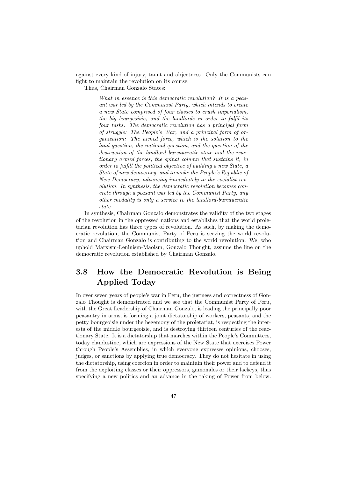against every kind of injury, taunt and abjectness. Only the Communists can fight to maintain the revolution on its course.

Thus, Chairman Gonzalo States:

What in essence is this democratic revolution? It is a peasant war led by the Communist Party, which intends to create a new State comprised of four classes to crush imperialism, the big bourgeoisie, and the landlords in order to fulfil its four tasks. The democratic revolution has a principal form of struggle: The People's War, and a principal form of organization: The armed force, which is the solution to the land question, the national question, and the question of the destruction of the landlord bureaucratic state and the reactionary armed forces, the spinal column that sustains it, in order to fulfill the political objective of building a new State, a State of new democracy, and to make the People's Republic of New Democracy, advancing immediately to the socialist revolution. In synthesis, the democratic revolution becomes concrete through a peasant war led by the Communist Party; any other modality is only a service to the landlord-bureaucratic state.

In synthesis, Chairman Gonzalo demonstrates the validity of the two stages of the revolution in the oppressed nations and establishes that the world proletarian revolution has three types of revolution. As such, by making the democratic revolution, the Communist Party of Peru is serving the world revolution and Chairman Gonzalo is contributing to the world revolution. We, who uphold Marxism-Leninism-Maoism, Gonzalo Thought, assume the line on the democratic revolution established by Chairman Gonzalo.

### 3.8 How the Democratic Revolution is Being Applied Today

In over seven years of people's war in Peru, the justness and correctness of Gonzalo Thought is demonstrated and we see that the Communist Party of Peru, with the Great Leadership of Chairman Gonzalo, is leading the principally poor peasantry in arms, is forming a joint dictatorship of workers, peasants, and the petty bourgeoisie under the hegemony of the proletariat, is respecting the interests of the middle bourgeoisie, and is destroying thirteen centuries of the reactionary State. It is a dictatorship that marches within the People's Committees, today clandestine, which are expressions of the New State that exercises Power through People's Assemblies, in which everyone expresses opinions, chooses, judges, or sanctions by applying true democracy. They do not hesitate in using the dictatorship, using coercion in order to maintain their power and to defend it from the exploiting classes or their oppressors, gamonales or their lackeys, thus specifying a new politics and an advance in the taking of Power from below.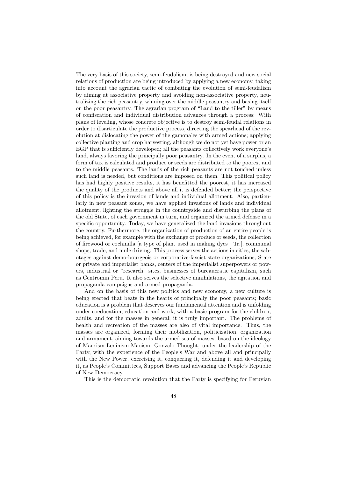The very basis of this society, semi-feudalism, is being destroyed and new social relations of production are being introduced by applying a new economy, taking into account the agrarian tactic of combating the evolution of semi-feudalism by aiming at associative property and avoiding non-associative property, neutralizing the rich peasantry, winning over the middle peasantry and basing itself on the poor peasantry. The agrarian program of "Land to the tiller" by means of confiscation and individual distribution advances through a process: With plans of leveling, whose concrete objective is to destroy semi-feudal relations in order to disarticulate the productive process, directing the spearhead of the revolution at dislocating the power of the gamonales with armed actions; applying collective planting and crop harvesting, although we do not yet have power or an EGP that is sufficiently developed; all the peasants collectively work everyone's land, always favoring the principally poor peasantry. In the event of a surplus, a form of tax is calculated and produce or seeds are distributed to the poorest and to the middle peasants. The lands of the rich peasants are not touched unless such land is needed, but conditions are imposed on them. This political policy has had highly positive results, it has benefitted the poorest, it has increased the quality of the products and above all it is defended better; the perspective of this policy is the invasion of lands and individual allotment. Also, particularly in new peasant zones, we have applied invasions of lands and individual allotment, lighting the struggle in the countryside and disturbing the plans of the old State, of each government in turn, and organized the armed defense in a specific opportunity. Today, we have generalized the land invasions throughout the country. Furthermore, the organization of production of an entire people is being achieved, for example with the exchange of produce or seeds, the collection of firewood or cochinilla [a type of plant used in making dyes—Tr.], communal shops, trade, and mule driving. This process serves the actions in cities, the sabotages against demo-bourgeois or corporative-fascist state organizations, State or private and imperialist banks, centers of the imperialist superpowers or powers, industrial or "research" sites, businesses of bureaucratic capitalism, such as Centromin Peru. It also serves the selective annihilations, the agitation and propaganda campaigns and armed propaganda.

And on the basis of this new politics and new economy, a new culture is being erected that beats in the hearts of principally the poor peasants; basic education is a problem that deserves our fundamental attention and is unfolding under coeducation, education and work, with a basic program for the children, adults, and for the masses in general; it is truly important. The problems of health and recreation of the masses are also of vital importance. Thus, the masses are organized, forming their mobilization, politicization, organization and armament, aiming towards the armed sea of masses, based on the ideology of Marxism-Leninism-Maoism, Gonzalo Thought, under the leadership of the Party, with the experience of the People's War and above all and principally with the New Power, exercising it, conquering it, defending it and developing it, as People's Committees, Support Bases and advancing the People's Republic of New Democracy.

This is the democratic revolution that the Party is specifying for Peruvian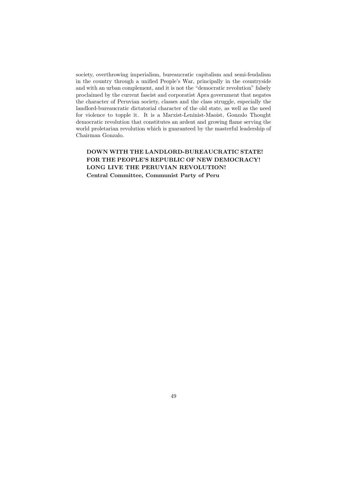society, overthrowing imperialism, bureaucratic capitalism and semi-feudalism in the country through a unified People's War, principally in the countryside and with an urban complement, and it is not the "democratic revolution" falsely proclaimed by the current fascist and corporatist Apra government that negates the character of Peruvian society, classes and the class struggle, especially the landlord-bureaucratic dictatorial character of the old state, as well as the need for violence to topple it. It is a Marxist-Leninist-Maoist, Gonzalo Thought democratic revolution that constitutes an ardent and growing flame serving the world proletarian revolution which is guaranteed by the masterful leadership of Chairman Gonzalo.

DOWN WITH THE LANDLORD-BUREAUCRATIC STATE! FOR THE PEOPLE'S REPUBLIC OF NEW DEMOCRACY! LONG LIVE THE PERUVIAN REVOLUTION! Central Committee, Communist Party of Peru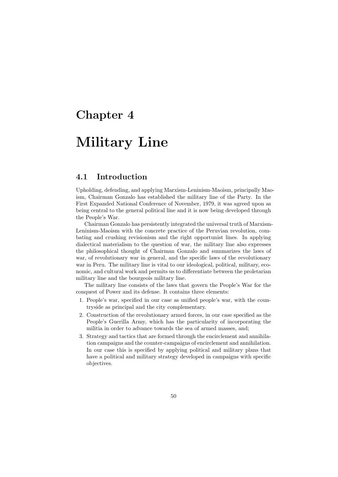## Chapter 4

# Military Line

### 4.1 Introduction

Upholding, defending, and applying Marxism-Leninism-Maoism, principally Maoism, Chairman Gonzalo has established the military line of the Party. In the First Expanded National Conference of November, 1979, it was agreed upon as being central to the general political line and it is now being developed through the People's War.

Chairman Gonzalo has persistently integrated the universal truth of Marxism-Leninism-Maoism with the concrete practice of the Peruvian revolution, combating and crushing revisionism and the right opportunist lines. In applying dialectical materialism to the question of war, the military line also expresses the philosophical thought of Chairman Gonzalo and summarizes the laws of war, of revolutionary war in general, and the specific laws of the revolutionary war in Peru. The military line is vital to our ideological, political, military, economic, and cultural work and permits us to differentiate between the proletarian military line and the bourgeois military line.

The military line consists of the laws that govern the People's War for the conquest of Power and its defense. It contains three elements:

- 1. People's war, specified in our case as unified people's war, with the countryside as principal and the city complementary.
- 2. Construction of the revolutionary armed forces, in our case specified as the People's Guerilla Army, which has the particularity of incorporating the militia in order to advance towards the sea of armed masses, and;
- 3. Strategy and tactics that are formed through the encirclement and annihilation campaigns and the counter-campaigns of encirclement and annihilation. In our case this is specified by applying political and military plans that have a political and military strategy developed in campaigns with specific objectives.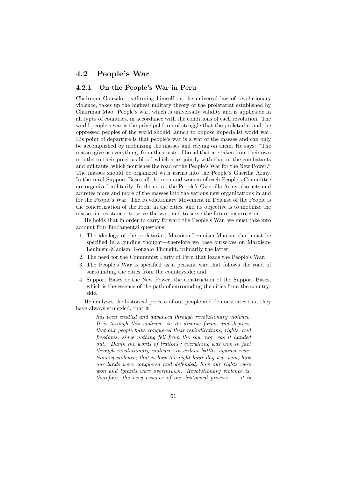### 4.2 People's War

### 4.2.1 On the People's War in Peru

Chairman Gonzalo, reaffirming himself on the universal law of revolutionary violence, takes up the highest military theory of the proletariat established by Chairman Mao: People's war, which is universally validity and is applicable in all types of countries, in accordance with the conditions of each revolution. The world people's war is the principal form of struggle that the proletariat and the oppressed peoples of the world should launch to oppose imperialist world war. His point of departure is that people's war is a war of the masses and can only be accomplished by mobilizing the masses and relying on them. He says: "The masses give us everything, from the crusts of bread that are taken from their own mouths to their precious blood which stirs jointly with that of the combatants and militants, which nourishes the road of the People's War for the New Power." The masses should be organized with asrms into the People's Guerilla Army. In the rural Support Bases all the men and women of each People's Committee are organized militarily. In the cities, the People's Guerrilla Army also acts and accretes more and more of the masses into the various new organizations in and for the People's War. The Revolutionary Movement in Defense of the People is the concretization of the Front in the cities, and its objective is to mobilize the masses in resistance, to serve the war, and to serve the future insurrection.

He holds that in order to carry forward the People's War, we must take into account four fundamental questions:

- 1. The ideology of the proletariat, Marxism-Leninism-Maoism that must be specified in a guiding thought—therefore we base ourselves on Marxism-Leninism-Maoism, Gonzalo Thought, primarily the latter;
- 2. The need for the Communist Party of Peru that leads the People's War;
- 3. The People's War is specified as a peasant war that follows the road of surrounding the cities from the countryside; and
- 4. Support Bases or the New Power, the construction of the Support Bases, which is the essence of the path of surrounding the cities from the countryside.

He analyzes the historical process of our people and demonstrates that they have always struggled, that it

> has been cradled and advanced through revolutionary violence. It is through this violence, in its diverse forms and degrees, that our people have conquered their revindications, rights, and freedoms, since nothing fell from the sky, nor was it handed out. 'Damn the words of traitors'; everything was won in fact through revolutionary violence, in ardent battles against reactionary violence; that is how the eight hour day was won, how our lands were conquered and defended, how our rights were won and tyrants were overthrown. Revolutionary violence is, therefore, the very essence of our historical process... it is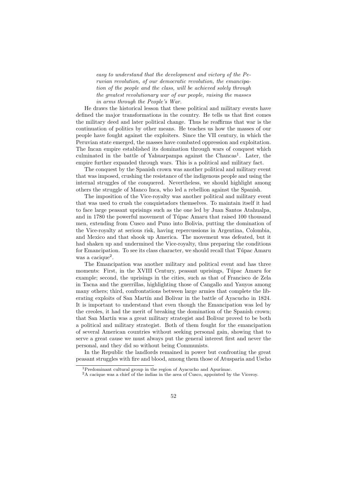easy to understand that the development and victory of the Peruvian revolution, of our democratic revolution, the emancipation of the people and the class, will be achieved solely through the greatest revolutionary war of our people, raising the masses in arms through the People's War.

He draws the historical lesson that these political and military events have defined the major transformations in the country. He tells us that first comes the military deed and later political change. Thus he reaffirms that war is the continuation of politics by other means. He teaches us how the masses of our people have fought against the exploiters. Since the VII century, in which the Peruvian state emerged, the masses have combated oppression and exploitation. The Incan empire established its domination through wars of conquest which culminated in the battle of Yahuarpampa against the Chancas<sup>1</sup>. Later, the empire further expanded through wars. This is a political and military fact.

The conquest by the Spanish crown was another political and military event that was imposed, crushing the resistance of the indigenous people and using the internal struggles of the conquered. Nevertheless, we should highlight among others the struggle of Manco Inca, who led a rebellion against the Spanish.

The imposition of the Vice-royalty was another political and military event that was used to crush the conquistadors themselves. To maintain itself it had to face large peasant uprisings such as the one led by Juan Santos Atahualpa, and in 1780 the powerful movement of Túpac Amaru that raised 100 thousand men, extending from Cusco and Puno into Bolivia, putting the domination of the Vice-royalty at serious risk, having repercussions in Argentina, Colombia, and Mexico and that shook up America. The movement was defeated, but it had shaken up and undermined the Vice-royalty, thus preparing the conditions for Emancipation. To see its class character, we should recall that Túpac Amaru was a cacique<sup>2</sup>.

The Emancipation was another military and political event and has three moments: First, in the XVIII Century, peasant uprisings, Túpac Amaru for example; second, the uprisings in the cities, such as that of Francisco de Zela in Tacna and the guerrillas, highlighting those of Cangallo and Yauyos among many others; third, confrontations between large armies that complete the liberating exploits of San Martín and Bolivar in the battle of Ayacucho in 1824. It is important to understand that even though the Emancipation was led by the creoles, it had the merit of breaking the domination of the Spanish crown; that San Martín was a great military strategist and Bolivar proved to be both a political and military strategist. Both of them fought for the emancipation of several American countries without seeking personal gain, showing that to serve a great cause we must always put the general interest first and never the personal, and they did so without being Communists.

In the Republic the landlords remained in power but confronting the great peasant struggles with fire and blood, among them those of Atusparia and Uscho

<sup>&</sup>lt;sup>1</sup>Predominant cultural group in the region of Ayacucho and Apurímac.

<sup>2</sup>A cacique was a chief of the indias in the area of Cusco, appointed by the Viceroy.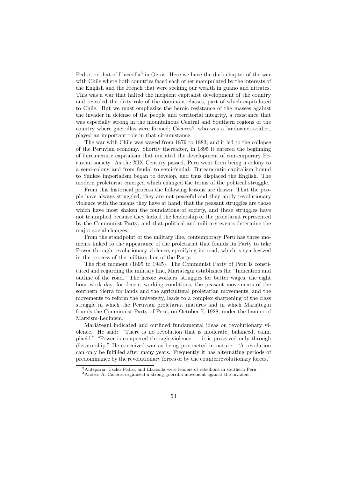Pedro, or that of Llaccolla<sup>3</sup> in Ocros. Here we have the dark chapter of the war with Chile where both countries faced each other manipulated by the interests of the English and the French that were seeking our wealth in guano and nitrates. This was a war that halted the incipient capitalist development of the country and revealed the dirty role of the dominant classes, part of which capitulated to Chile. But we must emphasize the heroic resistance of the masses against the invader in defense of the people and territorial integrity, a resistance that was especially strong in the mountainous Central and Southern regions of the country where guerrillas were formed;  $C \acute{a}ceres^4$ , who was a landowner-soldier, played an important role in that circumstance.

The war with Chile was waged from 1879 to 1883, and it led to the collapse of the Peruvian economy. Shortly thereafter, in 1895 it entered the beginning of bureaucratic capitalism that initiated the development of contemporary Peruvian society. As the XIX Century passed, Peru went from being a colony to a semi-colony and from feudal to semi-feudal. Bureaucratic capitalism bound to Yankee imperialism began to develop, and thus displaced the English. The modern proletariat emerged which changed the terms of the political struggle.

From this historical process the following lessons are drawn: That the people have always struggled, they are not peaceful and they apply revolutionary violence with the means they have at hand; that the peasant struggles are those which have most shaken the foundations of society, and these struggles have not triumphed because they lacked the leadership of the proletariat represented by the Communist Party; and that political and military events determine the major social changes.

From the standpoint of the military line, contemporary Peru has three moments linked to the appearance of the proletariat that founds its Party to take Power through revolutionary violence, specifying its road, which is synthesized in the process of the military line of the Party.

The first moment (1895 to 1945). The Communist Party of Peru is constituted and regarding the military line, Mariátegui establishes the "Indication and outline of the road." The heroic workers' struggles for better wages, the eight hour work day, for decent working conditions, the peasant movements of the southern Sierra for lands and the agricultural proletarian movements, and the movements to reform the university, leads to a complex sharpening of the class struggle in which the Peruvian proletariat matures and in which Mariategui founds the Communist Party of Peru, on October 7, 1928, under the banner of Marxism-Leninism.

Mariátegui indicated and outlined fundamental ideas on revolutionary violence. He said: "There is no revolution that is moderate, balanced, calm, placid." "Power is conquered through violence. . . it is preserved only through dictatorship." He conceived war as being protracted in nature: "A revolution can only be fulfilled after many years. Frequently it has alternating periods of predominance by the revolutionary forces or by the counterrevolutionary forces."

<sup>3</sup>Autsparia, Uscho Pedro, and Llaccolla were leaders of rebellions in southern Peru.

<sup>4</sup>Andres A. Caceres organized a strong guerrilla movement against the invaders.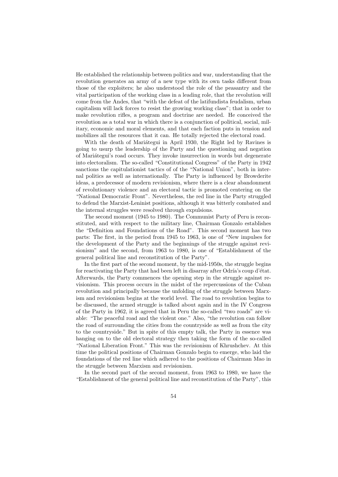He established the relationship between politics and war, understanding that the revolution generates an army of a new type with its own tasks different from those of the exploiters; he also understood the role of the peasantry and the vital participation of the working class in a leading role, that the revolution will come from the Andes, that "with the defeat of the latifundista feudalism, urban capitalism will lack forces to resist the growing working class"; that in order to make revolution rifles, a program and doctrine are needed. He conceived the revolution as a total war in which there is a conjunction of political, social, military, economic and moral elements, and that each faction puts in tension and mobilizes all the resources that it can. He totally rejected the electoral road.

With the death of Mariategui in April 1930, the Right led by Ravines is going to usurp the leadership of the Party and the questioning and negation of Mari´ategui's road occurs. They invoke insurrection in words but degenerate into electoralism. The so-called "Constitutional Congress" of the Party in 1942 sanctions the capitulationist tactics of of the "National Union", both in internal politics as well as internationally. The Party is influenced by Browderite ideas, a predecessor of modern revisionism, where there is a clear abandonment of revolutionary violence and an electoral tactic is promoted centering on the "National Democratic Front". Nevertheless, the red line in the Party struggled to defend the Marxist-Leninist positions, although it was bitterly combated and the internal struggles were resolved through expulsions.

The second moment (1945 to 1980). The Communist Party of Peru is reconstituted, and with respect to the military line, Chairman Gonzalo establishes the "Definition and Foundations of the Road". This second moment has two parts: The first, in the period from 1945 to 1963, is one of "New impulses for the development of the Party and the beginnings of the struggle against revisionism" and the second, from 1963 to 1980, is one of "Establishment of the general political line and reconstitution of the Party".

In the first part of the second moment, by the mid-1950s, the struggle begins for reactivating the Party that had been left in disarray after Odría's coup d'état. Afterwards, the Party commences the opening step in the struggle against revisionism. This process occurs in the midst of the repercussions of the Cuban revolution and principally because the unfolding of the struggle between Marxism and revisionism begins at the world level. The road to revolution begins to be discussed, the armed struggle is talked about again and in the IV Congress of the Party in 1962, it is agreed that in Peru the so-called "two roads" are viable: "The peaceful road and the violent one." Also, "the revolution can follow the road of surrounding the cities from the countryside as well as from the city to the countryside." But in spite of this empty talk, the Party in essence was hanging on to the old electoral strategy then taking the form of the so-called "National Liberation Front." This was the revisionism of Khrushchev. At this time the political positions of Chairman Gonzalo begin to emerge, who laid the foundations of the red line which adhered to the positions of Chairman Mao in the struggle between Marxism and revisionism.

In the second part of the second moment, from 1963 to 1980, we have the "Establishment of the general political line and reconstitution of the Party", this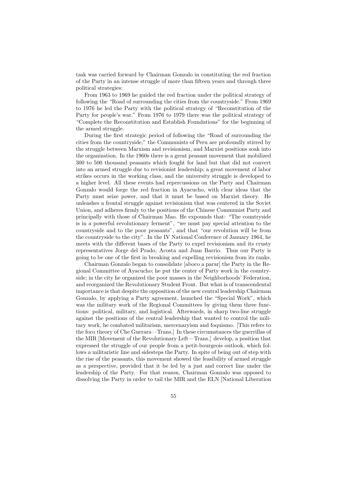task was carried forward by Chairman Gonzalo in constituting the red fraction of the Party in an intense struggle of more than fifteen years and through three political strategies:

From 1963 to 1969 he guided the red fraction under the political strategy of following the "Road of surrounding the cities from the countryside." From 1969 to 1976 he led the Party with the political strategy of "Reconstitution of the Party for people's war." From 1976 to 1979 there was the political strategy of "Complete the Reconstitution and Establish Foundations" for the beginning of the armed struggle.

During the first strategic period of following the "Road of surrounding the cities from the countryside," the Communists of Peru are profoundly stirred by the struggle between Marxism and revisionism, and Marxist positions soak into the organization. In the 1960s there is a great peasant movement that mobilized 300 to 500 thousand peasants which fought for land but that did not convert into an armed struggle due to revisionist leadership; a great movement of labor strikes occurs in the working class, and the university struggle is developed to a higher level. All these events had repercussions on the Party and Chairman Gonzalo would forge the red fraction in Ayacucho, with clear ideas that the Party must seize power, and that it must be based on Marxist theory. He unleashes a frontal struggle against revisionism that was centered in the Soviet Union, and adheres firmly to the positions of the Chinese Communist Party and principally with those of Chairman Mao. He expounds that: "The countryside is in a powerful revolutionary ferment", "we must pay special attention to the countryside and to the poor peasants", and that "our revolution will be from the countryside to the city". In the IV National Conference of January 1964, he meets with the different bases of the Party to expel revisionism and its crusty representatives Jorge del Prado, Acosta and Juan Barrio. Thus our Party is going to be one of the first in breaking and expelling revisionism from its ranks.

Chairman Gonzalo began to consolidate [aboco a parar] the Party in the Regional Committee of Ayacucho; he put the center of Party work in the countryside; in the city he organized the poor masses in the Neighborhoods' Federation, and reorganized the Revolutionary Student Front. But what is of transcendental importance is that despite the opposition of the new central leadership Chairman Gonzalo, by applying a Party agreement, launched the "Special Work", which was the military work of the Regional Committees by giving them three functions: political, military, and logistical. Afterwards, in sharp two-line struggle against the positions of the central leadership that wanted to control the military work, he combated militarism, mercenaryism and foquismo. [This refers to the foco theory of Che Guerara—Trans.] In these circumstances the guerrillas of the MIR [Movement of the Revolutionary Left—Trans.] develop, a position that expressed the struggle of our people from a petit-bourgeois outlook, which follows a militaristic line and sidesteps the Party. In spite of being out of step with the rise of the peasants, this movement showed the feasibility of armed struggle as a perspective, provided that it be led by a just and correct line under the leadership of the Party. For that reason, Chairman Gonzalo was opposed to dissolving the Party in order to tail the MIR and the ELN [National Liberation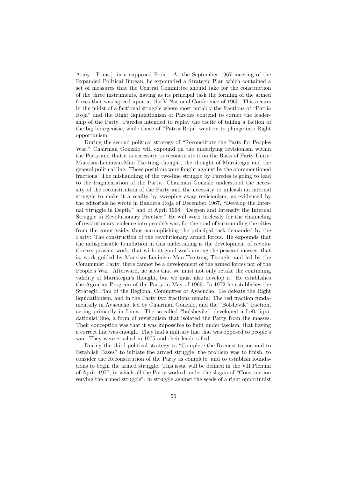Army—Trans.] in a supposed Front. At the September 1967 meeting of the Expanded Political Bureau, he expounded a Strategic Plan which contained a set of measures that the Central Committee should take for the construction of the three instruments, having as its principal task the forming of the armed forces that was agreed upon at the V National Conference of 1965. This occurs in the midst of a factional struggle where most notably the fractions of "Patria Roja" and the Right liquidationism of Paredes contend to corner the leadership of the Party. Paredes intended to replay the tactic of tailing a faction of the big bourgeoisie, while those of "Patria Roja" went on to plunge into Right opportunism.

During the second political strategy of "Reconstitute the Party for Peoples War," Chairman Gonzalo will expound on the underlying revisionism within the Party and that it is necessary to reconstitute it on the Basis of Party Unity: Marxism-Leninism-Mao Tse-tung thought, the thought of Mariategui and the general political line. These positions were fought against by the aforementioned fractions. The mishandling of the two-line struggle by Paredes is going to lead to the fragmentation of the Party. Chairman Gonzalo understood the necessity of the reconstitution of the Party and the necessity to unleash an internal struggle to make it a reality by sweeping away revisionism, as evidenced by the editorials he wrote in Bandera Roja of December 1967, "Develop the Internal Struggle in Depth," and of April 1968, "Deepen and Intensify the Internal Struggle in Revolutionary Practice." He will work tirelessly for the channeling of revolutionary violence into people's war, for the road of surrounding the cities from the countryside, thus accomplishing the principal task demanded by the Party: The construction of the revolutionary armed forces. He expounds that the indispensable foundation in this undertaking is the development of revolutionary peasant work, that without good work among the peasant masses, that is, work guided by Marxism-Leninism-Mao Tse-tung Thought and led by the Communist Party, there cannot be a development of the armed forces nor of the People's War. Afterward, he says that we must not only retake the continuing validity of Mari $\alpha$ tegui's thought, but we must also develop it. He establishes the Agrarian Program of the Party in May of 1969. In 1972 he establishes the Strategic Plan of the Regional Committee of Ayacucho. He defeats the Right liquidationism, and in the Party two fractions remain: The red fraction fundamentally in Ayacucho, led by Chairman Gonzalo, and the "Bolshevik" fraction, acting primarily in Lima. The so-called "bolsheviks" developed a Left liquidationist line, a form of revisionism that isolated the Party from the masses. Their conception was that it was impossible to fight under fascism, that having a correct line was enough. They had a military line that was opposed to people's war. They were crushed in 1975 and their leaders fled.

During the third political strategy to "Complete the Reconstitution and to Establish Bases" to initiate the armed struggle, the problem was to finish, to consider the Reconstitution of the Party as complete, and to establish foundations to begin the armed struggle. This issue will be defined in the VII Plenum of April, 1977, in which all the Party worked under the slogan of "Construction serving the armed struggle", in struggle against the seeds of a right opportunist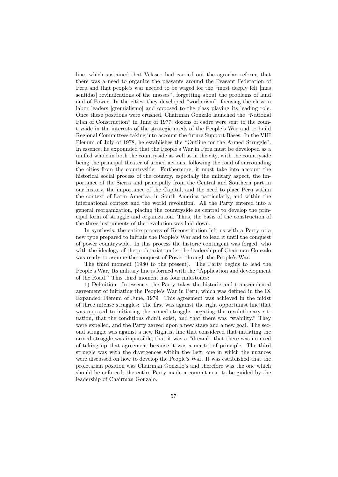line, which sustained that Velasco had carried out the agrarian reform, that there was a need to organize the peasants around the Peasant Federation of Peru and that people's war needed to be waged for the "most deeply felt [mas sentidas] revindications of the masses", forgetting about the problems of land and of Power. In the cities, they developed "workerism", focusing the class in labor leaders [gremialismo] and opposed to the class playing its leading role. Once these positions were crushed, Chairman Gonzalo launched the "National Plan of Construction" in June of 1977; dozens of cadre were sent to the countryside in the interests of the strategic needs of the People's War and to build Regional Committees taking into account the future Support Bases. In the VIII Plenum of July of 1978, he establishes the "Outline for the Armed Struggle". In essence, he expounded that the People's War in Peru must be developed as a unified whole in both the countryside as well as in the city, with the countryside being the principal theater of armed actions, following the road of surrounding the cities from the countryside. Furthermore, it must take into account the historical social process of the country, especially the military aspect, the importance of the Sierra and principally from the Central and Southern part in our history, the importance of the Capital, and the need to place Peru within the context of Latin America, in South America particularly, and within the international context and the world revolution. All the Party entered into a general reorganization, placing the countryside as central to develop the principal form of struggle and organization. Thus, the basis of the construction of the three instruments of the revolution was laid down.

In synthesis, the entire process of Reconstitution left us with a Party of a new type prepared to initiate the People's War and to lead it until the conquest of power countrywide. In this process the historic contingent was forged, who with the ideology of the proletariat under the leadership of Chairman Gonzalo was ready to assume the conquest of Power through the People's War.

The third moment (1980 to the present). The Party begins to lead the People's War. Its military line is formed with the "Application and development of the Road." This third moment has four milestones:

1) Definition. In essence, the Party takes the historic and transcendental agreement of initiating the People's War in Peru, which was defined in the IX Expanded Plenum of June, 1979. This agreement was achieved in the midst of three intense struggles: The first was against the right opportunist line that was opposed to initiating the armed struggle, negating the revolutionary situation, that the conditions didn't exist, and that there was "stability." They were expelled, and the Party agreed upon a new stage and a new goal. The second struggle was against a new Rightist line that considered that initiating the armed struggle was impossible, that it was a "dream", that there was no need of taking up that agreement because it was a matter of principle. The third struggle was with the divergences within the Left, one in which the nuances were discussed on how to develop the People's War. It was established that the proletarian position was Chairman Gonzalo's and therefore was the one which should be enforced; the entire Party made a commitment to be guided by the leadership of Chairman Gonzalo.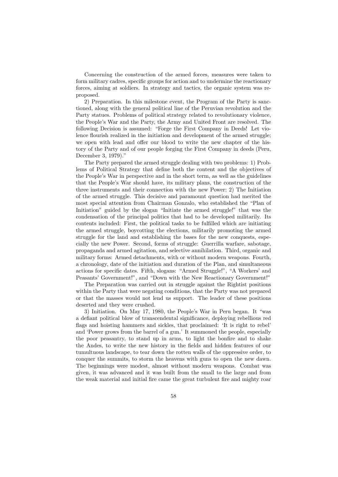Concerning the construction of the armed forces, measures were taken to form military cadres, specific groups for action and to undermine the reactionary forces, aiming at soldiers. In strategy and tactics, the organic system was reproposed.

2) Preparation. In this milestone event, the Program of the Party is sanctioned, along with the general political line of the Peruvian revolution and the Party statues. Problems of political strategy related to revolutionary violence, the People's War and the Party, the Army and United Front are resolved. The following Decision is assumed: "Forge the First Company in Deeds! Let violence flourish realized in the initiation and development of the armed struggle; we open with lead and offer our blood to write the new chapter of the history of the Party and of our people forging the First Company in deeds (Peru, December 3, 1979)."

The Party prepared the armed struggle dealing with two problems: 1) Problems of Political Strategy that define both the content and the objectives of the People's War in perspective and in the short term, as well as the guidelines that the People's War should have, its military plans, the construction of the three instruments and their connection with the new Power; 2) The Initiation of the armed struggle. This decisive and paramount question had merited the most special attention from Chairman Gonzalo, who established the "Plan of Initiation" guided by the slogan "Initiate the armed struggle!" that was the condensation of the principal politics that had to be developed militarily. Its contents included: First, the political tasks to be fulfilled which are initiating the armed struggle, boycotting the elections, militarily promoting the armed struggle for the land and establishing the bases for the new conquests, especially the new Power. Second, forms of struggle: Guerrilla warfare, sabotage, propaganda and armed agitation, and selective annihilation. Third, organic and military forms: Armed detachments, with or without modern weapons. Fourth, a chronology, date of the initiation and duration of the Plan, and simultaneous actions for specific dates. Fifth, slogans: "Armed Struggle!", "A Workers' and Peasants' Government!", and "Down with the New Reactionary Government!"

The Preparation was carried out in struggle against the Rightist positions within the Party that were negating conditions, that the Party was not prepared or that the masses would not lend us support. The leader of these positions deserted and they were crushed.

3) Initiation. On May 17, 1980, the People's War in Peru began. It "was a defiant political blow of transcendental significance, deploying rebellious red flags and hoisting hammers and sickles, that proclaimed: 'It is right to rebel' and 'Power grows from the barrel of a gun.' It summoned the people, especially the poor peasantry, to stand up in arms, to light the bonfire and to shake the Andes, to write the new history in the fields and hidden features of our tumultuous landscape, to tear down the rotten walls of the oppressive order, to conquer the summits, to storm the heavens with guns to open the new dawn. The beginnings were modest, almost without modern weapons. Combat was given, it was advanced and it was built from the small to the large and from the weak material and initial fire came the great turbulent fire and mighty roar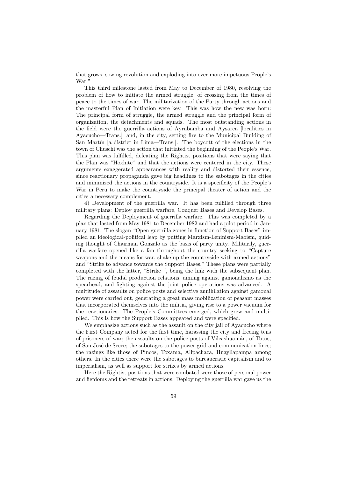that grows, sowing revolution and exploding into ever more impetuous People's War."

This third milestone lasted from May to December of 1980, resolving the problem of how to initiate the armed struggle, of crossing from the times of peace to the times of war. The militarization of the Party through actions and the masterful Plan of Initiation were key. This was how the new was born: The principal form of struggle, the armed struggle and the principal form of organization, the detachments and squads. The most outstanding actions in the field were the guerrilla actions of Ayrabamba and Aysarca [localities in Ayacucho—Trans.] and, in the city, setting fire to the Municipal Building of San Martín [a district in Lima—Trans.]. The boycott of the elections in the town of Chuschi was the action that initiated the beginning of the People's War. This plan was fulfilled, defeating the Rightist positions that were saying that the Plan was "Hoxhite" and that the actions were centered in the city. These arguments exaggerated appearances with reality and distorted their essence, since reactionary propaganda gave big headlines to the sabotages in the cities and minimized the actions in the countryside. It is a specificity of the People's War in Peru to make the countryside the principal theater of action and the cities a necessary complement.

4) Development of the guerrilla war. It has been fulfilled through three military plans: Deploy guerrilla warfare, Conquer Bases and Develop Bases.

Regarding the Deployment of guerrilla warfare. This was completed by a plan that lasted from May 1981 to December 1982 and had a pilot period in January 1981. The slogan "Open guerrilla zones in function of Support Bases" implied an ideological-political leap by putting Marxism-Leninism-Maoism, guiding thought of Chairman Gonzalo as the basis of party unity. Militarily, guerrilla warfare opened like a fan throughout the country seeking to "Capture weapons and the means for war, shake up the countryside with armed actions" and "Strike to advance towards the Support Bases." These plans were partially completed with the latter, "Strike ", being the link with the subsequent plan. The razing of feudal production relations, aiming against gamonalismo as the spearhead, and fighting against the joint police operations was advanced. A multitude of assaults on police posts and selective annihilation against gamonal power were carried out, generating a great mass mobilization of peasant masses that incorporated themselves into the militia, giving rise to a power vacuum for the reactionaries. The People's Committees emerged, which grew and multiplied. This is how the Support Bases appeared and were specified.

We emphasize actions such as the assault on the city jail of Ayacucho where the First Company acted for the first time, harassing the city and freeing tens of prisoners of war; the assaults on the police posts of Vilcashuam´an, of Totos, of San José de Secce; the sabotages to the power grid and communication lines; the razings like those of Pincos, Toxama, Allpachaca, Huayllapampa among others. In the cities there were the sabotages to bureaucratic capitalism and to imperialism, as well as support for strikes by armed actions.

Here the Rightist positions that were combated were those of personal power and fiefdoms and the retreats in actions. Deploying the guerrilla war gave us the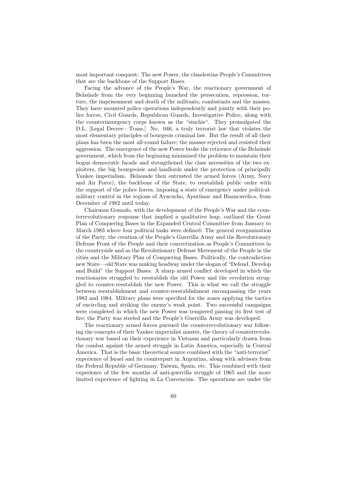most important conquest: The new Power, the clandestine People's Committees that are the backbone of the Support Bases.

Facing the advance of the People's War, the reactionary government of Belaúnde from the very beginning launched the persecution, repression, torture, the imprisonment and death of the militants, combatants and the masses. They have mounted police operations independently and jointly with their police forces, Civil Guards, Republican Guards, Investigative Police, along with the counterinsurgency corps known as the "sinchis". They promulgated the D.L. [Legal Decree—Trans.] No. 046, a truly terrorist law that violates the most elementary principles of bourgeois criminal law. But the result of all their plans has been the most all-round failure; the masses rejected and resisted their aggression. The emergence of the new Power broke the reticence of the Belaúnde government, which from the beginning minimized the problem to maintain their bogus democratic facade and strengthened the class necessities of the two exploiters, the big bourgeoisie and landlords under the protection of principally Yankee imperialism. Belaunde then entrusted the armed forces (Army, Navy and Air Force), the backbone of the State, to reestablish public order with the support of the police forces, imposing a state of emergency under politicalmilitary control in the regions of Ayacucho, Apurímac and Huancavelica, from December of 1982 until today.

Chairman Gonzalo, with the development of the People's War and the counterrevolutionary response that implied a qualitative leap, outlined the Great Plan of Conquering Bases in the Expanded Central Committee from January to March 1983 where four political tasks were defined: The general reorganization of the Party, the creation of the People's Guerrilla Army and the Revolutionary Defense Front of the People and their concretization as People's Committees in the countryside and as the Revolutionary Defense Movement of the People in the cities and the Military Plan of Conquering Bases. Politically, the contradiction new State—old State was making headway under the slogan of "Defend, Develop and Build" the Support Bases. A sharp armed conflict developed in which the reactionaries struggled to reestablish the old Power and the revolution struggled to counter-reestablish the new Power. This is what we call the struggle between reestablishment and counter-reestablishment encompassing the years 1983 and 1984. Military plans were specified for the zones applying the tactics of encircling and striking the enemy's weak point. Two successful campaigns were completed in which the new Power was tempered passing its first test of fire; the Party was steeled and the People's Guerrilla Army was developed.

The reactionary armed forces pursued the counterrevolutionary war following the concepts of their Yankee imperialist master, the theory of counterrevolutionary war based on their experience in Vietnam and particularly drawn from the combat against the armed struggle in Latin America, especially in Central America. That is the basic theoretical source combined with the "anti-terrorist" experience of Israel and its counterpart in Argentina, along with advisors from the Federal Republic of Germany, Taiwan, Spain, etc. This combined with their experience of the few months of anti-guerrilla struggle of 1965 and the more limited experience of fighting in La Convención. The operations are under the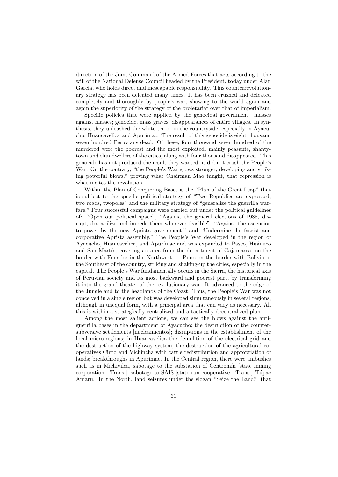direction of the Joint Command of the Armed Forces that acts according to the will of the National Defense Council headed by the President, today under Alan García, who holds direct and inescapable responsibility. This counterrevolutionary strategy has been defeated many times. It has been crushed and defeated completely and thoroughly by people's war, showing to the world again and again the superiority of the strategy of the proletariat over that of imperialism.

Specific policies that were applied by the genocidal government: masses against masses; genocide, mass graves; disappearances of entire villages. In synthesis, they unleashed the white terror in the countryside, especially in Ayacucho, Huancavelica and Apurímac. The result of this genocide is eight thousand seven hundred Peruvians dead. Of these, four thousand seven hundred of the murdered were the poorest and the most exploited, mainly peasants, shantytown and slumdwellers of the cities, along with four thousand disappeared. This genocide has not produced the result they wanted; it did not crush the People's War. On the contrary, "the People's War grows stronger, developing and striking powerful blows," proving what Chairman Mao taught, that repression is what incites the revolution.

Within the Plan of Conquering Bases is the "Plan of the Great Leap" that is subject to the specific political strategy of "Two Republics are expressed, two roads, twopoles" and the military strategy of "generalize the guerrilla warfare." Four successful campaigns were carried out under the political guidelines of: "Open our political space", "Against the general elections of 1985, disrupt, destabilize and impede them wherever feasible", "Against the ascension to power by the new Aprista government," and "Undermine the fascist and corporative Aprista assembly." The People's War developed in the region of Ayacucho, Huancavelica, and Apurímac and was expanded to Pasco, Huánuco and San Martín, covering an area from the department of Cajamarca, on the border with Ecuador in the Northwest, to Puno on the border with Bolivia in the Southeast of the country, striking and shaking-up the cities, especially in the capital. The People's War fundamentally occurs in the Sierra, the historical axis of Peruvian society and its most backward and poorest part, by transforming it into the grand theater of the revolutionary war. It advanced to the edge of the Jungle and to the headlands of the Coast. Thus, the People's War was not conceived in a single region but was developed simultaneously in several regions, although in unequal form, with a principal area that can vary as necessary. All this is within a strategically centralized and a tactically decentralized plan.

Among the most salient actions, we can see the blows against the antiguerrilla bases in the department of Ayacucho; the destruction of the countersubversive settlements [nucleamientos]; disruptions in the establishment of the local micro-regions; in Huancavelica the demolition of the electrical grid and the destruction of the highway system; the destruction of the agricultural cooperatives Cinto and Vichincha with cattle redistribution and appropriation of lands; breakthroughs in Apurímac. In the Central region, there were ambushes such as in Michivilca, sabotage to the substation of Centromín [state mining] corporation—Trans.], sabotage to SAIS [state-run cooperative—Trans.] Túpac Amaru. In the North, land seizures under the slogan "Seize the Land!" that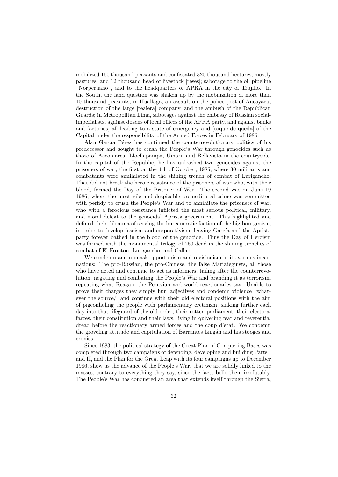mobilized 160 thousand peasants and confiscated 320 thousand hectares, mostly pastures, and 12 thousand head of livestock [reses]; sabotage to the oil pipeline "Norperuano", and to the headquarters of APRA in the city of Trujillo. In the South, the land question was shaken up by the mobilization of more than 10 thousand peasants; in Huallaga, an assault on the police post of Aucayacu, destruction of the large [tealera] company, and the ambush of the Republican Guards; in Metropolitan Lima, sabotages against the embassy of Russian socialimperialists, against dozens of local offices of the APRA party, and against banks and factories, all leading to a state of emergency and [toque de queda] of the Capital under the responsibility of the Armed Forces in February of 1986.

Alan García Pérez has continued the counterrevolutionary politics of his predecessor and sought to crush the People's War through genocides such as those of Accomarca, Llocllapampa, Umaru and Bellavista in the countryside. In the capital of the Republic, he has unleashed two genocides against the prisoners of war, the first on the 4th of October, 1985, where 30 militants and combatants were annihilated in the shining trench of combat of Lurigancho. That did not break the heroic resistance of the prisoners of war who, with their blood, formed the Day of the Prisoner of War. The second was on June 19 1986, where the most vile and despicable premeditated crime was committed with perfidy to crush the People's War and to annihilate the prisoners of war, who with a ferocious resistance inflicted the most serious political, military, and moral defeat to the genocidal Aprista government. This highlighted and defined their dilemma of serving the bureaucratic faction of the big bourgeoisie, in order to develop fascism and corporativism, leaving García and the Aprista party forever bathed in the blood of the genocide. Thus the Day of Heroism was formed with the monumental trilogy of 250 dead in the shining trenches of combat of El Fronton, Lurigancho, and Callao.

We condemn and unmask opportunism and revisionism in its various incarnations: The pro-Russian, the pro-Chinese, the false Mariateguists, all those who have acted and continue to act as informers, tailing after the counterrevolution, negating and combating the People's War and branding it as terrorism, repeating what Reagan, the Peruvian and world reactionaries say. Unable to prove their charges they simply hurl adjectives and condemn violence "whatever the source," and continue with their old electoral positions with the aim of pigeonholing the people with parliamentary cretinism, sinking further each day into that lifeguard of the old order, their rotten parliament, their electoral farces, their constitution and their laws, living in quivering fear and reverential dread before the reactionary armed forces and the coup d'etat. We condemn the groveling attitude and capitulation of Barrantes Lingán and his stooges and cronies.

Since 1983, the political strategy of the Great Plan of Conquering Bases was completed through two campaigns of defending, developing and building Parts I and II, and the Plan for the Great Leap with its four campaigns up to December 1986, show us the advance of the People's War, that we are solidly linked to the masses, contrary to everything they say, since the facts belie them irrefutably. The People's War has conquered an area that extends itself through the Sierra,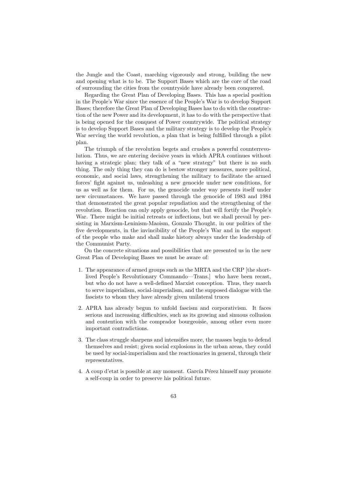the Jungle and the Coast, marching vigorously and strong, building the new and opening what is to be. The Support Bases which are the core of the road of surrounding the cities from the countryside have already been conquered.

Regarding the Great Plan of Developing Bases. This has a special position in the People's War since the essence of the People's War is to develop Support Bases; therefore the Great Plan of Developing Bases has to do with the construction of the new Power and its development, it has to do with the perspective that is being opened for the conquest of Power countrywide. The political strategy is to develop Support Bases and the military strategy is to develop the People's War serving the world revolution, a plan that is being fulfilled through a pilot plan.

The triumph of the revolution begets and crushes a powerful counterrevolution. Thus, we are entering decisive years in which APRA continues without having a strategic plan; they talk of a "new strategy" but there is no such thing. The only thing they can do is bestow stronger measures, more political, economic, and social laws, strengthening the military to facilitate the armed forces' fight against us, unleashing a new genocide under new conditions, for us as well as for them. For us, the genocide under way presents itself under new circumstances. We have passed through the genocide of 1983 and 1984 that demonstrated the great popular repudiation and the strengthening of the revolution. Reaction can only apply genocide, but that will fortify the People's War. There might be initial retreats or inflections, but we shall prevail by persisting in Marxism-Leninism-Maoism, Gonzalo Thought, in our politics of the five developments, in the invincibility of the People's War and in the support of the people who make and shall make history always under the leadership of the Communist Party.

On the concrete situations and possibilities that are presented us in the new Great Plan of Developing Bases we must be aware of:

- 1. The appearance of armed groups such as the MRTA and the CRP [the shortlived People's Revolutionary Commando—Trans.] who have been recast, but who do not have a well-defined Marxist conception. Thus, they march to serve imperialism, social-imperialism, and the supposed dialogue with the fascists to whom they have already given unilateral truces
- 2. APRA has already begun to unfold fascism and corporativism. It faces serious and increasing difficulties, such as its growing and sinuous collusion and contention with the comprador bourgeoisie, among other even more important contradictions.
- 3. The class struggle sharpens and intensifies more, the masses begin to defend themselves and resist; given social explosions in the urban areas, they could be used by social-imperialism and the reactionaries in general, through their representatives.
- 4. A coup d'etat is possible at any moment. García Pérez himself may promote a self-coup in order to preserve his political future.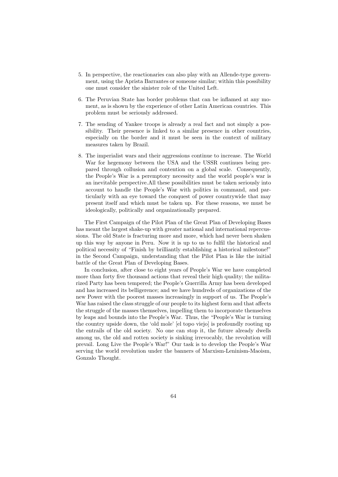- 5. In perspective, the reactionaries can also play with an Allende-type government, using the Aprista Barrantes or someone similar; within this possibility one must consider the sinister role of the United Left.
- 6. The Peruvian State has border problems that can be inflamed at any moment, as is shown by the experience of other Latin American countries. This problem must be seriously addressed.
- 7. The sending of Yankee troops is already a real fact and not simply a possibility. Their presence is linked to a similar presence in other countries, especially on the border and it must be seen in the context of military measures taken by Brazil.
- 8. The imperialist wars and their aggressions continue to increase. The World War for hegemony between the USA and the USSR continues being prepared through collusion and contention on a global scale. Consequently, the People's War is a peremptory necessity and the world people's war is an inevitable perspective.All these possibilities must be taken seriously into account to handle the People's War with politics in command, and particularly with an eye toward the conquest of power countrywide that may present itself and which must be taken up. For these reasons, we must be ideologically, politically and organizationally prepared.

The First Campaign of the Pilot Plan of the Great Plan of Developing Bases has meant the largest shake-up with greater national and international repercussions. The old State is fracturing more and more, which had never been shaken up this way by anyone in Peru. Now it is up to us to fulfil the historical and political necessity of "Finish by brilliantly establishing a historical milestone!" in the Second Campaign, understanding that the Pilot Plan is like the initial battle of the Great Plan of Developing Bases.

In conclusion, after close to eight years of People's War we have completed more than forty five thousand actions that reveal their high quality; the militarized Party has been tempered; the People's Guerrilla Army has been developed and has increased its belligerence; and we have hundreds of organizations of the new Power with the poorest masses increasingly in support of us. The People's War has raised the class struggle of our people to its highest form and that affects the struggle of the masses themselves, impelling them to incorporate themselves by leaps and bounds into the People's War. Thus, the "People's War is turning the country upside down, the 'old mole' [el topo viejo] is profoundly rooting up the entrails of the old society. No one can stop it, the future already dwells among us, the old and rotten society is sinking irrevocably, the revolution will prevail. Long Live the People's War!" Our task is to develop the People's War serving the world revolution under the banners of Marxism-Leninism-Maoism, Gonzalo Thought.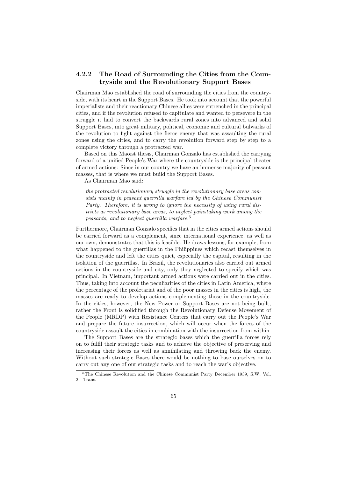### 4.2.2 The Road of Surrounding the Cities from the Countryside and the Revolutionary Support Bases

Chairman Mao established the road of surrounding the cities from the countryside, with its heart in the Support Bases. He took into account that the powerful imperialists and their reactionary Chinese allies were entrenched in the principal cities, and if the revolution refused to capitulate and wanted to persevere in the struggle it had to convert the backwards rural zones into advanced and solid Support Bases, into great military, political, economic and cultural bulwarks of the revolution to fight against the fierce enemy that was assaulting the rural zones using the cities, and to carry the revolution forward step by step to a complete victory through a protracted war.

Based on this Maoist thesis, Chairman Gonzalo has established the carrying forward of a unified People's War where the countryside is the principal theater of armed actions: Since in our country we have an immense majority of peasant masses, that is where we must build the Support Bases.

As Chairman Mao said:

the protracted revolutionary struggle in the revolutionary base areas consists mainly in peasant guerrilla warfare led by the Chinese Communist Party. Therefore, it is wrong to ignore the necessity of using rural districts as revolutionary base areas, to neglect painstaking work among the peasants, and to neglect guerrilla warfare.<sup>5</sup>

Furthermore, Chairman Gonzalo specifies that in the cities armed actions should be carried forward as a complement, since international experience, as well as our own, demonstrates that this is feasible. He draws lessons, for example, from what happened to the guerrillas in the Philippines which recast themselves in the countryside and left the cities quiet, especially the capital, resulting in the isolation of the guerrillas. In Brazil, the revolutionaries also carried out armed actions in the countryside and city, only they neglected to specify which was principal. In Vietnam, important armed actions were carried out in the cities. Thus, taking into account the peculiarities of the cities in Latin America, where the percentage of the proletariat and of the poor masses in the cities is high, the masses are ready to develop actions complementing those in the countryside. In the cities, however, the New Power or Support Bases are not being built, rather the Front is solidified through the Revolutionary Defense Movement of the People (MRDP) with Resistance Centers that carry out the People's War and prepare the future insurrection, which will occur when the forces of the countryside assault the cities in combination with the insurrection from within.

The Support Bases are the strategic bases which the guerrilla forces rely on to fulfil their strategic tasks and to achieve the objective of preserving and increasing their forces as well as annihilating and throwing back the enemy. Without such strategic Bases there would be nothing to base ourselves on to carry out any one of our strategic tasks and to reach the war's objective.

<sup>5</sup>The Chinese Revolution and the Chinese Communist Party December 1939, S.W. Vol. 2—Trans.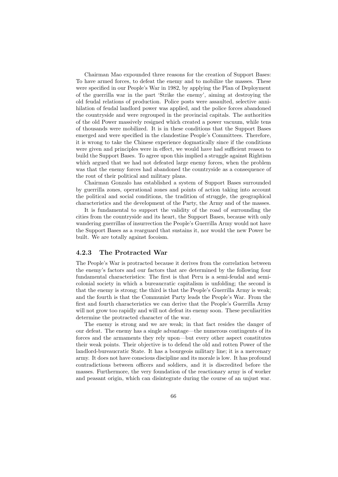Chairman Mao expounded three reasons for the creation of Support Bases: To have armed forces, to defeat the enemy and to mobilize the masses. These were specified in our People's War in 1982, by applying the Plan of Deployment of the guerrilla war in the part 'Strike the enemy', aiming at destroying the old feudal relations of production. Police posts were assaulted, selective annihilation of feudal landlord power was applied, and the police forces abandoned the countryside and were regrouped in the provincial capitals. The authorities of the old Power massively resigned which created a power vacuum, while tens of thousands were mobilized. It is in these conditions that the Support Bases emerged and were specified in the clandestine People's Committees. Therefore, it is wrong to take the Chinese experience dogmatically since if the conditions were given and principles were in effect, we would have had sufficient reason to build the Support Bases. To agree upon this implied a struggle against Rightism which argued that we had not defeated large enemy forces, when the problem was that the enemy forces had abandoned the countryside as a consequence of the rout of their political and military plans.

Chairman Gonzalo has established a system of Support Bases surrounded by guerrilla zones, operational zones and points of action taking into account the political and social conditions, the tradition of struggle, the geographical characteristics and the development of the Party, the Army and of the masses.

It is fundamental to support the validity of the road of surrounding the cities from the countryside and its heart, the Support Bases, because with only wandering guerrillas of insurrection the People's Guerrilla Army would not have the Support Bases as a rearguard that sustains it, nor would the new Power be built. We are totally against focoism.

#### 4.2.3 The Protracted War

The People's War is protracted because it derives from the correlation between the enemy's factors and our factors that are determined by the following four fundamental characteristics: The first is that Peru is a semi-feudal and semicolonial society in which a bureaucratic capitalism is unfolding; the second is that the enemy is strong; the third is that the People's Guerrilla Army is weak; and the fourth is that the Communist Party leads the People's War. From the first and fourth characteristics we can derive that the People's Guerrilla Army will not grow too rapidly and will not defeat its enemy soon. These peculiarities determine the protracted character of the war.

The enemy is strong and we are weak; in that fact resides the danger of our defeat. The enemy has a single advantage—the numerous contingents of its forces and the armaments they rely upon—but every other aspect constitutes their weak points. Their objective is to defend the old and rotten Power of the landlord-bureaucratic State. It has a bourgeois military line; it is a mercenary army. It does not have conscious discipline and its morale is low. It has profound contradictions between officers and soldiers, and it is discredited before the masses. Furthermore, the very foundation of the reactionary army is of worker and peasant origin, which can disintegrate during the course of an unjust war.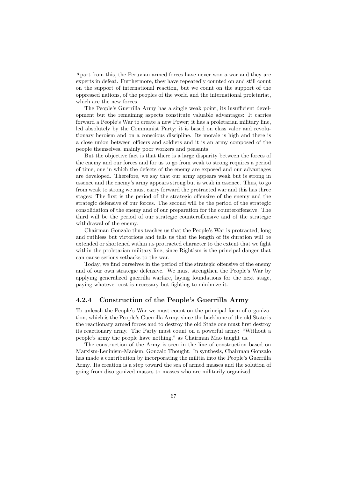Apart from this, the Peruvian armed forces have never won a war and they are experts in defeat. Furthermore, they have repeatedly counted on and still count on the support of international reaction, but we count on the support of the oppressed nations, of the peoples of the world and the international proletariat, which are the new forces.

The People's Guerrilla Army has a single weak point, its insufficient development but the remaining aspects constitute valuable advantages: It carries forward a People's War to create a new Power; it has a proletarian military line, led absolutely by the Communist Party; it is based on class valor and revolutionary heroism and on a conscious discipline. Its morale is high and there is a close union between officers and soldiers and it is an army composed of the people themselves, mainly poor workers and peasants.

But the objective fact is that there is a large disparity between the forces of the enemy and our forces and for us to go from weak to strong requires a period of time, one in which the defects of the enemy are exposed and our advantages are developed. Therefore, we say that our army appears weak but is strong in essence and the enemy's army appears strong but is weak in essence. Thus, to go from weak to strong we must carry forward the protracted war and this has three stages: The first is the period of the strategic offensive of the enemy and the strategic defensive of our forces. The second will be the period of the strategic consolidation of the enemy and of our preparation for the counteroffensive. The third will be the period of our strategic counteroffensive and of the strategic withdrawal of the enemy.

Chairman Gonzalo thus teaches us that the People's War is protracted, long and ruthless but victorious and tells us that the length of its duration will be extended or shortened within its protracted character to the extent that we fight within the proletarian military line, since Rightism is the principal danger that can cause serious setbacks to the war.

Today, we find ourselves in the period of the strategic offensive of the enemy and of our own strategic defensive. We must strengthen the People's War by applying generalized guerrilla warfare, laying foundations for the next stage, paying whatever cost is necessary but fighting to minimize it.

### 4.2.4 Construction of the People's Guerrilla Army

To unleash the People's War we must count on the principal form of organization, which is the People's Guerrilla Army, since the backbone of the old State is the reactionary armed forces and to destroy the old State one must first destroy its reactionary army. The Party must count on a powerful army: "Without a people's army the people have nothing," as Chairman Mao taught us.

The construction of the Army is seen in the line of construction based on Marxism-Leninism-Maoism, Gonzalo Thought. In synthesis, Chairman Gonzalo has made a contribution by incorporating the militia into the People's Guerrilla Army. Its creation is a step toward the sea of armed masses and the solution of going from disorganized masses to masses who are militarily organized.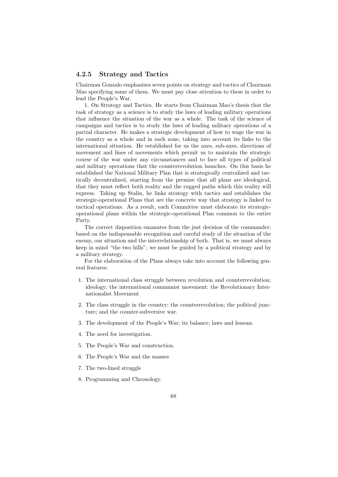#### 4.2.5 Strategy and Tactics

Chairman Gonzalo emphasizes seven points on strategy and tactics of Chairman Mao specifying some of them. We must pay close attention to these in order to lead the People's War.

1. On Strategy and Tactics. He starts from Chairman Mao's thesis that the task of strategy as a science is to study the laws of leading military operations that influence the situation of the war as a whole. The task of the science of campaigns and tactics is to study the laws of leading military operations of a partial character. He makes a strategic development of how to wage the war in the country as a whole and in each zone, taking into account its links to the international situation. He established for us the axes, sub-axes, directions of movement and lines of movements which permit us to maintain the strategic course of the war under any circumstances and to face all types of political and military operations that the counterrevolution launches. On this basis he established the National Military Plan that is strategically centralized and tactically decentralized, starting from the premise that all plans are ideological, that they must reflect both reality and the rugged paths which this reality will express. Taking up Stalin, he links strategy with tactics and establishes the strategic-operational Plans that are the concrete way that strategy is linked to tactical operations. As a result, each Committee must elaborate its strategicoperational plans within the strategic-operational Plan common to the entire Party.

The correct disposition emanates from the just decision of the commander; based on the indispensable recognition and careful study of the situation of the enemy, our situation and the interrelationship of both. That is, we must always keep in mind "the two hills"; we must be guided by a political strategy and by a military strategy.

For the elaboration of the Plans always take into account the following general features:

- 1. The international class struggle between revolution and counterrevolution; ideology; the international communist movement; the Revolutionary Internationalist Movement
- 2. The class struggle in the country; the counterrevolution; the political juncture; and the counter-subversive war.
- 3. The development of the People's War; its balance; laws and lessons.
- 4. The need for investigation.
- 5. The People's War and construction.
- 6. The People's War and the masses
- 7. The two-lined struggle
- 8. Programming and Chronology.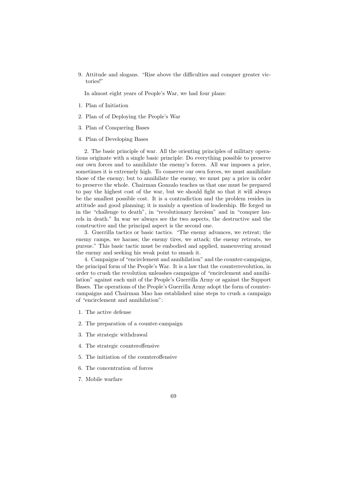9. Attitude and slogans. "Rise above the difficulties and conquer greater victories!"

In almost eight years of People's War, we had four plans:

- 1. Plan of Initiation
- 2. Plan of of Deploying the People's War
- 3. Plan of Conquering Bases
- 4. Plan of Developing Bases

2. The basic principle of war. All the orienting principles of military operations originate with a single basic principle: Do everything possible to preserve our own forces and to annihilate the enemy's forces. All war imposes a price, sometimes it is extremely high. To conserve our own forces, we must annihilate those of the enemy; but to annihilate the enemy, we must pay a price in order to preserve the whole. Chairman Gonzalo teaches us that one must be prepared to pay the highest cost of the war, but we should fight so that it will always be the smallest possible cost. It is a contradiction and the problem resides in attitude and good planning; it is mainly a question of leadership. He forged us in the "challenge to death", in "revolutionary heroism" and in "conquer laurels in death." In war we always see the two aspects, the destructive and the constructive and the principal aspect is the second one.

3. Guerrilla tactics or basic tactics. "The enemy advances, we retreat; the enemy camps, we harass; the enemy tires, we attack; the enemy retreats, we pursue." This basic tactic must be embodied and applied, maneuvering around the enemy and seeking his weak point to smash it.

4. Campaigns of "encirclement and annihilation" and the counter-campaigns, the principal form of the People's War. It is a law that the counterrevolution, in order to crush the revolution unleashes campaigns of "encirclement and annihilation" against each unit of the People's Guerrilla Army or against the Support Bases. The operations of the People's Guerrilla Army adopt the form of countercampaigns and Chairman Mao has established nine steps to crush a campaign of "encirclement and annihilation":

- 1. The active defense
- 2. The preparation of a counter-campaign
- 3. The strategic withdrawal
- 4. The strategic counteroffensive
- 5. The initiation of the counteroffensive
- 6. The concentration of forces
- 7. Mobile warfare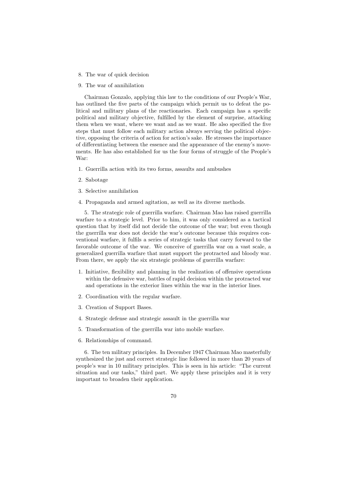- 8. The war of quick decision
- 9. The war of annihilation

Chairman Gonzalo, applying this law to the conditions of our People's War, has outlined the five parts of the campaign which permit us to defeat the political and military plans of the reactionaries. Each campaign has a specific political and military objective, fulfilled by the element of surprise, attacking them when we want, where we want and as we want. He also specified the five steps that must follow each military action always serving the political objective, opposing the criteria of action for action's sake. He stresses the importance of differentiating between the essence and the appearance of the enemy's movements. He has also established for us the four forms of struggle of the People's War:

- 1. Guerrilla action with its two forms, assaults and ambushes
- 2. Sabotage
- 3. Selective annihilation
- 4. Propaganda and armed agitation, as well as its diverse methods.

5. The strategic role of guerrilla warfare. Chairman Mao has raised guerrilla warfare to a strategic level. Prior to him, it was only considered as a tactical question that by itself did not decide the outcome of the war; but even though the guerrilla war does not decide the war's outcome because this requires conventional warfare, it fulfils a series of strategic tasks that carry forward to the favorable outcome of the war. We conceive of guerrilla war on a vast scale, a generalized guerrilla warfare that must support the protracted and bloody war. From there, we apply the six strategic problems of guerrilla warfare:

- 1. Initiative, flexibility and planning in the realization of offensive operations within the defensive war, battles of rapid decision within the protracted war and operations in the exterior lines within the war in the interior lines.
- 2. Coordination with the regular warfare.
- 3. Creation of Support Bases.
- 4. Strategic defense and strategic assault in the guerrilla war
- 5. Transformation of the guerrilla war into mobile warfare.
- 6. Relationships of command.

6. The ten military principles. In December 1947 Chairman Mao masterfully synthesized the just and correct strategic line followed in more than 20 years of people's war in 10 military principles. This is seen in his article: "The current situation and our tasks," third part. We apply these principles and it is very important to broaden their application.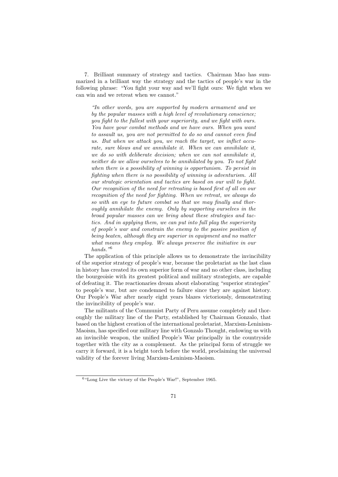7. Brilliant summary of strategy and tactics. Chairman Mao has summarized in a brilliant way the strategy and the tactics of people's war in the following phrase: "You fight your way and we'll fight ours: We fight when we can win and we retreat when we cannot."

"In other words, you are supported by modern armament and we by the popular masses with a high level of revolutionary conscience; you fight to the fullest with your superiority, and we fight with ours. You have your combat methods and we have ours. When you want to assault us, you are not permitted to do so and cannot even find us. But when we attack you, we reach the target, we inflict accurate, sure blows and we annihilate it. When we can annihilate it, we do so with deliberate decision; when we can not annihilate it, neither do we allow ourselves to be annihilated by you. To not fight when there is a possibility of winning is opportunism. To persist in fighting when there is no possibility of winning is adventurism. All our strategic orientation and tactics are based on our will to fight. Our recognition of the need for retreating is based first of all on our recognition of the need for fighting. When we retreat, we always do so with an eye to future combat so that we may finally and thoroughly annihilate the enemy. Only by supporting ourselves in the broad popular masses can we bring about these strategies and tactics. And in applying them, we can put into full play the superiority of people's war and constrain the enemy to the passive position of being beaten, although they are superior in equipment and no matter what means they employ. We always preserve the initiative in our hands."<sup>6</sup>

The application of this principle allows us to demonstrate the invincibility of the superior strategy of people's war, because the proletariat as the last class in history has created its own superior form of war and no other class, including the bourgeoisie with its greatest political and military strategists, are capable of defeating it. The reactionaries dream about elaborating "superior strategies" to people's war, but are condemned to failure since they are against history. Our People's War after nearly eight years blazes victoriously, demonstrating the invincibility of people's war.

The militants of the Communist Party of Peru assume completely and thoroughly the military line of the Party, established by Chairman Gonzalo, that based on the highest creation of the international proletariat, Marxism-Leninism-Maoism, has specified our military line with Gonzalo Thought, endowing us with an invincible weapon, the unified People's War principally in the countryside together with the city as a complement. As the principal form of struggle we carry it forward, it is a bright torch before the world, proclaiming the universal validity of the forever living Marxism-Leninism-Maoism.

<sup>6</sup>"Long Live the victory of the People's War!", September 1965.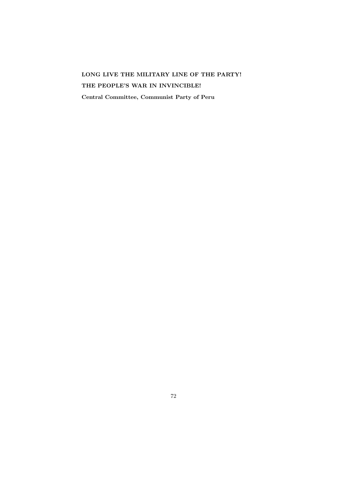## LONG LIVE THE MILITARY LINE OF THE PARTY! THE PEOPLE'S WAR IN INVINCIBLE! Central Committee, Communist Party of Peru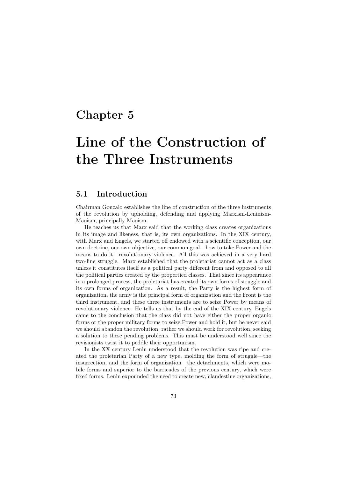# Chapter 5

# Line of the Construction of the Three Instruments

#### 5.1 Introduction

Chairman Gonzalo establishes the line of construction of the three instruments of the revolution by upholding, defending and applying Marxism-Leninism-Maoism, principally Maoism.

He teaches us that Marx said that the working class creates organizations in its image and likeness, that is, its own organizations. In the XIX century, with Marx and Engels, we started off endowed with a scientific conception, our own doctrine, our own objective, our common goal—how to take Power and the means to do it—revolutionary violence. All this was achieved in a very hard two-line struggle. Marx established that the proletariat cannot act as a class unless it constitutes itself as a political party different from and opposed to all the political parties created by the propertied classes. That since its appearance in a prolonged process, the proletariat has created its own forms of struggle and its own forms of organization. As a result, the Party is the highest form of organization, the army is the principal form of organization and the Front is the third instrument, and these three instruments are to seize Power by means of revolutionary violence. He tells us that by the end of the XIX century, Engels came to the conclusion that the class did not have either the proper organic forms or the proper military forms to seize Power and hold it, but he never said we should abandon the revolution, rather we should work for revolution, seeking a solution to these pending problems. This must be understood well since the revisionists twist it to peddle their opportunism.

In the XX century Lenin understood that the revolution was ripe and created the proletarian Party of a new type, molding the form of struggle—the insurrection, and the form of organization—the detachments, which were mobile forms and superior to the barricades of the previous century, which were fixed forms. Lenin expounded the need to create new, clandestine organizations,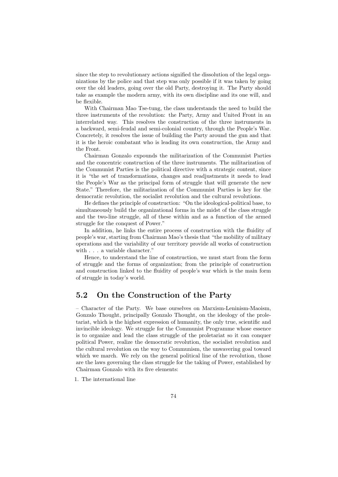since the step to revolutionary actions signified the dissolution of the legal organizations by the police and that step was only possible if it was taken by going over the old leaders, going over the old Party, destroying it. The Party should take as example the modern army, with its own discipline and its one will, and be flexible.

With Chairman Mao Tse-tung, the class understands the need to build the three instruments of the revolution: the Party, Army and United Front in an interrelated way. This resolves the construction of the three instruments in a backward, semi-feudal and semi-colonial country, through the People's War. Concretely, it resolves the issue of building the Party around the gun and that it is the heroic combatant who is leading its own construction, the Army and the Front.

Chairman Gonzalo expounds the militarization of the Communist Parties and the concentric construction of the three instruments. The militarization of the Communist Parties is the political directive with a strategic content, since it is "the set of transformations, changes and readjustments it needs to lead the People's War as the principal form of struggle that will generate the new State." Therefore, the militarization of the Communist Parties is key for the democratic revolution, the socialist revolution and the cultural revolutions.

He defines the principle of construction: "On the ideological-political base, to simultaneously build the organizational forms in the midst of the class struggle and the two-line struggle, all of these within and as a function of the armed struggle for the conquest of Power."

In addition, he links the entire process of construction with the fluidity of people's war, starting from Chairman Mao's thesis that "the mobility of military operations and the variability of our territory provide all works of construction with . . . a variable character."

Hence, to understand the line of construction, we must start from the form of struggle and the forms of organization; from the principle of construction and construction linked to the fluidity of people's war which is the main form of struggle in today's world.

### 5.2 On the Construction of the Party

– Character of the Party. We base ourselves on Marxism-Leninism-Maoism, Gonzalo Thought, principally Gonzalo Thought, on the ideology of the proletariat, which is the highest expression of humanity, the only true, scientific and invincible ideology. We struggle for the Communist Programme whose essence is to organize and lead the class struggle of the proletariat so it can conquer political Power, realize the democratic revolution, the socialist revolution and the cultural revolution on the way to Communism, the unwavering goal toward which we march. We rely on the general political line of the revolution, those are the laws governing the class struggle for the taking of Power, established by Chairman Gonzalo with its five elements:

1. The international line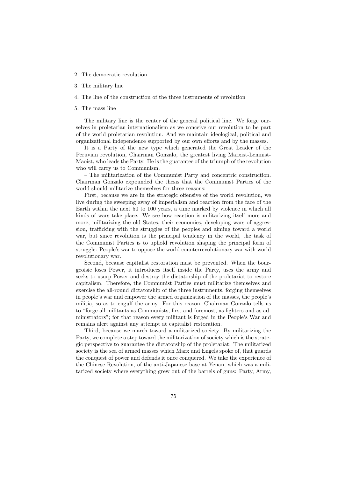- 2. The democratic revolution
- 3. The military line
- 4. The line of the construction of the three instruments of revolution
- 5. The mass line

The military line is the center of the general political line. We forge ourselves in proletarian internationalism as we conceive our revolution to be part of the world proletarian revolution. And we maintain ideological, political and organizational independence supported by our own efforts and by the masses.

It is a Party of the new type which generated the Great Leader of the Peruvian revolution, Chairman Gonzalo, the greatest living Marxist-Leninist-Maoist, who leads the Party. He is the guarantee of the triumph of the revolution who will carry us to Communism.

– The militarization of the Communist Party and concentric construction. Chairman Gonzalo expounded the thesis that the Communist Parties of the world should militarize themselves for three reasons:

First, because we are in the strategic offensive of the world revolution, we live during the sweeping away of imperialism and reaction from the face of the Earth within the next 50 to 100 years, a time marked by violence in which all kinds of wars take place. We see how reaction is militarizing itself more and more, militarizing the old States, their economies, developing wars of aggression, trafficking with the struggles of the peoples and aiming toward a world war, but since revolution is the principal tendency in the world, the task of the Communist Parties is to uphold revolution shaping the principal form of struggle: People's war to oppose the world counterrevolutionary war with world revolutionary war.

Second, because capitalist restoration must be prevented. When the bourgeoisie loses Power, it introduces itself inside the Party, uses the army and seeks to usurp Power and destroy the dictatorship of the proletariat to restore capitalism. Therefore, the Communist Parties must militarize themselves and exercise the all-round dictatorship of the three instruments, forging themselves in people's war and empower the armed organization of the masses, the people's militia, so as to engulf the army. For this reason, Chairman Gonzalo tells us to "forge all militants as Communists, first and foremost, as fighters and as administrators"; for that reason every militant is forged in the People's War and remains alert against any attempt at capitalist restoration.

Third, because we march toward a militarized society. By militarizing the Party, we complete a step toward the militarization of society which is the strategic perspective to guarantee the dictatorship of the proletariat. The militarized society is the sea of armed masses which Marx and Engels spoke of, that guards the conquest of power and defends it once conquered. We take the experience of the Chinese Revolution, of the anti-Japanese base at Yenan, which was a militarized society where everything grew out of the barrels of guns: Party, Army,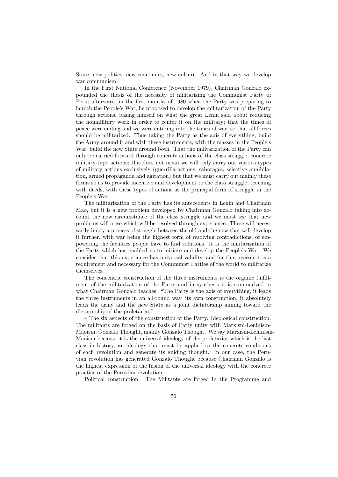State, new politics, new economics, new culture. And in that way we develop war communism.

In the First National Conference (November 1979), Chairman Gonzalo expounded the thesis of the necessity of militarizing the Communist Party of Peru; afterward, in the first months of 1980 when the Party was preparing to launch the People's War, he proposed to develop the militarization of the Party through actions, basing himself on what the great Lenin said about reducing the nonmilitary work in order to center it on the military; that the times of peace were ending and we were entering into the times of war, so that all forces should be militarized. Thus taking the Party as the axis of everything, build the Army around it and with these instruments, with the masses in the People's War, build the new State around both. That the militarization of the Party can only be carried forward through concrete actions of the class struggle, concrete military-type actions; this does not mean we will only carry out various types of military actions exclusively (guerrilla actions, sabotages, selective annihilation, armed propaganda and agitation) but that we must carry out mainly these forms so as to provide incentive and development to the class struggle, teaching with deeds, with these types of actions as the principal form of struggle in the People's War.

The militarization of the Party has its antecedents in Lenin and Chairman Mao, but it is a new problem developed by Chairman Gonzalo taking into account the new circumstance of the class struggle and we must see that new problems will arise which will be resolved through experience. These will necessarily imply a process of struggle between the old and the new that will develop it further, with war being the highest form of resolving contradictions, of empowering the faculties people have to find solutions. It is the militarization of the Party which has enabled us to initiate and develop the People's War. We consider that this experience has universal validity, and for that reason it is a requirement and necessary for the Communist Parties of the world to militarize themselves.

The concentric construction of the three instruments is the organic fulfillment of the militarization of the Party and in synthesis it is summarized in what Chairman Gonzalo teaches: "The Party is the axis of everything, it leads the three instruments in an all-round way, its own construction, it absolutely leads the army and the new State as a joint dictatorship aiming toward the dictatorship of the proletariat."

– The six aspects of the construction of the Party. Ideological construction. The militants are forged on the basis of Party unity with Marxism-Leninism-Maoism, Gonzalo Thought, mainly Gonzalo Thought. We say Marxism-Leninism-Maoism because it is the universal ideology of the proletariat which is the last class in history, an ideology that must be applied to the concrete conditions of each revolution and generate its guiding thought. In our case, the Peruvian revolution has generated Gonzalo Thought because Chairman Gonzalo is the highest expression of the fusion of the universal ideology with the concrete practice of the Peruvian revolution.

Political construction. The Militants are forged in the Programme and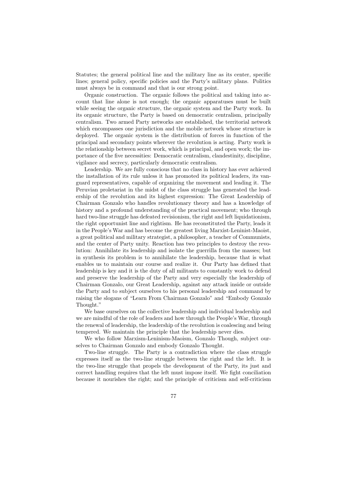Statutes; the general political line and the military line as its center, specific lines; general policy, specific policies and the Party's military plans. Politics must always be in command and that is our strong point.

Organic construction. The organic follows the political and taking into account that line alone is not enough; the organic apparatuses must be built while seeing the organic structure, the organic system and the Party work. In its organic structure, the Party is based on democratic centralism, principally centralism. Two armed Party networks are established, the territorial network which encompasses one jurisdiction and the mobile network whose structure is deployed. The organic system is the distribution of forces in function of the principal and secondary points wherever the revolution is acting. Party work is the relationship between secret work, which is principal, and open work; the importance of the five necessities: Democratic centralism, clandestinity, discipline, vigilance and secrecy, particularly democratic centralism.

Leadership. We are fully conscious that no class in history has ever achieved the installation of its rule unless it has promoted its political leaders, its vanguard representatives, capable of organizing the movement and leading it. The Peruvian proletariat in the midst of the class struggle has generated the leadership of the revolution and its highest expression: The Great Leadership of Chairman Gonzalo who handles revolutionary theory and has a knowledge of history and a profound understanding of the practical movement; who through hard two-line struggle has defeated revisionism, the right and left liquidationism, the right opportunist line and rightism. He has reconstituted the Party, leads it in the People's War and has become the greatest living Marxist-Leninist-Maoist, a great political and military strategist, a philosopher, a teacher of Communists, and the center of Party unity. Reaction has two principles to destroy the revolution: Annihilate its leadership and isolate the guerrilla from the masses; but in synthesis its problem is to annihilate the leadership, because that is what enables us to maintain our course and realize it. Our Party has defined that leadership is key and it is the duty of all militants to constantly work to defend and preserve the leadership of the Party and very especially the leadership of Chairman Gonzalo, our Great Leadership, against any attack inside or outside the Party and to subject ourselves to his personal leadership and command by raising the slogans of "Learn From Chairman Gonzalo" and "Embody Gonzalo Thought."

We base ourselves on the collective leadership and individual leadership and we are mindful of the role of leaders and how through the People's War, through the renewal of leadership, the leadership of the revolution is coalescing and being tempered. We maintain the principle that the leadership never dies.

We who follow Marxism-Leninism-Maoism, Gonzalo Though, subject ourselves to Chairman Gonzalo and embody Gonzalo Thought.

Two-line struggle. The Party is a contradiction where the class struggle expresses itself as the two-line struggle between the right and the left. It is the two-line struggle that propels the development of the Party, its just and correct handling requires that the left must impose itself. We fight conciliation because it nourishes the right; and the principle of criticism and self-criticism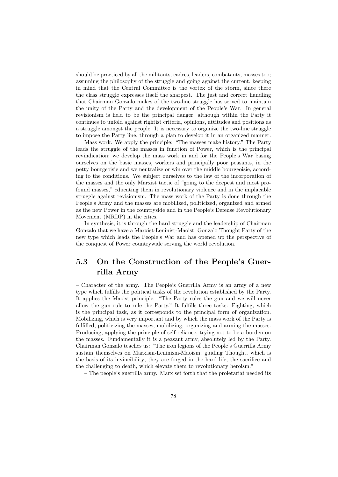should be practiced by all the militants, cadres, leaders, combatants, masses too; assuming the philosophy of the struggle and going against the current, keeping in mind that the Central Committee is the vortex of the storm, since there the class struggle expresses itself the sharpest. The just and correct handling that Chairman Gonzalo makes of the two-line struggle has served to maintain the unity of the Party and the development of the People's War. In general revisionism is held to be the principal danger, although within the Party it continues to unfold against rightist criteria, opinions, attitudes and positions as a struggle amongst the people. It is necessary to organize the two-line struggle to impose the Party line, through a plan to develop it in an organized manner.

Mass work. We apply the principle: "The masses make history." The Party leads the struggle of the masses in function of Power, which is the principal revindication; we develop the mass work in and for the People's War basing ourselves on the basic masses, workers and principally poor peasants, in the petty bourgeoisie and we neutralize or win over the middle bourgeoisie, according to the conditions. We subject ourselves to the law of the incorporation of the masses and the only Marxist tactic of "going to the deepest and most profound masses," educating them in revolutionary violence and in the implacable struggle against revisionism. The mass work of the Party is done through the People's Army and the masses are mobilized, politicized, organized and armed as the new Power in the countryside and in the People's Defense Revolutionary Movement (MRDP) in the cities.

In synthesis, it is through the hard struggle and the leadership of Chairman Gonzalo that we have a Marxist-Leninist-Maoist, Gonzalo Thought Party of the new type which leads the People's War and has opened up the perspective of the conquest of Power countrywide serving the world revolution.

## 5.3 On the Construction of the People's Guerrilla Army

– Character of the army. The People's Guerrilla Army is an army of a new type which fulfills the political tasks of the revolution established by the Party. It applies the Maoist principle: "The Party rules the gun and we will never allow the gun rule to rule the Party." It fulfills three tasks: Fighting, which is the principal task, as it corresponds to the principal form of organization. Mobilizing, which is very important and by which the mass work of the Party is fulfilled, politicizing the masses, mobilizing, organizing and arming the masses. Producing, applying the principle of self-reliance, trying not to be a burden on the masses. Fundamentally it is a peasant army, absolutely led by the Party. Chairman Gonzalo teaches us: "The iron legions of the People's Guerrilla Army sustain themselves on Marxism-Leninism-Maoism, guiding Thought, which is the basis of its invincibility; they are forged in the hard life, the sacrifice and the challenging to death, which elevate them to revolutionary heroism."

– The people's guerrilla army. Marx set forth that the proletariat needed its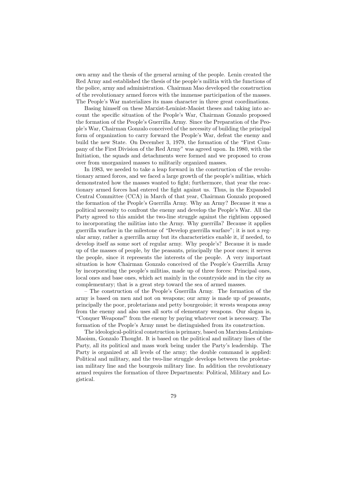own army and the thesis of the general arming of the people. Lenin created the Red Army and established the thesis of the people's militia with the functions of the police, army and administration. Chairman Mao developed the construction of the revolutionary armed forces with the immense participation of the masses. The People's War materializes its mass character in three great coordinations.

Basing himself on these Marxist-Leninist-Maoist theses and taking into account the specific situation of the People's War, Chairman Gonzalo proposed the formation of the People's Guerrilla Army. Since the Preparation of the People's War, Chairman Gonzalo conceived of the necessity of building the principal form of organization to carry forward the People's War, defeat the enemy and build the new State. On December 3, 1979, the formation of the "First Company of the First Division of the Red Army" was agreed upon. In 1980, with the Initiation, the squads and detachments were formed and we proposed to cross over from unorganized masses to militarily organized masses.

In 1983, we needed to take a leap forward in the construction of the revolutionary armed forces, and we faced a large growth of the people's militias, which demonstrated how the masses wanted to fight; furthermore, that year the reactionary armed forces had entered the fight against us. Thus, in the Expanded Central Committee (CCA) in March of that year, Chairman Gonzalo proposed the formation of the People's Guerrilla Army. Why an Army? Because it was a political necessity to confront the enemy and develop the People's War. All the Party agreed to this amidst the two-line struggle against the rightism opposed to incorporating the militias into the Army. Why guerrilla? Because it applies guerrilla warfare in the milestone of "Develop guerrilla warfare"; it is not a regular army, rather a guerrilla army but its characteristics enable it, if needed, to develop itself as some sort of regular army. Why people's? Because it is made up of the masses of people, by the peasants, principally the poor ones; it serves the people, since it represents the interests of the people. A very important situation is how Chairman Gonzalo conceived of the People's Guerrilla Army by incorporating the people's militias, made up of three forces: Principal ones, local ones and base ones, which act mainly in the countryside and in the city as complementary; that is a great step toward the sea of armed masses.

– The construction of the People's Guerrilla Army. The formation of the army is based on men and not on weapons; our army is made up of peasants, principally the poor, proletarians and petty bourgeoisie; it wrests weapons away from the enemy and also uses all sorts of elementary weapons. Our slogan is, "Conquer Weapons!" from the enemy by paying whatever cost is necessary. The formation of the People's Army must be distinguished from its construction.

The ideological-political construction is primary, based on Marxism-Leninism-Maoism, Gonzalo Thought. It is based on the political and military lines of the Party, all its political and mass work being under the Party's leadership. The Party is organized at all levels of the army; the double command is applied: Political and military, and the two-line struggle develops between the proletarian military line and the bourgeois military line. In addition the revolutionary armed requires the formation of three Departments: Political, Military and Logistical.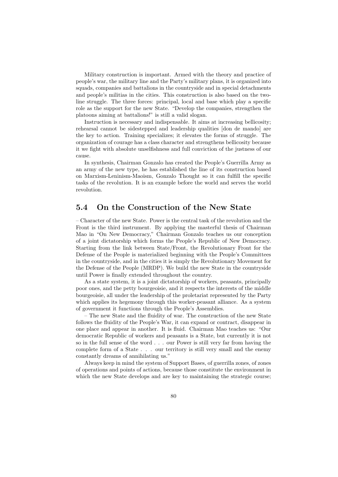Military construction is important. Armed with the theory and practice of people's war, the military line and the Party's military plans, it is organized into squads, companies and battalions in the countryside and in special detachments and people's militias in the cities. This construction is also based on the twoline struggle. The three forces: principal, local and base which play a specific role as the support for the new State. "Develop the companies, strengthen the platoons aiming at battalions!" is still a valid slogan.

Instruction is necessary and indispensable. It aims at increasing bellicosity; rehearsal cannot be sidestepped and leadership qualities [don de mando] are the key to action. Training specializes; it elevates the forms of struggle. The organization of courage has a class character and strengthens bellicosity because it we fight with absolute unselfishness and full conviction of the justness of our cause.

In synthesis, Chairman Gonzalo has created the People's Guerrilla Army as an army of the new type, he has established the line of its construction based on Marxism-Leninism-Maoism, Gonzalo Thought so it can fulfill the specific tasks of the revolution. It is an example before the world and serves the world revolution.

#### 5.4 On the Construction of the New State

– Character of the new State. Power is the central task of the revolution and the Front is the third instrument. By applying the masterful thesis of Chairman Mao in "On New Democracy," Chairman Gonzalo teaches us our conception of a joint dictatorship which forms the People's Republic of New Democracy. Starting from the link between State/Front, the Revolutionary Front for the Defense of the People is materialized beginning with the People's Committees in the countryside, and in the cities it is simply the Revolutionary Movement for the Defense of the People (MRDP). We build the new State in the countryside until Power is finally extended throughout the country.

As a state system, it is a joint dictatorship of workers, peasants, principally poor ones, and the petty bourgeoisie, and it respects the interests of the middle bourgeoisie, all under the leadership of the proletariat represented by the Party which applies its hegemony through this worker-peasant alliance. As a system of government it functions through the People's Assemblies.

– The new State and the fluidity of war. The construction of the new State follows the fluidity of the People's War, it can expand or contract, disappear in one place and appear in another. It is fluid. Chairman Mao teaches us: "Our democratic Republic of workers and peasants is a State, but currently it is not so in the full sense of the word . . . our Power is still very far from having the complete form of a State . . . our territory is still very small and the enemy constantly dreams of annihilating us."

Always keep in mind the system of Support Bases, of guerrilla zones, of zones of operations and points of actions, because those constitute the environment in which the new State develops and are key to maintaining the strategic course;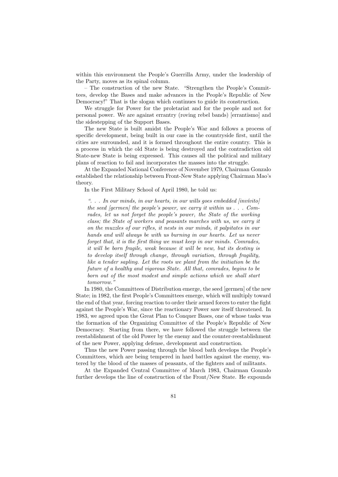within this environment the People's Guerrilla Army, under the leadership of the Party, moves as its spinal column.

– The construction of the new State. "Strengthen the People's Committees, develop the Bases and make advances in the People's Republic of New Democracy!" That is the slogan which continues to guide its construction.

We struggle for Power for the proletariat and for the people and not for personal power. We are against errantry (roving rebel bands) [errantismo] and the sidestepping of the Support Bases.

The new State is built amidst the People's War and follows a process of specific development, being built in our case in the countryside first, until the cities are surrounded, and it is formed throughout the entire country. This is a process in which the old State is being destroyed and the contradiction old State-new State is being expressed. This causes all the political and military plans of reaction to fail and incorporates the masses into the struggle.

At the Expanded National Conference of November 1979, Chairman Gonzalo established the relationship between Front-New State applying Chairman Mao's theory.

In the First Military School of April 1980, he told us:

"... In our minds, in our hearts, in our wills goes embedded  $|invivito|$ the seed [germen] the people's power, we carry it within us  $\ldots$  Comrades, let us not forget the people's power, the State of the working class; the State of workers and peasants marches with us, we carry it on the muzzles of our rifles, it nests in our minds, it palpitates in our hands and will always be with us burning in our hearts. Let us never forget that, it is the first thing we must keep in our minds. Comrades, it will be born fragile, weak because it will be new, but its destiny is to develop itself through change, through variation, through fragility, like a tender sapling. Let the roots we plant from the initiation be the future of a healthy and vigorous State. All that, comrades, begins to be born out of the most modest and simple actions which we shall start tomorrow."

In 1980, the Committees of Distribution emerge, the seed [germen] of the new State; in 1982, the first People's Committees emerge, which will multiply toward the end of that year, forcing reaction to order their armed forces to enter the fight against the People's War, since the reactionary Power saw itself threatened. In 1983, we agreed upon the Great Plan to Conquer Bases, one of whose tasks was the formation of the Organizing Committee of the People's Republic of New Democracy. Starting from there, we have followed the struggle between the reestablishment of the old Power by the enemy and the counter-reestablishment of the new Power, applying defense, development and construction.

Thus the new Power passing through the blood bath develops the People's Committees, which are being tempered in hard battles against the enemy, watered by the blood of the masses of peasants, of the fighters and of militants.

At the Expanded Central Committee of March 1983, Chairman Gonzalo further develops the line of construction of the Front/New State. He expounds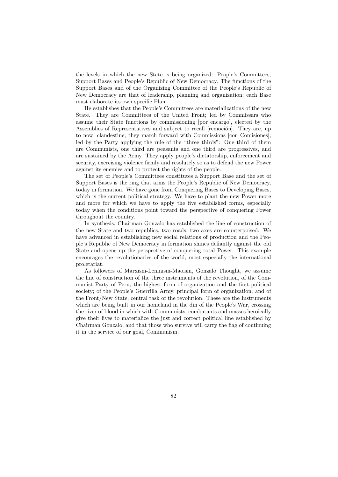the levels in which the new State is being organized: People's Committees, Support Bases and People's Republic of New Democracy. The functions of the Support Bases and of the Organizing Committee of the People's Republic of New Democracy are that of leadership, planning and organization; each Base must elaborate its own specific Plan.

He establishes that the People's Committees are materializations of the new State. They are Committees of the United Front; led by Commissars who assume their State functions by commissioning [por encargo], elected by the Assemblies of Representatives and subject to recall [remoción]. They are, up to now, clandestine; they march forward with Commissions [con Comisiones], led by the Party applying the rule of the "three thirds": One third of them are Communists, one third are peasants and one third are progressives, and are sustained by the Army. They apply people's dictatorship, enforcement and security, exercising violence firmly and resolutely so as to defend the new Power against its enemies and to protect the rights of the people.

The set of People's Committees constitutes a Support Base and the set of Support Bases is the ring that arms the People's Republic of New Democracy, today in formation. We have gone from Conquering Bases to Developing Bases, which is the current political strategy. We have to plant the new Power more and more for which we have to apply the five established forms, especially today when the conditions point toward the perspective of conquering Power throughout the country.

In synthesis, Chairman Gonzalo has established the line of construction of the new State and two republics, two roads, two axes are counterpoised. We have advanced in establishing new social relations of production and the People's Republic of New Democracy in formation shines defiantly against the old State and opens up the perspective of conquering total Power. This example encourages the revolutionaries of the world, most especially the international proletariat.

As followers of Marxism-Leninism-Maoism, Gonzalo Thought, we assume the line of construction of the three instruments of the revolution, of the Communist Party of Peru, the highest form of organization and the first political society; of the People's Guerrilla Army, principal form of organization; and of the Front/New State, central task of the revolution. These are the Instruments which are being built in our homeland in the din of the People's War, crossing the river of blood in which with Communists, combatants and masses heroically give their lives to materialize the just and correct political line established by Chairman Gonzalo, and that those who survive will carry the flag of continuing it in the service of our goal, Communism.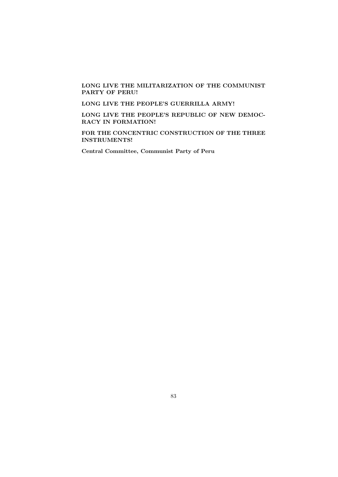#### LONG LIVE THE MILITARIZATION OF THE COMMUNIST PARTY OF PERU!

LONG LIVE THE PEOPLE'S GUERRILLA ARMY!

LONG LIVE THE PEOPLE'S REPUBLIC OF NEW DEMOC-RACY IN FORMATION!

FOR THE CONCENTRIC CONSTRUCTION OF THE THREE INSTRUMENTS!

Central Committee, Communist Party of Peru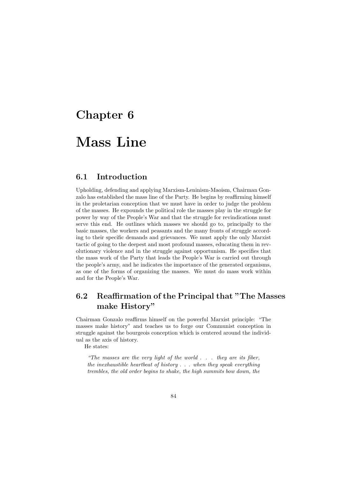# Chapter 6

# Mass Line

#### 6.1 Introduction

Upholding, defending and applying Marxism-Leninism-Maoism, Chairman Gonzalo has established the mass line of the Party. He begins by reaffirming himself in the proletarian conception that we must have in order to judge the problem of the masses. He expounds the political role the masses play in the struggle for power by way of the People's War and that the struggle for revindications must serve this end. He outlines which masses we should go to, principally to the basic masses, the workers and peasants and the many fronts of struggle according to their specific demands and grievances. We must apply the only Marxist tactic of going to the deepest and most profound masses, educating them in revolutionary violence and in the struggle against opportunism. He specifies that the mass work of the Party that leads the People's War is carried out through the people's army, and he indicates the importance of the generated organisms, as one of the forms of organizing the masses. We must do mass work within and for the People's War.

## 6.2 Reaffirmation of the Principal that "The Masses make History"

Chairman Gonzalo reaffirms himself on the powerful Marxist principle: "The masses make history" and teaches us to forge our Communist conception in struggle against the bourgeois conception which is centered around the individual as the axis of history.

He states:

"The masses are the very light of the world  $\ldots$  they are its fiber, the inexhaustible heartbeat of history . . . when they speak everything trembles, the old order begins to shake, the high summits bow down, the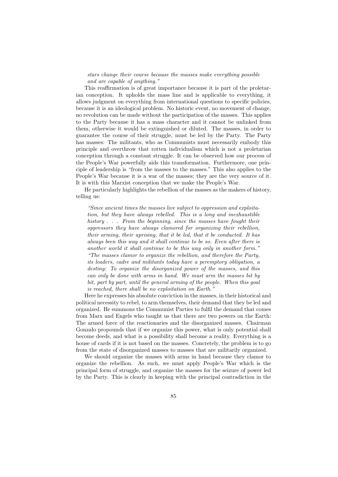stars change their course because the masses make everything possible and are capable of anything."

This reaffirmation is of great importance because it is part of the proletarian conception. It upholds the mass line and is applicable to everything, it allows judgment on everything from international questions to specific policies, because it is an ideological problem. No historic event, no movement of change, no revolution can be made without the participation of the masses. This applies to the Party because it has a mass character and it cannot be unlinked from them, otherwise it would be extinguished or diluted. The masses, in order to guarantee the course of their struggle, must be led by the Party. The Party has masses: The militants, who as Communists must necessarily embody this principle and overthrow that rotten individualism which is not a proletarian conception through a constant struggle. It can be observed how our process of the People's War powerfully aids this transformation. Furthermore, one principle of leadership is "from the masses to the masses." This also applies to the People's War because it is a war of the masses; they are the very source of it. It is with this Marxist conception that we make the People's War.

He particularly highlights the rebellion of the masses as the makers of history, telling us:

"Since ancient times the masses live subject to oppression and exploitation, but they have always rebelled. This is a long and inexhaustible history  $\ldots$ . From the beginning, since the masses have fought their oppressors they have always clamored for organizing their rebellion, their arming, their uprising, that it be led, that it be conducted. It has always been this way and it shall continue to be so. Even after there is another world it shall continue to be this way only in another form." "The masses clamor to organize the rebellion, and therefore the Party, its leaders, cadre and militants today have a peremptory obligation, a destiny: To organize the disorganized power of the masses, and this can only be done with arms in hand. We must arm the masses bit by bit, part by part, until the general arming of the people. When this goal is reached, there shall be no exploitation on Earth."

Here he expresses his absolute conviction in the masses, in their historical and political necessity to rebel, to arm themselves, their demand that they be led and organized. He summons the Communist Parties to fulfil the demand that comes from Marx and Engels who taught us that there are two powers on the Earth: The armed force of the reactionaries and the disorganized masses. Chairman Gonzalo propounds that if we organize this power, what is only potential shall become deeds, and what is a possibility shall become a reality. Everything is a house of cards if it is not based on the masses. Concretely, the problem is to go from the state of disorganized masses to masses that are militarily organized.

We should organize the masses with arms in hand because they clamor to organize the rebellion. As such, we must apply People's War which is the principal form of struggle, and organize the masses for the seizure of power led by the Party. This is clearly in keeping with the principal contradiction in the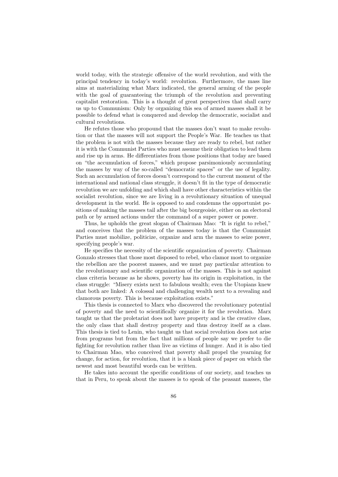world today, with the strategic offensive of the world revolution, and with the principal tendency in today's world: revolution. Furthermore, the mass line aims at materializing what Marx indicated, the general arming of the people with the goal of guaranteeing the triumph of the revolution and preventing capitalist restoration. This is a thought of great perspectives that shall carry us up to Communism: Only by organizing this sea of armed masses shall it be possible to defend what is conquered and develop the democratic, socialist and cultural revolutions.

He refutes those who propound that the masses don't want to make revolution or that the masses will not support the People's War. He teaches us that the problem is not with the masses because they are ready to rebel, but rather it is with the Communist Parties who must assume their obligation to lead them and rise up in arms. He differentiates from those positions that today are based on "the accumulation of forces," which propose parsimoniously accumulating the masses by way of the so-called "democratic spaces" or the use of legality. Such an accumulation of forces doesn't correspond to the current moment of the international and national class struggle, it doesn't fit in the type of democratic revolution we are unfolding and which shall have other characteristics within the socialist revolution, since we are living in a revolutionary situation of unequal development in the world. He is opposed to and condemns the opportunist positions of making the masses tail after the big bourgeoisie, either on an electoral path or by armed actions under the command of a super power or power.

Thus, he upholds the great slogan of Chairman Mao: "It is right to rebel," and conceives that the problem of the masses today is that the Communist Parties must mobilize, politicize, organize and arm the masses to seize power, specifying people's war.

He specifies the necessity of the scientific organization of poverty. Chairman Gonzalo stresses that those most disposed to rebel, who clamor most to organize the rebellion are the poorest masses, and we must pay particular attention to the revolutionary and scientific organization of the masses. This is not against class criteria because as he shows, poverty has its origin in exploitation, in the class struggle: "Misery exists next to fabulous wealth; even the Utopians knew that both are linked: A colossal and challenging wealth next to a revealing and clamorous poverty. This is because exploitation exists."

This thesis is connected to Marx who discovered the revolutionary potential of poverty and the need to scientifically organize it for the revolution. Marx taught us that the proletariat does not have property and is the creative class, the only class that shall destroy property and thus destroy itself as a class. This thesis is tied to Lenin, who taught us that social revolution does not arise from programs but from the fact that millions of people say we prefer to die fighting for revolution rather than live as victims of hunger. And it is also tied to Chairman Mao, who conceived that poverty shall propel the yearning for change, for action, for revolution, that it is a blank piece of paper on which the newest and most beautiful words can be written.

He takes into account the specific conditions of our society, and teaches us that in Peru, to speak about the masses is to speak of the peasant masses, the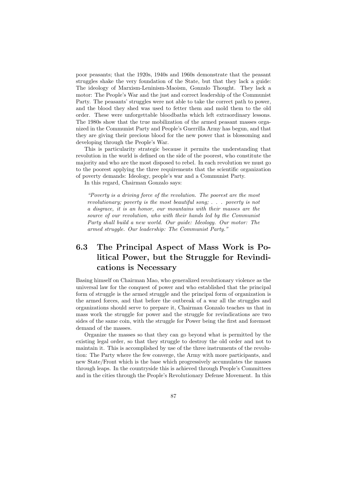poor peasants; that the 1920s, 1940s and 1960s demonstrate that the peasant struggles shake the very foundation of the State, but that they lack a guide: The ideology of Marxism-Leninism-Maoism, Gonzalo Thought. They lack a motor: The People's War and the just and correct leadership of the Communist Party. The peasants' struggles were not able to take the correct path to power, and the blood they shed was used to fetter them and mold them to the old order. These were unforgettable bloodbaths which left extraordinary lessons. The 1980s show that the true mobilization of the armed peasant masses organized in the Communist Party and People's Guerrilla Army has begun, and that they are giving their precious blood for the new power that is blossoming and developing through the People's War.

This is particularity strategic because it permits the understanding that revolution in the world is defined on the side of the poorest, who constitute the majority and who are the most disposed to rebel. In each revolution we must go to the poorest applying the three requirements that the scientific organization of poverty demands: Ideology, people's war and a Communist Party.

In this regard, Chairman Gonzalo says:

"Poverty is a driving force of the revolution. The poorest are the most revolutionary; poverty is the most beautiful song; . . . poverty is not a disgrace, it is an honor, our mountains with their masses are the source of our revolution, who with their hands led by the Communist Party shall build a new world. Our guide: Ideology. Our motor: The armed struggle. Our leadership: The Communist Party."

## 6.3 The Principal Aspect of Mass Work is Political Power, but the Struggle for Revindications is Necessary

Basing himself on Chairman Mao, who generalized revolutionary violence as the universal law for the conquest of power and who established that the principal form of struggle is the armed struggle and the principal form of organization is the armed forces, and that before the outbreak of a war all the struggles and organizations should serve to prepare it, Chairman Gonzalo teaches us that in mass work the struggle for power and the struggle for revindications are two sides of the same coin, with the struggle for Power being the first and foremost demand of the masses.

Organize the masses so that they can go beyond what is permitted by the existing legal order, so that they struggle to destroy the old order and not to maintain it. This is accomplished by use of the three instruments of the revolution: The Party where the few converge, the Army with more participants, and new State/Front which is the base which progressively accumulates the masses through leaps. In the countryside this is achieved through People's Committees and in the cities through the People's Revolutionary Defense Movement. In this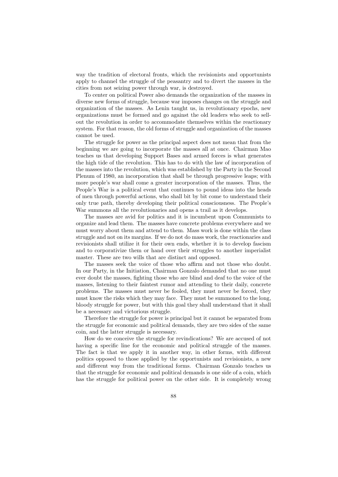way the tradition of electoral fronts, which the revisionists and opportunists apply to channel the struggle of the peasantry and to divert the masses in the cities from not seizing power through war, is destroyed.

To center on political Power also demands the organization of the masses in diverse new forms of struggle, because war imposes changes on the struggle and organization of the masses. As Lenin taught us, in revolutionary epochs, new organizations must be formed and go against the old leaders who seek to sellout the revolution in order to accommodate themselves within the reactionary system. For that reason, the old forms of struggle and organization of the masses cannot be used.

The struggle for power as the principal aspect does not mean that from the beginning we are going to incorporate the masses all at once. Chairman Mao teaches us that developing Support Bases and armed forces is what generates the high tide of the revolution. This has to do with the law of incorporation of the masses into the revolution, which was established by the Party in the Second Plenum of 1980, an incorporation that shall be through progressive leaps; with more people's war shall come a greater incorporation of the masses. Thus, the People's War is a political event that continues to pound ideas into the heads of men through powerful actions, who shall bit by bit come to understand their only true path, thereby developing their political consciousness. The People's War summons all the revolutionaries and opens a trail as it develops.

The masses are avid for politics and it is incumbent upon Communists to organize and lead them. The masses have concrete problems everywhere and we must worry about them and attend to them. Mass work is done within the class struggle and not on its margins. If we do not do mass work, the reactionaries and revisionists shall utilize it for their own ends, whether it is to develop fascism and to corporativize them or hand over their struggles to another imperialist master. These are two wills that are distinct and opposed.

The masses seek the voice of those who affirm and not those who doubt. In our Party, in the Initiation, Chairman Gonzalo demanded that no one must ever doubt the masses, fighting those who are blind and deaf to the voice of the masses, listening to their faintest rumor and attending to their daily, concrete problems. The masses must never be fooled, they must never be forced, they must know the risks which they may face. They must be summoned to the long, bloody struggle for power, but with this goal they shall understand that it shall be a necessary and victorious struggle.

Therefore the struggle for power is principal but it cannot be separated from the struggle for economic and political demands, they are two sides of the same coin, and the latter struggle is necessary.

How do we conceive the struggle for revindications? We are accused of not having a specific line for the economic and political struggle of the masses. The fact is that we apply it in another way, in other forms, with different politics opposed to those applied by the opportunists and revisionists, a new and different way from the traditional forms. Chairman Gonzalo teaches us that the struggle for economic and political demands is one side of a coin, which has the struggle for political power on the other side. It is completely wrong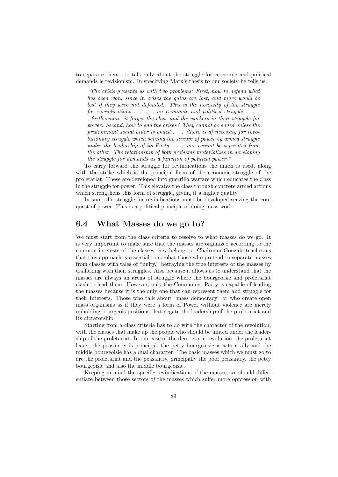to separate them—to talk only about the struggle for economic and political demands is revisionism. In specifying Marx's thesis to our society he tells us:

"The crisis presents us with two problems: First, how to defend what has been won, since in crises the gains are lost, and more would be lost if they were not defended. This is the necessity of the struggle for revindications  $\ldots$ , an economic and political struggle  $\ldots$ . , furthermore, it forges the class and the workers in their struggle for power. Second, how to end the crises? They cannot be ended unless the predominant social order is ended  $\ldots$  (there is a) necessity for revolutionary struggle which serving the seizure of power by armed struggle under the leadership of its  $Party \ldots$  one cannot be separated from the other. The relationship of both problems materializes in developing the struggle for demands as a function of political power."

To carry forward the struggle for revindications the union is used, along with the strike which is the principal form of the economic struggle of the proletariat. These are developed into guerrilla warfare which educates the class in the struggle for power. This elevates the class through concrete armed actions which strengthens this form of struggle, giving it a higher quality.

In sum, the struggle for revindications must be developed serving the conquest of power. This is a political principle of doing mass work.

#### 6.4 What Masses do we go to?

We must start from the class criteria to resolve to what masses do we go. It is very important to make sure that the masses are organized according to the common interests of the classes they belong to. Chairman Gonzalo teaches us that this approach is essential to combat those who pretend to separate masses from classes with tales of "unity," betraying the true interests of the masses by trafficking with their struggles. Also because it allows us to understand that the masses are always an arena of struggle where the bourgeoisie and proletariat clash to lead them. However, only the Communist Party is capable of leading the masses because it is the only one that can represent them and struggle for their interests. Those who talk about "mass democracy" or who create open mass organisms as if they were a form of Power without violence are merely upholding bourgeois positions that negate the leadership of the proletariat and its dictatorship.

Starting from a class criteria has to do with the character of the revolution, with the classes that make up the people who should be united under the leadership of the proletariat. In our case of the democratic revolution, the proletariat leads, the peasantry is principal, the petty bourgeoisie is a firm ally and the middle bourgeoisie has a dual character. The basic masses which we must go to are the proletariat and the peasantry, principally the poor peasantry, the petty bourgeoisie and also the middle bourgeoisie.

Keeping in mind the specific revindications of the masses, we should differentiate between those sectors of the masses which suffer more oppression with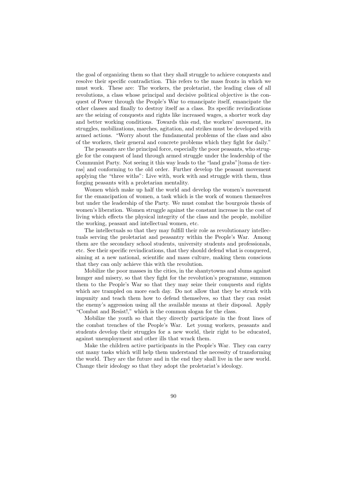the goal of organizing them so that they shall struggle to achieve conquests and resolve their specific contradiction. This refers to the mass fronts in which we must work. These are: The workers, the proletariat, the leading class of all revolutions, a class whose principal and decisive political objective is the conquest of Power through the People's War to emancipate itself, emancipate the other classes and finally to destroy itself as a class. Its specific revindications are the seizing of conquests and rights like increased wages, a shorter work day and better working conditions. Towards this end, the workers' movement, its struggles, mobilizations, marches, agitation, and strikes must be developed with armed actions. "Worry about the fundamental problems of the class and also of the workers, their general and concrete problems which they fight for daily."

The peasants are the principal force, especially the poor peasants, who struggle for the conquest of land through armed struggle under the leadership of the Communist Party. Not seeing it this way leads to the "land grabs"[toma de tierras] and conforming to the old order. Further develop the peasant movement applying the "three withs": Live with, work with and struggle with them, thus forging peasants with a proletarian mentality.

Women which make up half the world and develop the women's movement for the emancipation of women, a task which is the work of women themselves but under the leadership of the Party. We must combat the bourgeois thesis of women's liberation. Women struggle against the constant increase in the cost of living which effects the physical integrity of the class and the people, mobilize the working, peasant and intellectual women, etc.

The intellectuals so that they may fulfill their role as revolutionary intellectuals serving the proletariat and peasantry within the People's War. Among them are the secondary school students, university students and professionals, etc. See their specific revindications, that they should defend what is conquered, aiming at a new national, scientific and mass culture, making them conscious that they can only achieve this with the revolution.

Mobilize the poor masses in the cities, in the shantytowns and slums against hunger and misery, so that they fight for the revolution's programme, summon them to the People's War so that they may seize their conquests and rights which are trampled on more each day. Do not allow that they be struck with impunity and teach them how to defend themselves, so that they can resist the enemy's aggression using all the available means at their disposal. Apply "Combat and Resist!," which is the common slogan for the class.

Mobilize the youth so that they directly participate in the front lines of the combat trenches of the People's War. Let young workers, peasants and students develop their struggles for a new world, their right to be educated, against unemployment and other ills that wrack them.

Make the children active participants in the People's War. They can carry out many tasks which will help them understand the necessity of transforming the world. They are the future and in the end they shall live in the new world. Change their ideology so that they adopt the proletariat's ideology.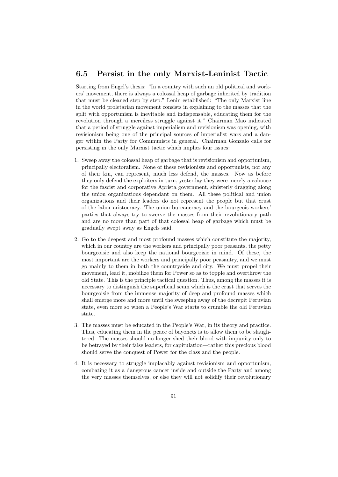#### 6.5 Persist in the only Marxist-Leninist Tactic

Starting from Engel's thesis: "In a country with such an old political and workers' movement, there is always a colossal heap of garbage inherited by tradition that must be cleaned step by step." Lenin established: "The only Marxist line in the world proletarian movement consists in explaining to the masses that the split with opportunism is inevitable and indispensable, educating them for the revolution through a merciless struggle against it." Chairman Mao indicated that a period of struggle against imperialism and revisionism was opening, with revisionism being one of the principal sources of imperialist wars and a danger within the Party for Communists in general. Chairman Gonzalo calls for persisting in the only Marxist tactic which implies four issues:

- 1. Sweep away the colossal heap of garbage that is revisionism and opportunism, principally electoralism. None of these revisionists and opportunists, nor any of their kin, can represent, much less defend, the masses. Now as before they only defend the exploiters in turn, yesterday they were merely a caboose for the fascist and corporative Aprista government, sinisterly dragging along the union organizations dependant on them. All these political and union organizations and their leaders do not represent the people but that crust of the labor aristocracy. The union bureaucracy and the bourgeois workers' parties that always try to swerve the masses from their revolutionary path and are no more than part of that colossal heap of garbage which must be gradually swept away as Engels said.
- 2. Go to the deepest and most profound masses which constitute the majority, which in our country are the workers and principally poor peasants, the petty bourgeoisie and also keep the national bourgeoisie in mind. Of these, the most important are the workers and principally poor peasantry, and we must go mainly to them in both the countryside and city. We must propel their movement, lead it, mobilize them for Power so as to topple and overthrow the old State. This is the principle tactical question. Thus, among the masses it is necessary to distinguish the superficial scum which is the crust that serves the bourgeoisie from the immense majority of deep and profound masses which shall emerge more and more until the sweeping away of the decrepit Peruvian state, even more so when a People's War starts to crumble the old Peruvian state.
- 3. The masses must be educated in the People's War, in its theory and practice. Thus, educating them in the peace of bayonets is to allow them to be slaughtered. The masses should no longer shed their blood with impunity only to be betrayed by their false leaders, for capitulation—rather this precious blood should serve the conquest of Power for the class and the people.
- 4. It is necessary to struggle implacably against revisionism and opportunism, combating it as a dangerous cancer inside and outside the Party and among the very masses themselves, or else they will not solidify their revolutionary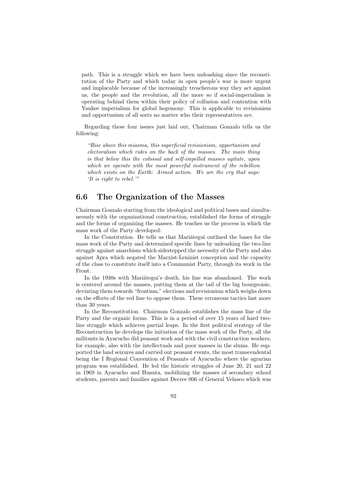path. This is a struggle which we have been unleashing since the reconstitution of the Party and which today in open people's war is more urgent and implacable because of the increasingly treacherous way they act against us, the people and the revolution, all the more so if social-imperialism is operating behind them within their policy of collusion and contention with Yankee imperialism for global hegemony. This is applicable to revisionism and opportunism of all sorts no matter who their representatives are.

Regarding these four issues just laid out, Chairman Gonzalo tells us the following:

"Rise above this miasma, this superficial revisionism, opportunism and electoralism which rides on the back of the masses. The main thing is that below this the colossal and self-impelled masses agitate, upon which we operate with the most powerful instrument of the rebellion which exists on the Earth: Armed action. We are the cry that says: 'It is right to rebel.'"

### 6.6 The Organization of the Masses

Chairman Gonzalo starting from the ideological and political bases and simultaneously with the organizational construction, established the forms of struggle and the forms of organizing the masses. He teaches us the process in which the mass work of the Party developed:

In the Constitution. He tells us that Mari $\alpha$ tegui outlined the bases for the mass work of the Party and determined specific lines by unleashing the two-line struggle against anarchism which sidestepped the necessity of the Party and also against Apra which negated the Marxist-Leninist conception and the capacity of the class to constitute itself into a Communist Party, through its work in the Front.

In the 1930s with Mariategui's death, his line was abandoned. The work is centered around the masses, putting them at the tail of the big bourgeoisie, deviating them towards "frontism," elections and revisionism which weighs down on the efforts of the red line to oppose them. These erroneous tactics last more than 30 years.

In the Reconstitution. Chairman Gonzalo establishes the mass line of the Party and the organic forms. This is in a period of over 15 years of hard twoline struggle which achieves partial leaps. In the first political strategy of the Reconstruction he develops the initiation of the mass work of the Party, all the militants in Ayacucho did peasant work and with the civil construction workers, for example, also with the intellectuals and poor masses in the slums. He supported the land seizures and carried out peasant events, the most transcendental being the I Regional Convention of Peasants of Ayacucho where the agrarian program was established. He led the historic struggles of June 20, 21 and 22 in 1969 in Ayacucho and Huanta, mobilizing the masses of secondary school students, parents and families against Decree 006 of General Velasco which was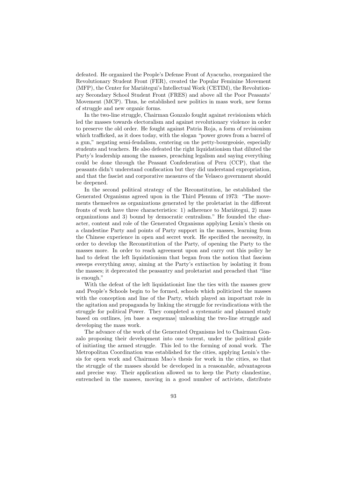defeated. He organized the People's Defense Front of Ayacucho, reorganized the Revolutionary Student Front (FER), created the Popular Feminine Movement  $(MFP)$ , the Center for Mariategui's Intellectual Work  $(CETIM)$ , the Revolutionary Secondary School Student Front (FRES) and above all the Poor Peasants' Movement (MCP). Thus, he established new politics in mass work, new forms of struggle and new organic forms.

In the two-line struggle, Chairman Gonzalo fought against revisionism which led the masses towards electoralism and against revolutionary violence in order to preserve the old order. He fought against Patria Roja, a form of revisionism which trafficked, as it does today, with the slogan "power grows from a barrel of a gun," negating semi-feudalism, centering on the petty-bourgeoisie, especially students and teachers. He also defeated the right liquidationism that diluted the Party's leadership among the masses, preaching legalism and saying everything could be done through the Peasant Confederation of Peru (CCP), that the peasants didn't understand confiscation but they did understand expropriation, and that the fascist and corporative measures of the Velasco government should be deepened.

In the second political strategy of the Reconstitution, he established the Generated Organisms agreed upon in the Third Plenum of 1973: "The movements themselves as organizations generated by the proletariat in the different fronts of work have three characteristics: 1) adherence to Mari $\text{átegui}, 2)$  mass organizations and 3) bound by democratic centralism." He founded the character, content and role of the Generated Organisms applying Lenin's thesis on a clandestine Party and points of Party support in the masses, learning from the Chinese experience in open and secret work. He specified the necessity, in order to develop the Reconstitution of the Party, of opening the Party to the masses more. In order to reach agreement upon and carry out this policy he had to defeat the left liquidationism that began from the notion that fascism sweeps everything away, aiming at the Party's extinction by isolating it from the masses; it deprecated the peasantry and proletariat and preached that "line is enough."

With the defeat of the left liquidationist line the ties with the masses grew and People's Schools begin to be formed, schools which politicized the masses with the conception and line of the Party, which played an important role in the agitation and propaganda by linking the struggle for revindications with the struggle for political Power. They completed a systematic and planned study based on outlines, [en base a esquemas] unleashing the two-line struggle and developing the mass work.

The advance of the work of the Generated Organisms led to Chairman Gonzalo proposing their development into one torrent, under the political guide of initiating the armed struggle. This led to the forming of zonal work. The Metropolitan Coordination was established for the cities, applying Lenin's thesis for open work and Chairman Mao's thesis for work in the cities, so that the struggle of the masses should be developed in a reasonable, advantageous and precise way. Their application allowed us to keep the Party clandestine, entrenched in the masses, moving in a good number of activists, distribute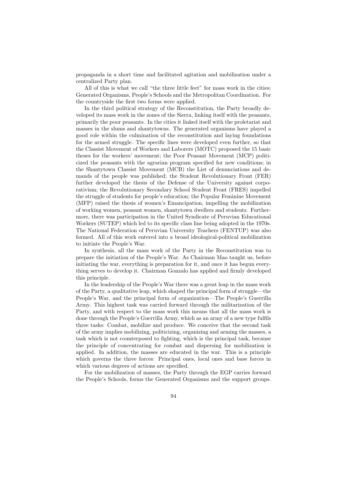propaganda in a short time and facilitated agitation and mobilization under a centralized Party plan.

All of this is what we call "the three little feet" for mass work in the cities: Generated Organisms, People's Schools and the Metropolitan Coordination. For the countryside the first two forms were applied.

In the third political strategy of the Reconstitution, the Party broadly developed its mass work in the zones of the Sierra, linking itself with the peasants, primarily the poor peasants. In the cities it linked itself with the proletariat and masses in the slums and shantytowns. The generated organisms have played a good role within the culmination of the reconstitution and laying foundations for the armed struggle. The specific lines were developed even further, so that the Classist Movement of Workers and Laborers (MOTC) proposed the 15 basic theses for the workers' movement; the Poor Peasant Movement (MCP) politicized the peasants with the agrarian program specified for new conditions; in the Shantytown Classist Movement (MCB) the List of denunciations and demands of the people was published; the Student Revolutionary Front (FER) further developed the thesis of the Defense of the University against corporativism; the Revolutionary Secondary School Student Front (FRES) impelled the struggle of students for people's education; the Popular Feminine Movement (MFP) raised the thesis of women's Emancipation, impelling the mobilization of working women, peasant women, shantytown dwellers and students. Furthermore, there was participation in the United Syndicate of Peruvian Educational Workers (SUTEP) which led to its specific class line being adopted in the 1970s. The National Federation of Peruvian University Teachers (FENTUP) was also formed. All of this work entered into a broad ideological-political mobilization to initiate the People's War.

In synthesis, all the mass work of the Party in the Reconstitution was to prepare the initiation of the People's War. As Chairman Mao taught us, before initiating the war, everything is preparation for it, and once it has begun everything serves to develop it. Chairman Gonzalo has applied and firmly developed this principle.

In the leadership of the People's War there was a great leap in the mass work of the Party, a qualitative leap, which shaped the principal form of struggle—the People's War, and the principal form of organization—The People's Guerrilla Army. This highest task was carried forward through the militarization of the Party, and with respect to the mass work this means that all the mass work is done through the People's Guerrilla Army, which as an army of a new type fulfils three tasks: Combat, mobilize and produce. We conceive that the second task of the army implies mobilizing, politicizing, organizing and arming the masses, a task which is not counterposed to fighting, which is the principal task, because the principle of concentrating for combat and dispersing for mobilization is applied. In addition, the masses are educated in the war. This is a principle which governs the three forces: Principal ones, local ones and base forces in which various degrees of actions are specified.

For the mobilization of masses, the Party through the EGP carries forward the People's Schools, forms the Generated Organisms and the support groups.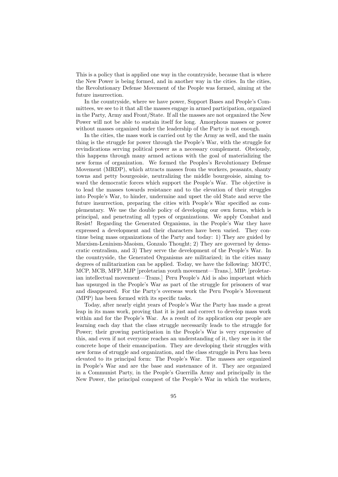This is a policy that is applied one way in the countryside, because that is where the New Power is being formed, and in another way in the cities. In the cities, the Revolutionary Defense Movement of the People was formed, aiming at the future insurrection.

In the countryside, where we have power, Support Bases and People's Committees, we see to it that all the masses engage in armed participation, organized in the Party, Army and Front/State. If all the masses are not organized the New Power will not be able to sustain itself for long. Amorphous masses or power without masses organized under the leadership of the Party is not enough.

In the cities, the mass work is carried out by the Army as well, and the main thing is the struggle for power through the People's War, with the struggle for revindications serving political power as a necessary complement. Obviously, this happens through many armed actions with the goal of materializing the new forms of organization. We formed the Peoples's Revolutionary Defense Movement (MRDP), which attracts masses from the workers, peasants, shanty towns and petty bourgeoisie, neutralizing the middle bourgeoisie, aiming toward the democratic forces which support the People's War. The objective is to lead the masses towards resistance and to the elevation of their struggles into People's War, to hinder, undermine and upset the old State and serve the future insurrection, preparing the cities with People's War specified as complementary. We use the double policy of developing our own forms, which is principal, and penetrating all types of organizations. We apply Combat and Resist! Regarding the Generated Organisms, in the People's War they have expressed a development and their characters have been varied. They continue being mass organizations of the Party and today: 1) They are guided by Marxism-Leninism-Maoism, Gonzalo Thought; 2) They are governed by democratic centralism, and 3) They serve the development of the People's War. In the countryside, the Generated Organisms are militarized; in the cities many degrees of militarization can be applied. Today, we have the following: MOTC, MCP, MCB, MFP, MJP [proletarian youth movement—Trans.], MIP. [proletarian intellectual movement—Trans.] Peru People's Aid is also important which has upsurged in the People's War as part of the struggle for prisoners of war and disappeared. For the Party's overseas work the Peru People's Movement (MPP) has been formed with its specific tasks.

Today, after nearly eight years of People's War the Party has made a great leap in its mass work, proving that it is just and correct to develop mass work within and for the People's War. As a result of its application our people are learning each day that the class struggle necessarily leads to the struggle for Power; their growing participation in the People's War is very expressive of this, and even if not everyone reaches an understanding of it, they see in it the concrete hope of their emancipation. They are developing their struggles with new forms of struggle and organization, and the class struggle in Peru has been elevated to its principal form: The People's War. The masses are organized in People's War and are the base and sustenance of it. They are organized in a Communist Party, in the People's Guerrilla Army and principally in the New Power, the principal conquest of the People's War in which the workers,